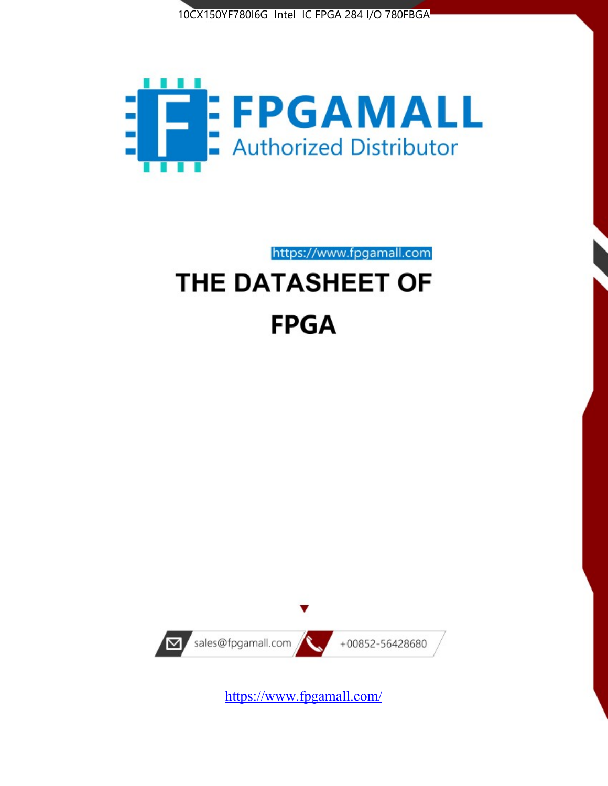



https://www.fpgamall.com

# THE DATASHEET OF **FPGA**



<https://www.fpgamall.com/>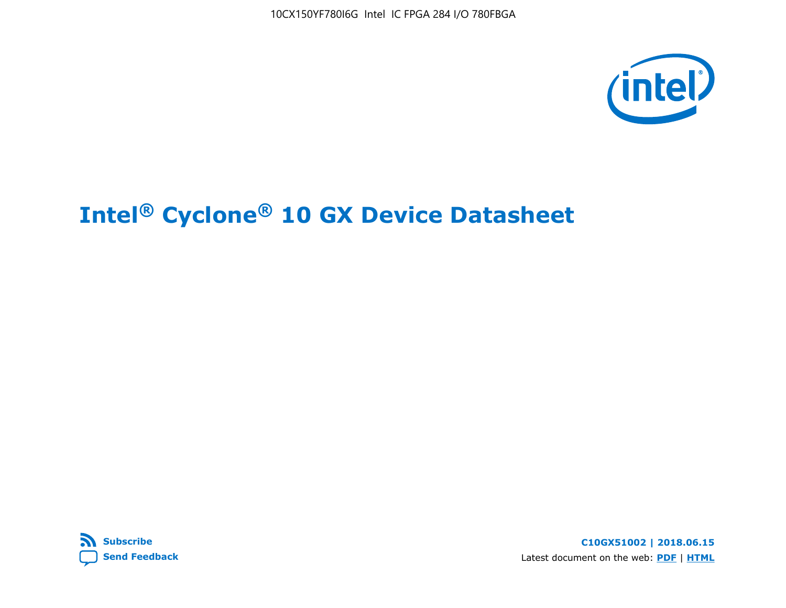



**C10GX51002 | 2018.06.15** Latest document on the web: **[PDF](https://www.altera.com/en_US/pdfs/literature/hb/cyclone-10/c10gx-51002.pdf)** | **[HTML](https://www.altera.com/documentation/muf1488511478825.html)**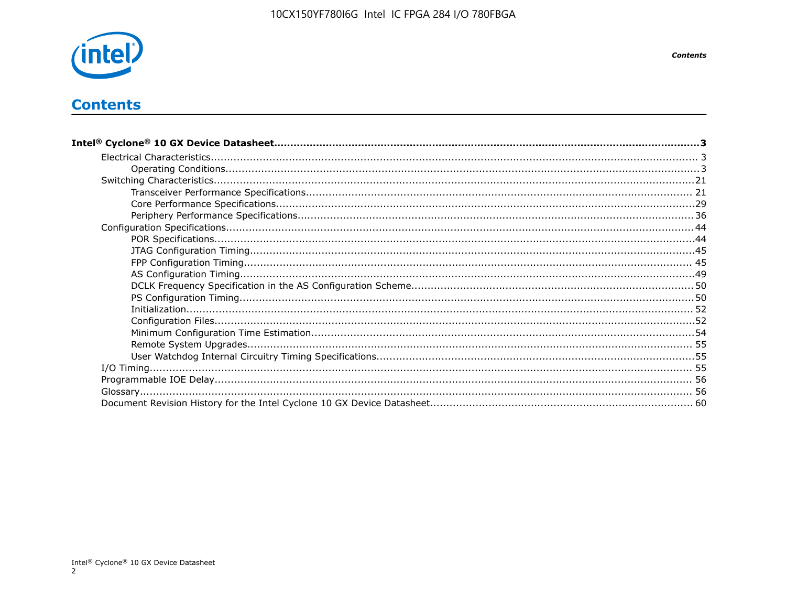

# **Contents**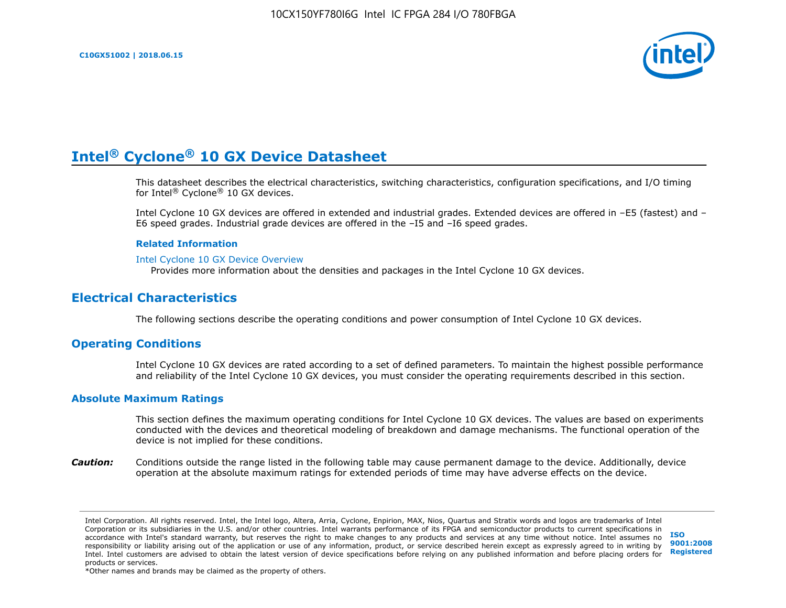

This datasheet describes the electrical characteristics, switching characteristics, configuration specifications, and I/O timing for Intel® Cyclone® 10 GX devices.

Intel Cyclone 10 GX devices are offered in extended and industrial grades. Extended devices are offered in –E5 (fastest) and – E6 speed grades. Industrial grade devices are offered in the –I5 and –I6 speed grades.

#### **Related Information**

#### [Intel Cyclone 10 GX Device Overview](https://www.altera.com/documentation/grc1488182989852.html#mvd1484026010948)

Provides more information about the densities and packages in the Intel Cyclone 10 GX devices.

# **Electrical Characteristics**

The following sections describe the operating conditions and power consumption of Intel Cyclone 10 GX devices.

#### **Operating Conditions**

Intel Cyclone 10 GX devices are rated according to a set of defined parameters. To maintain the highest possible performance and reliability of the Intel Cyclone 10 GX devices, you must consider the operating requirements described in this section.

#### **Absolute Maximum Ratings**

This section defines the maximum operating conditions for Intel Cyclone 10 GX devices. The values are based on experiments conducted with the devices and theoretical modeling of breakdown and damage mechanisms. The functional operation of the device is not implied for these conditions.

*Caution:* Conditions outside the range listed in the following table may cause permanent damage to the device. Additionally, device operation at the absolute maximum ratings for extended periods of time may have adverse effects on the device.

**[ISO](http://www.altera.com/support/devices/reliability/certifications/rel-certifications.html) [9001:2008](http://www.altera.com/support/devices/reliability/certifications/rel-certifications.html) [Registered](http://www.altera.com/support/devices/reliability/certifications/rel-certifications.html)**

\*Other names and brands may be claimed as the property of others.

Intel Corporation. All rights reserved. Intel, the Intel logo, Altera, Arria, Cyclone, Enpirion, MAX, Nios, Quartus and Stratix words and logos are trademarks of Intel Corporation or its subsidiaries in the U.S. and/or other countries. Intel warrants performance of its FPGA and semiconductor products to current specifications in accordance with Intel's standard warranty, but reserves the right to make changes to any products and services at any time without notice. Intel assumes no responsibility or liability arising out of the application or use of any information, product, or service described herein except as expressly agreed to in writing by Intel. Intel customers are advised to obtain the latest version of device specifications before relying on any published information and before placing orders for products or services.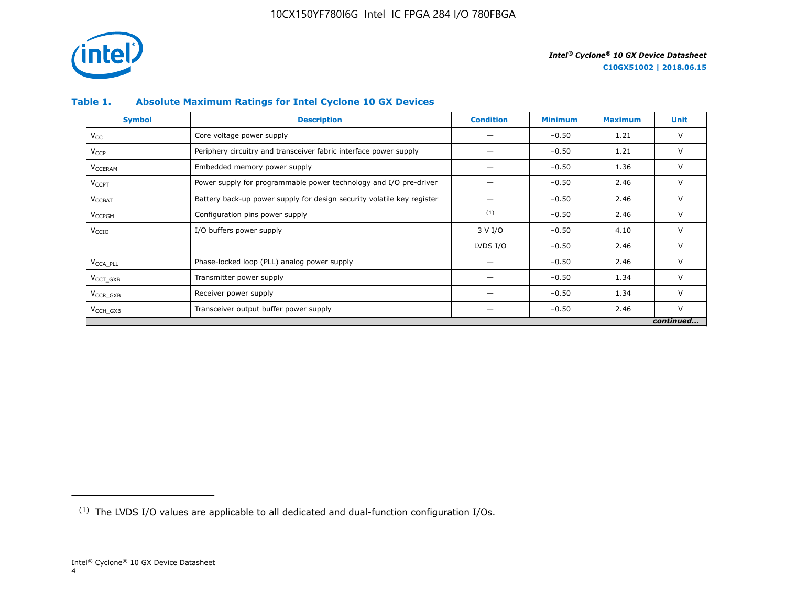

# **Table 1. Absolute Maximum Ratings for Intel Cyclone 10 GX Devices**

| <b>Symbol</b>             | <b>Description</b>                                                     | <b>Condition</b> | <b>Minimum</b> | <b>Maximum</b> | Unit      |
|---------------------------|------------------------------------------------------------------------|------------------|----------------|----------------|-----------|
| $V_{CC}$                  | Core voltage power supply                                              |                  | $-0.50$        | 1.21           | V         |
| <b>V<sub>CCP</sub></b>    | Periphery circuitry and transceiver fabric interface power supply      |                  | $-0.50$        | 1.21           | V         |
| <b>V<sub>CCERAM</sub></b> | Embedded memory power supply                                           |                  | $-0.50$        | 1.36           | $\vee$    |
| $V_{\text{CCPT}}$         | Power supply for programmable power technology and I/O pre-driver      |                  | $-0.50$        | 2.46           | V         |
| $V_{\text{CCBAT}}$        | Battery back-up power supply for design security volatile key register |                  | $-0.50$        | 2.46           | V         |
| V <sub>CCPGM</sub>        | Configuration pins power supply                                        | (1)              | $-0.50$        | 2.46           | V         |
| V <sub>CCIO</sub>         | I/O buffers power supply                                               | 3 V I/O          | $-0.50$        | 4.10           | $\vee$    |
|                           |                                                                        | LVDS I/O         | $-0.50$        | 2.46           | $\vee$    |
| V <sub>CCA PLL</sub>      | Phase-locked loop (PLL) analog power supply                            |                  | $-0.50$        | 2.46           | V         |
| $VCCT$ GXB                | Transmitter power supply                                               |                  | $-0.50$        | 1.34           | V         |
| $V_{CCR_GXB}$             | Receiver power supply                                                  |                  | $-0.50$        | 1.34           | $\vee$    |
| $V_{\text{CCH_GXB}}$      | Transceiver output buffer power supply                                 |                  | $-0.50$        | 2.46           | $\vee$    |
|                           |                                                                        |                  |                |                | continued |

<sup>(1)</sup> The LVDS I/O values are applicable to all dedicated and dual-function configuration I/Os.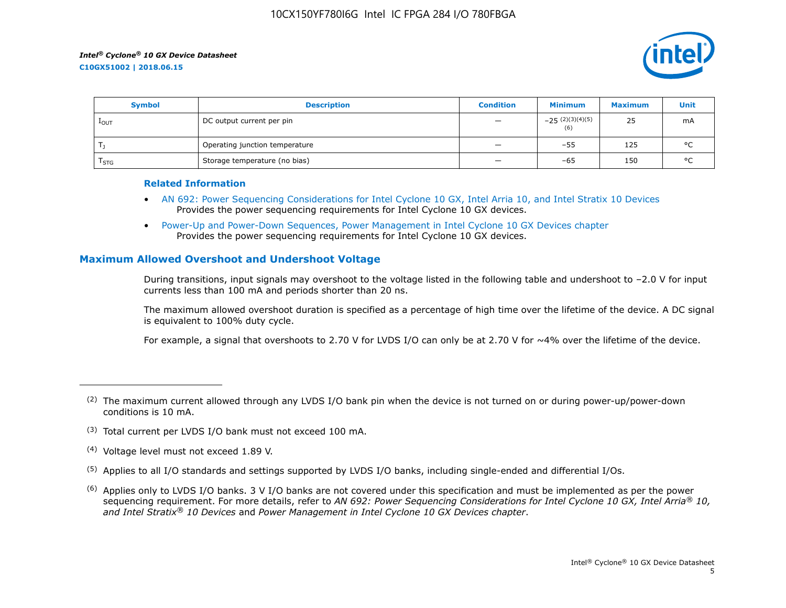

| <b>Symbol</b>    | <b>Description</b>             | <b>Condition</b>                     | Minimum                  | <b>Maximum</b> | Unit    |
|------------------|--------------------------------|--------------------------------------|--------------------------|----------------|---------|
| $1_{\text{OUT}}$ | DC output current per pin      | $\qquad \qquad -$                    | $-25(2)(3)(4)(5)$<br>(6) | 25             | mA      |
|                  | Operating junction temperature | $\qquad \qquad -$                    | $-55$                    | 125            | $\circ$ |
| l STG.           | Storage temperature (no bias)  | $\qquad \qquad \  \, -\qquad \qquad$ | $-65$                    | 150            | $\circ$ |

#### **Related Information**

- [AN 692: Power Sequencing Considerations for Intel Cyclone 10 GX, Intel Arria 10, and Intel Stratix 10 Devices](https://www.altera.com/documentation/nik1412640107351.html#nik1412640086729) Provides the power sequencing requirements for Intel Cyclone 10 GX devices.
- [Power-Up and Power-Down Sequences, Power Management in Intel Cyclone 10 GX Devices chapter](https://www.altera.com/documentation/vua1487061384661.html#qel1490343470589) Provides the power sequencing requirements for Intel Cyclone 10 GX devices.

# **Maximum Allowed Overshoot and Undershoot Voltage**

During transitions, input signals may overshoot to the voltage listed in the following table and undershoot to –2.0 V for input currents less than 100 mA and periods shorter than 20 ns.

The maximum allowed overshoot duration is specified as a percentage of high time over the lifetime of the device. A DC signal is equivalent to 100% duty cycle.

For example, a signal that overshoots to 2.70 V for LVDS I/O can only be at 2.70 V for ~4% over the lifetime of the device.

- (3) Total current per LVDS I/O bank must not exceed 100 mA.
- (4) Voltage level must not exceed 1.89 V.
- (5) Applies to all I/O standards and settings supported by LVDS I/O banks, including single-ended and differential I/Os.
- $(6)$  Applies only to LVDS I/O banks. 3 V I/O banks are not covered under this specification and must be implemented as per the power sequencing requirement. For more details, refer to *AN 692: Power Sequencing Considerations for Intel Cyclone 10 GX, Intel Arria® 10, and Intel Stratix® 10 Devices* and *Power Management in Intel Cyclone 10 GX Devices chapter*.

 $(2)$  The maximum current allowed through any LVDS I/O bank pin when the device is not turned on or during power-up/power-down conditions is 10 mA.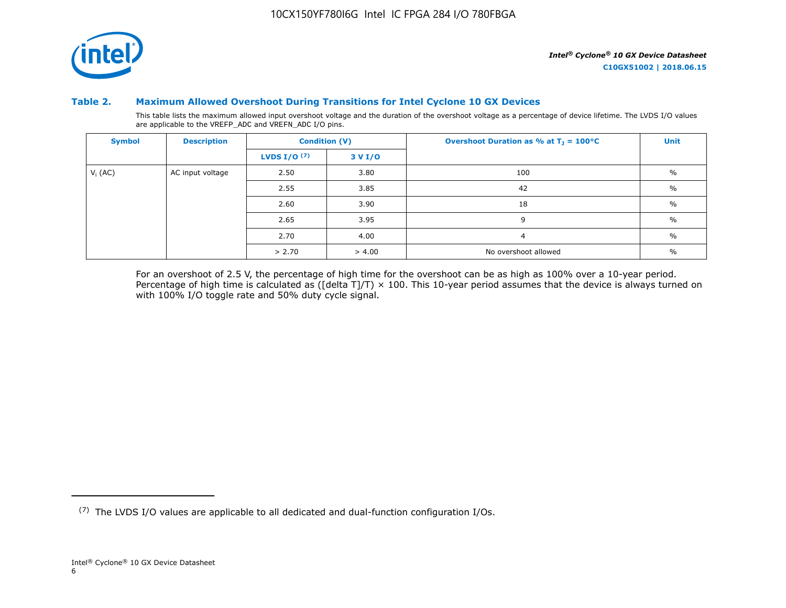

#### **Table 2. Maximum Allowed Overshoot During Transitions for Intel Cyclone 10 GX Devices**

This table lists the maximum allowed input overshoot voltage and the duration of the overshoot voltage as a percentage of device lifetime. The LVDS I/O values are applicable to the VREFP\_ADC and VREFN\_ADC I/O pins.

| <b>Symbol</b> | <b>Description</b> |                       | <b>Condition (V)</b> | Overshoot Duration as % at $T_1 = 100^{\circ}C$ | Unit          |
|---------------|--------------------|-----------------------|----------------------|-------------------------------------------------|---------------|
|               |                    | <b>LVDS I/O</b> $(7)$ | 3 V I/O              |                                                 |               |
| $V_i$ (AC)    | AC input voltage   | 2.50                  | 3.80                 | 100                                             | $\frac{0}{0}$ |
|               |                    | 2.55                  | 3.85                 | 42                                              | $\%$          |
|               |                    | 2.60                  | 3.90                 | 18                                              | $\frac{0}{0}$ |
|               |                    | 2.65                  | 3.95                 | 9                                               | $\%$          |
|               |                    | 2.70                  | 4.00                 | $\overline{a}$                                  | $\%$          |
|               |                    | > 2.70                | > 4.00               | No overshoot allowed                            | $\%$          |

For an overshoot of 2.5 V, the percentage of high time for the overshoot can be as high as 100% over a 10-year period. Percentage of high time is calculated as ([delta T]/T)  $\times$  100. This 10-year period assumes that the device is always turned on with 100% I/O toggle rate and 50% duty cycle signal.

<sup>(7)</sup> The LVDS I/O values are applicable to all dedicated and dual-function configuration I/Os.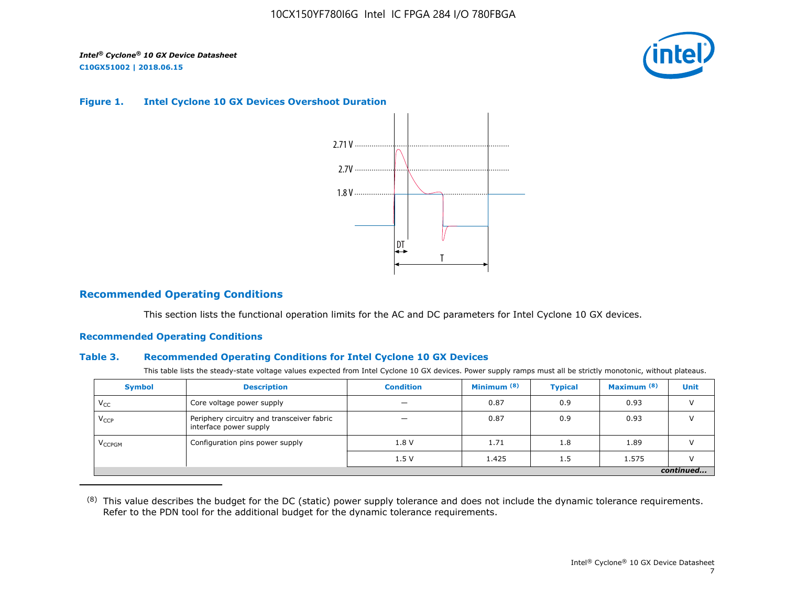

#### **Figure 1. Intel Cyclone 10 GX Devices Overshoot Duration**



## **Recommended Operating Conditions**

This section lists the functional operation limits for the AC and DC parameters for Intel Cyclone 10 GX devices.

#### **Recommended Operating Conditions**

#### **Table 3. Recommended Operating Conditions for Intel Cyclone 10 GX Devices**

This table lists the steady-state voltage values expected from Intel Cyclone 10 GX devices. Power supply ramps must all be strictly monotonic, without plateaus.

| <b>Symbol</b>            | <b>Description</b>                                                   | <b>Condition</b> | Minimum <sup>(8)</sup> | <b>Typical</b> | Maximum <sup>(8)</sup> | <b>Unit</b> |  |  |  |  |  |
|--------------------------|----------------------------------------------------------------------|------------------|------------------------|----------------|------------------------|-------------|--|--|--|--|--|
| $V_{CC}$                 | Core voltage power supply                                            | -                | 0.87                   | 0.9            | 0.93                   |             |  |  |  |  |  |
| $V_{CCP}$                | Periphery circuitry and transceiver fabric<br>interface power supply |                  | 0.87                   | 0.9            | 0.93                   |             |  |  |  |  |  |
| <b>V<sub>CCPGM</sub></b> | Configuration pins power supply                                      | 1.8V             | 1.71                   | 1.8            | 1.89                   |             |  |  |  |  |  |
|                          |                                                                      | 1.5V             | 1.425                  | 1.5            | 1.575                  |             |  |  |  |  |  |
|                          | continued                                                            |                  |                        |                |                        |             |  |  |  |  |  |

<sup>(8)</sup> This value describes the budget for the DC (static) power supply tolerance and does not include the dynamic tolerance requirements. Refer to the PDN tool for the additional budget for the dynamic tolerance requirements.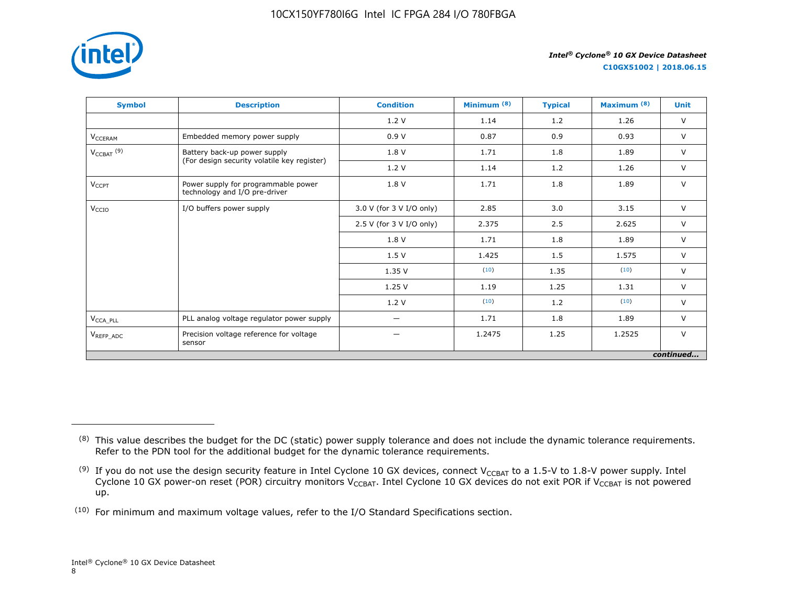

**C10GX51002 | 2018.06.15**

| <b>Symbol</b>                     | <b>Description</b>                                                   | <b>Condition</b>         | Minimum <sup>(8)</sup> | <b>Typical</b> | Maximum <sup>(8)</sup> | <b>Unit</b> |
|-----------------------------------|----------------------------------------------------------------------|--------------------------|------------------------|----------------|------------------------|-------------|
|                                   |                                                                      | 1.2V                     | 1.14                   | 1.2            | 1.26                   | $\vee$      |
| V <sub>CCERAM</sub>               | Embedded memory power supply                                         | 0.9V                     | 0.87                   | 0.9            | 0.93                   | $\vee$      |
| $V_{\text{CCBAT}}$ <sup>(9)</sup> | Battery back-up power supply                                         | 1.8 V                    | 1.71                   | 1.8            | 1.89                   | $\vee$      |
|                                   | (For design security volatile key register)                          | 1.2V                     | 1.14                   | 1.2            | 1.26                   | $\vee$      |
| $V_{CCPT}$                        | Power supply for programmable power<br>technology and I/O pre-driver | 1.8 V                    | 1.71                   | 1.8            | 1.89                   | $\vee$      |
| V <sub>CCIO</sub>                 | I/O buffers power supply                                             | 3.0 V (for 3 V I/O only) | 2.85                   | 3.0            | 3.15                   | $\vee$      |
|                                   |                                                                      | 2.5 V (for 3 V I/O only) | 2.375                  | 2.5            | 2.625                  | $\vee$      |
|                                   |                                                                      | 1.8 V                    | 1.71                   | 1.8            | 1.89                   | $\vee$      |
|                                   |                                                                      | 1.5V                     | 1.425                  | 1.5            | 1.575                  | $\vee$      |
|                                   |                                                                      | 1.35V                    | (10)                   | 1.35           | (10)                   | $\vee$      |
|                                   |                                                                      | 1.25V                    | 1.19                   | 1.25           | 1.31                   | $\vee$      |
|                                   |                                                                      | 1.2V                     | (10)                   | 1.2            | (10)                   | $\vee$      |
| $V_{\text{CCA\_PLL}}$             | PLL analog voltage regulator power supply                            | $\overline{\phantom{0}}$ | 1.71                   | 1.8            | 1.89                   | $\vee$      |
| $V_{REFP\_ADC}$                   | Precision voltage reference for voltage<br>sensor                    |                          | 1.2475                 | 1.25           | 1.2525                 | $\vee$      |
|                                   |                                                                      |                          |                        |                |                        | continued   |

<sup>&</sup>lt;sup>(8)</sup> This value describes the budget for the DC (static) power supply tolerance and does not include the dynamic tolerance requirements. Refer to the PDN tool for the additional budget for the dynamic tolerance requirements.

 $^{(9)}$  If you do not use the design security feature in Intel Cyclone 10 GX devices, connect V $_{\rm CCBAT}$  to a 1.5-V to 1.8-V power supply. Intel Cyclone 10 GX power-on reset (POR) circuitry monitors V $_{\rm CCBAT}$ . Intel Cyclone 10 GX devices do not exit POR if V $_{\rm CCBAT}$  is not powered up.

 $(10)$  For minimum and maximum voltage values, refer to the I/O Standard Specifications section.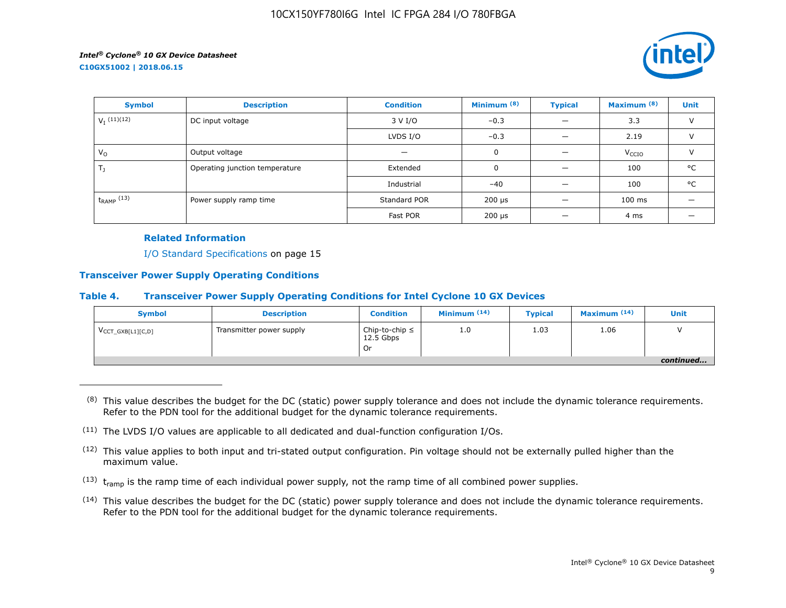

| <b>Symbol</b>             | <b>Description</b>                     | <b>Condition</b> | Minimum <sup>(8)</sup>    | <b>Typical</b> | Maximum <sup>(8)</sup> | <b>Unit</b>   |
|---------------------------|----------------------------------------|------------------|---------------------------|----------------|------------------------|---------------|
| $V_I$ <sup>(11)(12)</sup> | DC input voltage                       | 3 V I/O          | $-0.3$                    |                | 3.3                    | $\vee$        |
|                           |                                        | LVDS I/O         | $-0.3$                    |                | 2.19                   | $\vee$        |
| $V_{\rm O}$               | Output voltage                         |                  | 0                         |                | V <sub>CCIO</sub>      | $\mathcal{U}$ |
| $T_{\rm J}$               | Operating junction temperature         | Extended         | 0                         |                | 100                    | °C            |
|                           |                                        | Industrial       | $-40$                     |                | 100                    | °C            |
| $t_{RAMP}$ (13)           | Standard POR<br>Power supply ramp time |                  | 200 µs                    |                | $100$ ms               |               |
|                           |                                        | Fast POR         | $200 \text{ }\mu\text{s}$ |                | 4 ms                   |               |

#### **Related Information**

I/O Standard Specifications on page 15

#### **Transceiver Power Supply Operating Conditions**

#### **Table 4. Transceiver Power Supply Operating Conditions for Intel Cyclone 10 GX Devices**

| <b>Symbol</b>                 | <b>Description</b>       | <b>Condition</b>                         | Minimum $(14)$ | <b>Typical</b> | Maximum $(14)$ | Unit      |
|-------------------------------|--------------------------|------------------------------------------|----------------|----------------|----------------|-----------|
| $V_{\text{CCT_GXB[L1][C,D]}}$ | Transmitter power supply | Chip-to-chip $\leq$<br>12.5 Gbps<br>. Or | 1.0            | 1.03           | 1.06           |           |
|                               |                          |                                          |                |                |                | continued |

 $(8)$  This value describes the budget for the DC (static) power supply tolerance and does not include the dynamic tolerance requirements. Refer to the PDN tool for the additional budget for the dynamic tolerance requirements.

- $(13)$  t<sub>ramp</sub> is the ramp time of each individual power supply, not the ramp time of all combined power supplies.
- (14) This value describes the budget for the DC (static) power supply tolerance and does not include the dynamic tolerance requirements. Refer to the PDN tool for the additional budget for the dynamic tolerance requirements.

 $(11)$  The LVDS I/O values are applicable to all dedicated and dual-function configuration I/Os.

 $(12)$  This value applies to both input and tri-stated output configuration. Pin voltage should not be externally pulled higher than the maximum value.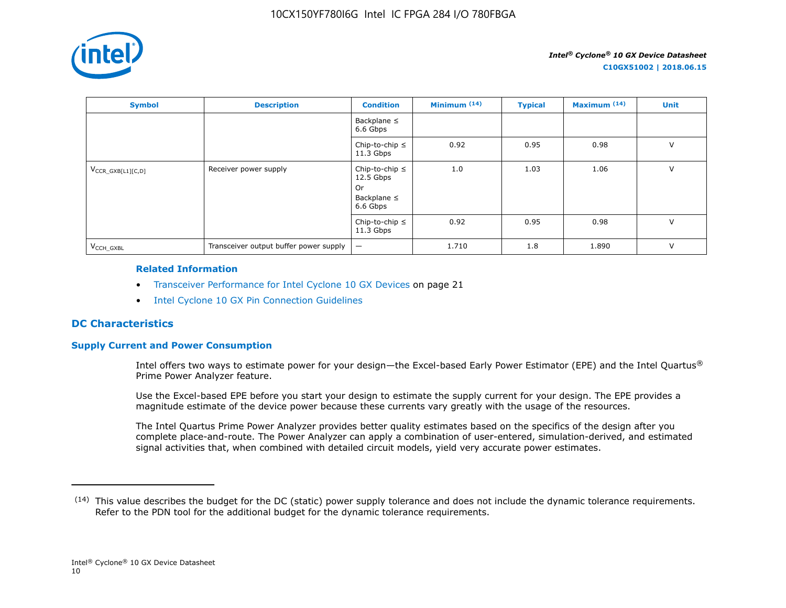

| <b>Symbol</b>          | <b>Description</b>                     | <b>Condition</b>                                                         | Minimum $(14)$ | <b>Typical</b> | Maximum <sup>(14)</sup> | <b>Unit</b> |
|------------------------|----------------------------------------|--------------------------------------------------------------------------|----------------|----------------|-------------------------|-------------|
|                        |                                        | Backplane $\leq$<br>6.6 Gbps                                             |                |                |                         |             |
|                        |                                        | Chip-to-chip $\leq$<br>$11.3$ Gbps                                       | 0.92           | 0.95           | 0.98                    | $\vee$      |
| $V_{CCR_GXB[L1][C,D]}$ | Receiver power supply                  | Chip-to-chip $\leq$<br>$12.5$ Gbps<br>0r<br>Backplane $\leq$<br>6.6 Gbps | 1.0            | 1.03           | 1.06                    | $\vee$      |
|                        |                                        | Chip-to-chip $\leq$<br>$11.3$ Gbps                                       | 0.92           | 0.95           | 0.98                    | $\vee$      |
| V <sub>CCH GXBL</sub>  | Transceiver output buffer power supply | $\qquad \qquad -$                                                        | 1.710          | 1.8            | 1.890                   | $\vee$      |

#### **Related Information**

- Transceiver Performance for Intel Cyclone 10 GX Devices on page 21
- [Intel Cyclone 10 GX Pin Connection Guidelines](https://documentation.altera.com/#/link/osf1485840198234/hjb1485915147847)

# **DC Characteristics**

# **Supply Current and Power Consumption**

Intel offers two ways to estimate power for your design—the Excel-based Early Power Estimator (EPE) and the Intel Quartus® Prime Power Analyzer feature.

Use the Excel-based EPE before you start your design to estimate the supply current for your design. The EPE provides a magnitude estimate of the device power because these currents vary greatly with the usage of the resources.

The Intel Quartus Prime Power Analyzer provides better quality estimates based on the specifics of the design after you complete place-and-route. The Power Analyzer can apply a combination of user-entered, simulation-derived, and estimated signal activities that, when combined with detailed circuit models, yield very accurate power estimates.

 $(14)$  This value describes the budget for the DC (static) power supply tolerance and does not include the dynamic tolerance requirements. Refer to the PDN tool for the additional budget for the dynamic tolerance requirements.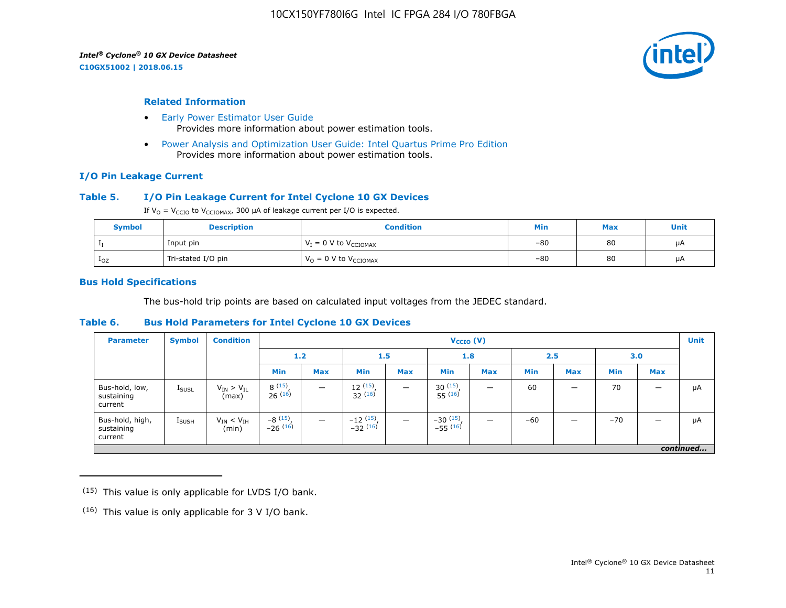**C10GX51002 | 2018.06.15**



#### **Related Information**

- [Early Power Estimator User Guide](https://www.altera.com/documentation/mhi1422370348549.html#mhi1422300784510) Provides more information about power estimation tools.
- [Power Analysis and Optimization User Guide: Intel Quartus Prime Pro Edition](https://www.altera.com/documentation/osq1513989409475.html#mwh1410384023666) Provides more information about power estimation tools.

#### **I/O Pin Leakage Current**

#### **Table 5. I/O Pin Leakage Current for Intel Cyclone 10 GX Devices**

If  $V_0 = V_{CCIO}$  to  $V_{CCIOMAX}$ , 300 µA of leakage current per I/O is expected.

| <b>Symbol</b> | <b>Description</b> | Condition                           | Min   | <b>Max</b> | Unit |
|---------------|--------------------|-------------------------------------|-------|------------|------|
|               | Input pin          | $V_I = 0$ V to $V_{\text{CCIOMAX}}$ | $-80$ | 80         | μA   |
| $1_{OZ}$      | Tri-stated I/O pin | $V_{O} = 0$ V to $V_{CCIOMAX}$      | $-80$ | 80         | μA   |

#### **Bus Hold Specifications**

The bus-hold trip points are based on calculated input voltages from the JEDEC standard.

#### **Table 6. Bus Hold Parameters for Intel Cyclone 10 GX Devices**

| <b>Parameter</b>                         | <b>Symbol</b>     | <b>Condition</b>             |                         | $V_{CCIO} (V)$           |                                           |                          |                              |            |            |            |       |            | <b>Unit</b> |
|------------------------------------------|-------------------|------------------------------|-------------------------|--------------------------|-------------------------------------------|--------------------------|------------------------------|------------|------------|------------|-------|------------|-------------|
|                                          |                   |                              |                         | 1.2<br>1.5               |                                           |                          | 1.8                          |            | 2.5        |            | 3.0   |            |             |
|                                          |                   |                              | Min                     | <b>Max</b>               | Min                                       | <b>Max</b>               | <b>Min</b>                   | <b>Max</b> | <b>Min</b> | <b>Max</b> | Min   | <b>Max</b> |             |
| Bus-hold, low,<br>sustaining<br>current  | <b>I</b> SUSL     | $V_{IN}$ > $V_{IL}$<br>(max) | 8(15)<br>26(16)         |                          | 12(15)<br>32(16)                          | $\overline{\phantom{m}}$ | $30^{(15)}$ .<br>$55^{(16)}$ | -          | 60         | –          | 70    |            | μA          |
| Bus-hold, high,<br>sustaining<br>current | $I_{\text{SUSH}}$ | $V_{IN}$ < $V_{IH}$<br>(min) | $-8(15)$ ,<br>$-26(16)$ | $\overline{\phantom{m}}$ | $-12$ $\frac{(15)}{-32}$ $\frac{(16)}{1}$ | $\overline{\phantom{m}}$ | $-30(15)$ ,<br>$-55(16)$     | -          | $-60$      |            | $-70$ |            | μA          |
|                                          |                   |                              |                         |                          |                                           |                          |                              |            |            |            |       |            | continued   |

 $(15)$  This value is only applicable for LVDS I/O bank.

 $(16)$  This value is only applicable for 3 V I/O bank.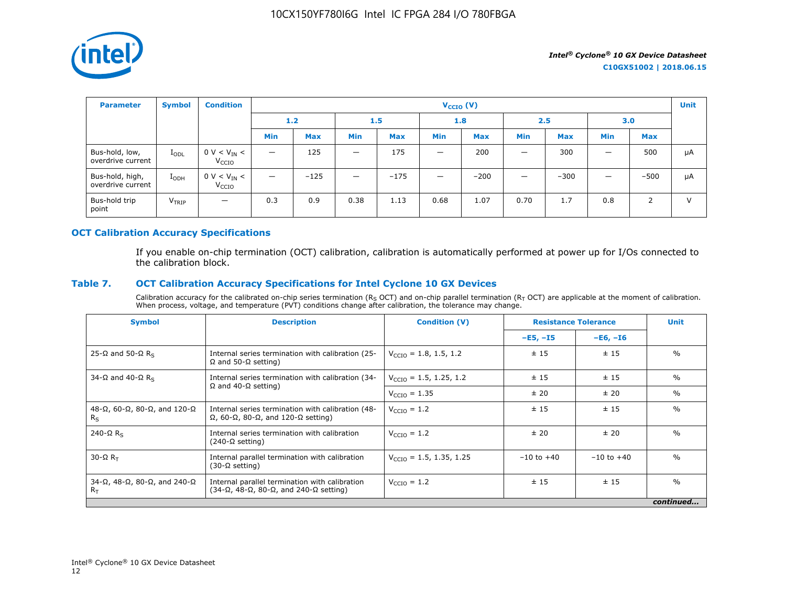

| <b>Parameter</b>                     | <b>Symbol</b>     | <b>Condition</b>                      |                                 |                         |                                |            | $V_{CCIO} (V)$           |            |                          |            |     |            | <b>Unit</b> |
|--------------------------------------|-------------------|---------------------------------------|---------------------------------|-------------------------|--------------------------------|------------|--------------------------|------------|--------------------------|------------|-----|------------|-------------|
|                                      |                   |                                       |                                 | 1.2 <sub>1</sub><br>1.5 |                                | 1.8        |                          | 2.5        |                          | 3.0        |     |            |             |
|                                      |                   |                                       | <b>Min</b>                      | <b>Max</b>              | <b>Min</b>                     | <b>Max</b> | <b>Min</b>               | <b>Max</b> | <b>Min</b>               | <b>Max</b> | Min | <b>Max</b> |             |
| Bus-hold, low,<br>overdrive current  | $I_{ODL}$         | $0 V < V_{IN} <$<br>V <sub>CCIO</sub> | $\qquad \qquad -$               | 125                     | $\qquad \qquad \longleftarrow$ | 175        | $\overline{\phantom{0}}$ | 200        | $\overline{\phantom{0}}$ | 300        | -   | 500        | μA          |
| Bus-hold, high,<br>overdrive current | $I_{ODH}$         | $0 V < V_{IN} <$<br>V <sub>CCIO</sub> | $\overbrace{\phantom{1232211}}$ | $-125$                  | $\qquad \qquad \longleftarrow$ | $-175$     | $\overline{\phantom{0}}$ | $-200$     | $\overline{\phantom{0}}$ | $-300$     | -   | $-500$     | μA          |
| Bus-hold trip<br>point               | V <sub>TRIP</sub> | $\overline{\phantom{m}}$              | 0.3                             | 0.9                     | 0.38                           | 1.13       | 0.68                     | 1.07       | 0.70                     | 1.7        | 0.8 | 2          | $\vee$      |

#### **OCT Calibration Accuracy Specifications**

If you enable on-chip termination (OCT) calibration, calibration is automatically performed at power up for I/Os connected to the calibration block.

# **Table 7. OCT Calibration Accuracy Specifications for Intel Cyclone 10 GX Devices**

Calibration accuracy for the calibrated on-chip series termination ( $R_S$  OCT) and on-chip parallel termination ( $R_T$  OCT) are applicable at the moment of calibration. When process, voltage, and temperature (PVT) conditions change after calibration, the tolerance may change.

| <b>Symbol</b>                                                          | <b>Description</b>                                                                                                       | <b>Condition (V)</b>                | <b>Resistance Tolerance</b> |                | <b>Unit</b>   |
|------------------------------------------------------------------------|--------------------------------------------------------------------------------------------------------------------------|-------------------------------------|-----------------------------|----------------|---------------|
|                                                                        |                                                                                                                          |                                     | $-E5, -I5$                  | $-E6, -I6$     |               |
| 25-Ω and 50-Ω R <sub>s</sub>                                           | Internal series termination with calibration (25-<br>$\Omega$ and 50- $\Omega$ setting)                                  | $V_{\text{CCTO}} = 1.8, 1.5, 1.2$   | ± 15                        | ±15            | $\frac{0}{0}$ |
| 34-Ω and 40-Ω R <sub>s</sub>                                           | Internal series termination with calibration (34-                                                                        | $V_{\text{CCIO}} = 1.5, 1.25, 1.2$  | ± 15                        | ±15            | $\%$          |
|                                                                        | $\Omega$ and 40- $\Omega$ setting)                                                                                       | $V_{\text{CCIO}} = 1.35$            | ± 20                        | ± 20           | $\%$          |
| $48-\Omega$ , 60- $\Omega$ , 80- $\Omega$ , and 120- $\Omega$<br>$R_S$ | Internal series termination with calibration (48-<br>$\Omega$ , 60- $\Omega$ , 80- $\Omega$ , and 120- $\Omega$ setting) | $V_{\text{CCIO}} = 1.2$             | ±15                         | ±15            | $\frac{0}{0}$ |
| 240- $\Omega$ R <sub>s</sub>                                           | Internal series termination with calibration<br>$(240-\Omega \text{ setting})$                                           | $V_{\text{CTO}} = 1.2$              | ±20                         | ± 20           | $\frac{0}{0}$ |
| $30 - \Omega R$                                                        | Internal parallel termination with calibration<br>$(30-\Omega \text{ setting})$                                          | $V_{\text{CCIO}} = 1.5, 1.35, 1.25$ | $-10$ to $+40$              | $-10$ to $+40$ | $\frac{0}{0}$ |
| $34-\Omega$ , $48-\Omega$ , $80-\Omega$ , and $240-\Omega$<br>$R_T$    | Internal parallel termination with calibration<br>$(34-\Omega, 48-\Omega, 80-\Omega,$ and $240-\Omega$ setting)          | $V_{\text{CCIO}} = 1.2$             | ± 15                        | ±15            | $\frac{0}{0}$ |
|                                                                        |                                                                                                                          |                                     |                             |                | continued     |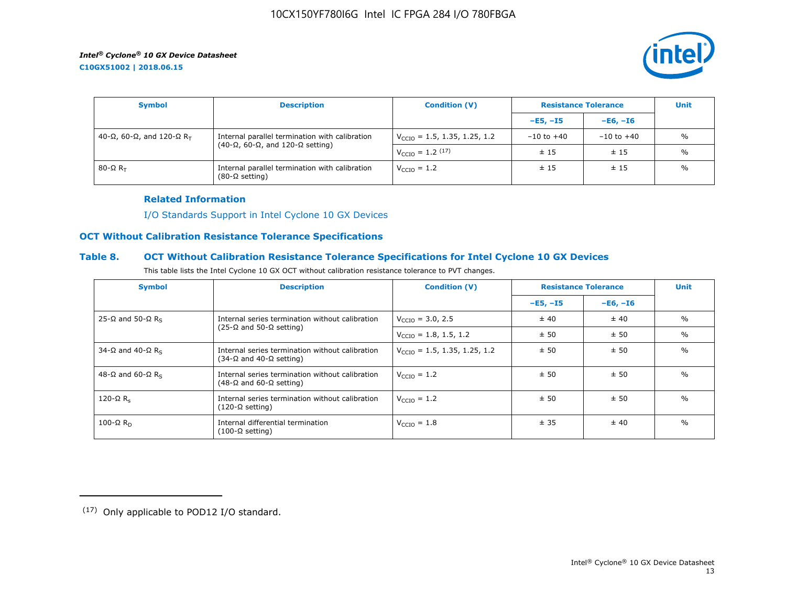**C10GX51002 | 2018.06.15**



| <b>Symbol</b>               | <b>Description</b>                                                                                    | <b>Condition (V)</b>                     | <b>Resistance Tolerance</b> |                | <b>Unit</b>   |
|-----------------------------|-------------------------------------------------------------------------------------------------------|------------------------------------------|-----------------------------|----------------|---------------|
|                             |                                                                                                       |                                          | $-E5, -15$                  | $-E6, -I6$     |               |
| 40-Ω, 60-Ω, and 120-Ω $R_T$ | Internal parallel termination with calibration<br>$(40-\Omega, 60-\Omega,$ and 120- $\Omega$ setting) | $V_{\text{CCIO}} = 1.5, 1.35, 1.25, 1.2$ | $-10$ to $+40$              | $-10$ to $+40$ | $\frac{0}{0}$ |
|                             |                                                                                                       | $V_{\text{CCIO}} = 1.2 \, (17)$          | ±15                         | ±15            | $\frac{0}{0}$ |
| 80-Ω $R_{\rm T}$            | Internal parallel termination with calibration<br>$(80-\Omega \text{ setting})$                       | $V_{\text{CCIO}} = 1.2$                  | ±15                         | ±15            | $\frac{0}{0}$ |

#### **Related Information**

[I/O Standards Support in Intel Cyclone 10 GX Devices](https://www.altera.com/documentation/vua1487061384661.html#ofz1487753759953)

# **OCT Without Calibration Resistance Tolerance Specifications**

### **Table 8. OCT Without Calibration Resistance Tolerance Specifications for Intel Cyclone 10 GX Devices**

| This table lists the Intel Cyclone 10 GX OCT without calibration resistance tolerance to PVT changes. |  |
|-------------------------------------------------------------------------------------------------------|--|
|-------------------------------------------------------------------------------------------------------|--|

| <b>Symbol</b>                | <b>Description</b>                                                                         | <b>Condition (V)</b>                     | <b>Resistance Tolerance</b> |            | <b>Unit</b>   |
|------------------------------|--------------------------------------------------------------------------------------------|------------------------------------------|-----------------------------|------------|---------------|
|                              |                                                                                            |                                          | $-E5, -15$                  | $-E6, -I6$ |               |
| 25-Ω and 50-Ω R <sub>s</sub> | Internal series termination without calibration                                            | $V_{\text{CCIO}} = 3.0, 2.5$             | ± 40                        | ± 40       | $\%$          |
|                              | $(25-\Omega)$ and 50-Ω setting)                                                            | $V_{\text{CCIO}} = 1.8, 1.5, 1.2$        | ± 50                        | ±50        | $\frac{0}{0}$ |
| 34-Ω and 40-Ω R <sub>s</sub> | Internal series termination without calibration<br>(34-Ω and 40-Ω setting)                 | $V_{\text{CCIO}} = 1.5, 1.35, 1.25, 1.2$ | ± 50                        | ± 50       | $\frac{0}{0}$ |
| 48-Ω and 60-Ω R <sub>s</sub> | Internal series termination without calibration<br>$(48-\Omega)$ and 60- $\Omega$ setting) | $V_{\text{CCIO}} = 1.2$                  | ± 50                        | ± 50       | $\frac{0}{0}$ |
| 120- $\Omega$ R <sub>s</sub> | Internal series termination without calibration<br>(120-Ω setting)                         | $V_{\text{CTO}} = 1.2$                   | ± 50                        | ± 50       | $\frac{0}{0}$ |
| 100-Ω $R_D$                  | Internal differential termination<br>$(100 - \Omega \text{ setting})$                      | $V_{\text{CCIO}} = 1.8$                  | ± 35                        | ± 40       | $\frac{0}{0}$ |

<sup>(17)</sup> Only applicable to POD12 I/O standard.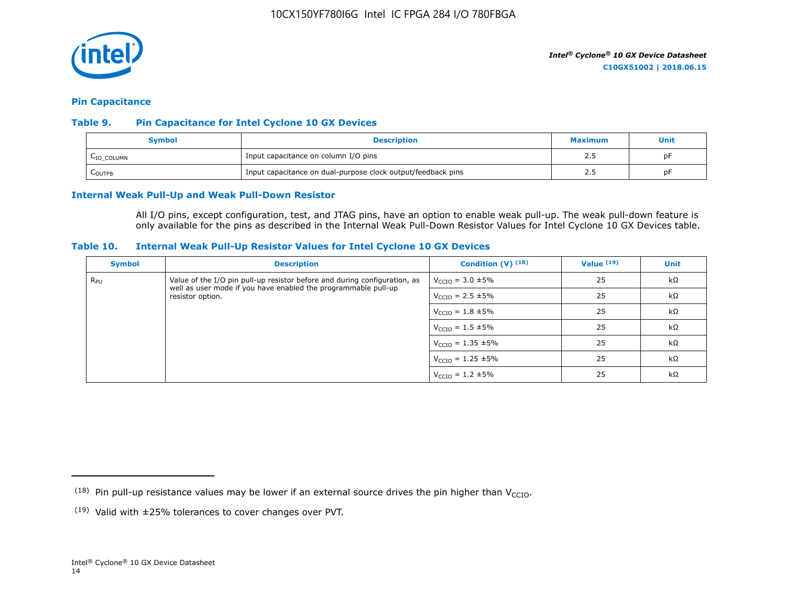

#### **Pin Capacitance**

#### **Table 9. Pin Capacitance for Intel Cyclone 10 GX Devices**

| Symbol                 | <b>Description</b>                                           |       |    |  |  |
|------------------------|--------------------------------------------------------------|-------|----|--|--|
| L <sub>IO_COLUMN</sub> | Input capacitance on column I/O pins                         | ر . ے | DF |  |  |
| LOUTFB                 | Input capacitance on dual-purpose clock output/feedback pins | ر . ے | pF |  |  |

#### **Internal Weak Pull-Up and Weak Pull-Down Resistor**

All I/O pins, except configuration, test, and JTAG pins, have an option to enable weak pull-up. The weak pull-down feature is only available for the pins as described in the Internal Weak Pull-Down Resistor Values for Intel Cyclone 10 GX Devices table.

#### **Table 10. Internal Weak Pull-Up Resistor Values for Intel Cyclone 10 GX Devices**

| <b>Symbol</b> | <b>Description</b>                                                                                                                          | Condition $(V)$ $(18)$           | Value $(19)$ | <b>Unit</b> |
|---------------|---------------------------------------------------------------------------------------------------------------------------------------------|----------------------------------|--------------|-------------|
| $R_{\rm PU}$  | Value of the I/O pin pull-up resistor before and during configuration, as<br>well as user mode if you have enabled the programmable pull-up | $V_{\text{CCIO}} = 3.0 \pm 5\%$  | 25           | $k\Omega$   |
|               | resistor option.                                                                                                                            | $V_{\text{CCIO}} = 2.5 \pm 5\%$  | 25           | $k\Omega$   |
|               |                                                                                                                                             | $V_{\text{CCIO}} = 1.8 \pm 5\%$  | 25           | $k\Omega$   |
|               |                                                                                                                                             | $V_{\text{CCIO}} = 1.5 \pm 5\%$  | 25           | $k\Omega$   |
|               |                                                                                                                                             | $V_{\text{CCIO}} = 1.35 \pm 5\%$ | 25           | kΩ          |
|               |                                                                                                                                             | $V_{\text{CCIO}} = 1.25 \pm 5\%$ | 25           | $k\Omega$   |
|               |                                                                                                                                             | $V_{\text{CCIO}} = 1.2 \pm 5\%$  | 25           | $k\Omega$   |

<sup>&</sup>lt;sup>(18)</sup> Pin pull-up resistance values may be lower if an external source drives the pin higher than V<sub>CCIO</sub>.

 $(19)$  Valid with  $\pm 25\%$  tolerances to cover changes over PVT.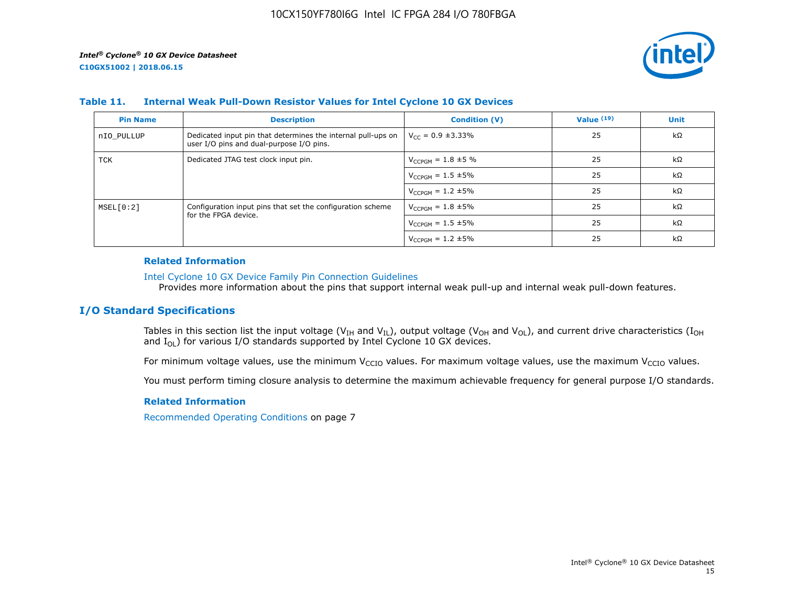

#### **Table 11. Internal Weak Pull-Down Resistor Values for Intel Cyclone 10 GX Devices**

| <b>Pin Name</b> | <b>Description</b>                                                                                       | <b>Condition (V)</b>       | Value $(19)$ | <b>Unit</b> |
|-----------------|----------------------------------------------------------------------------------------------------------|----------------------------|--------------|-------------|
| nIO PULLUP      | Dedicated input pin that determines the internal pull-ups on<br>user I/O pins and dual-purpose I/O pins. | $V_{CC} = 0.9 \pm 3.33\%$  | 25           | $k\Omega$   |
| TCK             | Dedicated JTAG test clock input pin.                                                                     | $V_{CCPGM} = 1.8 \pm 5 \%$ | 25           | $k\Omega$   |
|                 |                                                                                                          | $V_{CCPGM} = 1.5 \pm 5\%$  | 25           | $k\Omega$   |
|                 |                                                                                                          | $V_{CCPGM} = 1.2 \pm 5\%$  | 25           | $k\Omega$   |
| MSEL[0:2]       | Configuration input pins that set the configuration scheme                                               | $V_{CCPGM} = 1.8 \pm 5\%$  | 25           | $k\Omega$   |
|                 | for the FPGA device.                                                                                     | $V_{CCPGM} = 1.5 \pm 5\%$  | 25           | $k\Omega$   |
|                 |                                                                                                          | $V_{CCPGM} = 1.2 \pm 5\%$  | 25           | $k\Omega$   |

#### **Related Information**

#### [Intel Cyclone 10 GX Device Family Pin Connection Guidelines](https://www.altera.com/documentation/osf1485840198234.html#hjb1485915147847)

Provides more information about the pins that support internal weak pull-up and internal weak pull-down features.

### **I/O Standard Specifications**

Tables in this section list the input voltage (V<sub>IH</sub> and V<sub>IL</sub>), output voltage (V<sub>OH</sub> and V<sub>OL</sub>), and current drive characteristics (I<sub>OH</sub> and  $I_{OL}$ ) for various I/O standards supported by Intel Cyclone 10 GX devices.

For minimum voltage values, use the minimum V<sub>CCIO</sub> values. For maximum voltage values, use the maximum V<sub>CCIO</sub> values.

You must perform timing closure analysis to determine the maximum achievable frequency for general purpose I/O standards.

#### **Related Information**

Recommended Operating Conditions on page 7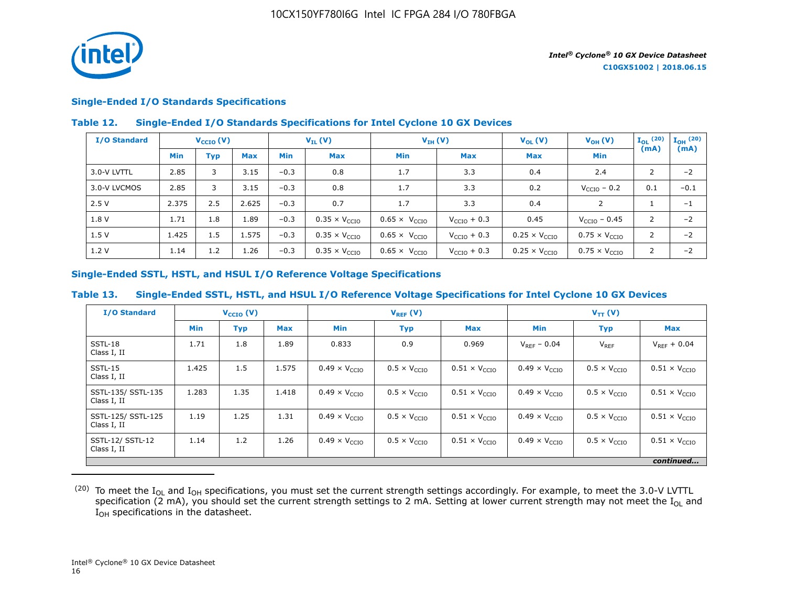

### **Single-Ended I/O Standards Specifications**

#### **Table 12. Single-Ended I/O Standards Specifications for Intel Cyclone 10 GX Devices**

| I/O Standard |            | $V_{\text{CCIO}}(V)$ | $V_{IL}(V)$ |            | $V_{IH} (V)$                  |                               | $V_{OL}(V)$             | $V_{OH} (V)$                  | $I_{OL}$ (20)                 | $\mathbf{I}_{\mathbf{OH}}$ (20) |        |
|--------------|------------|----------------------|-------------|------------|-------------------------------|-------------------------------|-------------------------|-------------------------------|-------------------------------|---------------------------------|--------|
|              | <b>Min</b> | Typ                  | <b>Max</b>  | <b>Min</b> | <b>Max</b>                    | <b>Min</b>                    | <b>Max</b>              | <b>Max</b>                    | <b>Min</b>                    | (mA)                            | (mA)   |
| 3.0-V LVTTL  | 2.85       | 3                    | 3.15        | $-0.3$     | 0.8                           | 1.7                           | 3.3                     | 0.4                           | 2.4                           | 2                               | $-2$   |
| 3.0-V LVCMOS | 2.85       | 3                    | 3.15        | $-0.3$     | 0.8                           | 1.7                           | 3.3                     | 0.2                           | $V_{\text{CCIO}}$ – 0.2       | 0.1                             | $-0.1$ |
| 2.5V         | 2.375      | 2.5                  | 2.625       | $-0.3$     | 0.7                           | 1.7                           | 3.3                     | 0.4                           | $\mathcal{P}$                 |                                 | $-1$   |
| 1.8 V        | 1.71       | 1.8                  | 1.89        | $-0.3$     | $0.35 \times V_{\text{CCIO}}$ | $0.65 \times V_{CCIO}$        | $V_{\text{CCIO}} + 0.3$ | 0.45                          | $V_{\text{CCIO}} - 0.45$      | 2                               | $-2$   |
| 1.5V         | 1.425      | 1.5                  | 1.575       | $-0.3$     | $0.35 \times V_{CCIO}$        | $0.65 \times V_{\text{CCIO}}$ | $V_{\text{CCIO}} + 0.3$ | $0.25 \times V_{CCIO}$        | $0.75 \times V_{\text{CCIO}}$ | 2                               | $-2$   |
| 1.2V         | 1.14       | 1.2                  | 1.26        | $-0.3$     | $0.35 \times V_{\text{CCIO}}$ | $0.65 \times V_{\text{CCIO}}$ | $V_{\text{CCIO}} + 0.3$ | $0.25 \times V_{\text{CCIO}}$ | $0.75 \times V_{\text{CCIO}}$ | $\overline{2}$                  | $-2$   |

#### **Single-Ended SSTL, HSTL, and HSUL I/O Reference Voltage Specifications**

#### **Table 13. Single-Ended SSTL, HSTL, and HSUL I/O Reference Voltage Specifications for Intel Cyclone 10 GX Devices**

| <b>I/O Standard</b>               |            | $V_{CCIO} (V)$ |            | $V_{REF}(V)$                  |                              |                               | $V_{TT} (V)$                  |                              |                               |
|-----------------------------------|------------|----------------|------------|-------------------------------|------------------------------|-------------------------------|-------------------------------|------------------------------|-------------------------------|
|                                   | <b>Min</b> | <b>Typ</b>     | <b>Max</b> | <b>Min</b>                    | <b>Typ</b>                   | <b>Max</b>                    | <b>Min</b>                    | <b>Typ</b>                   | <b>Max</b>                    |
| SSTL-18<br>Class I, II            | 1.71       | 1.8            | 1.89       | 0.833                         | 0.9                          | 0.969                         | $V_{RFF} - 0.04$              | $V_{REF}$                    | $V_{RFF}$ + 0.04              |
| SSTL-15<br>Class I, II            | 1.425      | 1.5            | 1.575      | $0.49 \times V_{CCIO}$        | $0.5 \times V_{\text{CCIO}}$ | $0.51 \times V_{CCIO}$        | $0.49 \times V_{CCIO}$        | $0.5 \times V_{\text{CCIO}}$ | $0.51 \times V_{\text{CCIO}}$ |
| SSTL-135/ SSTL-135<br>Class I, II | 1.283      | 1.35           | 1.418      | $0.49 \times V_{CCIO}$        | $0.5 \times V_{\text{CCIO}}$ | $0.51 \times V_{\text{CCIO}}$ | $0.49 \times V_{\text{CCIO}}$ | $0.5 \times V_{\text{CCIO}}$ | $0.51 \times V_{\text{CCIO}}$ |
| SSTL-125/ SSTL-125<br>Class I, II | 1.19       | 1.25           | 1.31       | $0.49 \times V_{\text{CCIO}}$ | $0.5 \times V_{\text{CTO}}$  | $0.51 \times V_{\text{CCIO}}$ | $0.49 \times V_{\text{CCIO}}$ | $0.5 \times V_{\text{CCIO}}$ | $0.51 \times V_{\text{CCIO}}$ |
| SSTL-12/ SSTL-12<br>Class I, II   | 1.14       | 1.2            | 1.26       | $0.49 \times V_{\text{CCIO}}$ | $0.5 \times V_{\text{CCIO}}$ | $0.51 \times V_{\text{CCIO}}$ | $0.49 \times V_{\text{CCIO}}$ | $0.5 \times V_{\text{CCIO}}$ | $0.51 \times V_{\text{CCIO}}$ |
|                                   |            |                |            |                               |                              |                               |                               |                              | continued                     |

 $^{(20)}$  To meet the I<sub>OL</sub> and I<sub>OH</sub> specifications, you must set the current strength settings accordingly. For example, to meet the 3.0-V LVTTL specification (2 mA), you should set the current strength settings to 2 mA. Setting at lower current strength may not meet the I<sub>OL</sub> and I<sub>OH</sub> specifications in the datasheet.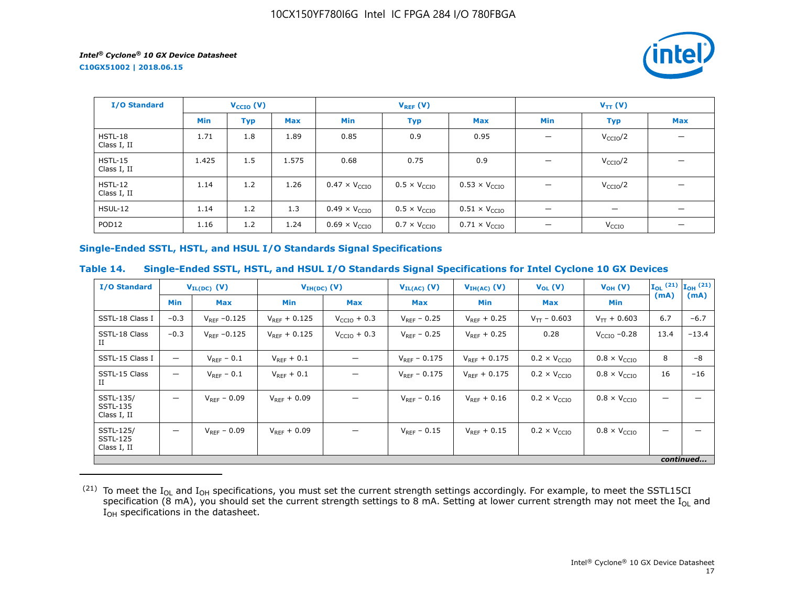**C10GX51002 | 2018.06.15**



| I/O Standard             |       | $V_{\text{CCIO}}(V)$ |       |                               | $V_{REF}(V)$                 |                               |                                | $V_{TT} (V)$                   |            |  |
|--------------------------|-------|----------------------|-------|-------------------------------|------------------------------|-------------------------------|--------------------------------|--------------------------------|------------|--|
|                          | Min   | <b>Typ</b>           | Max   | Min                           | <b>Typ</b>                   | <b>Max</b>                    | Min                            | <b>Typ</b>                     | <b>Max</b> |  |
| $HSTL-18$<br>Class I, II | 1.71  | 1.8                  | 1.89  | 0.85                          | 0.9                          | 0.95                          |                                | V <sub>CCIO</sub> /2           |            |  |
| $HSTL-15$<br>Class I, II | 1.425 | 1.5                  | 1.575 | 0.68                          | 0.75                         | 0.9                           |                                | $V_{\text{CCIO}}/2$            |            |  |
| $HSTL-12$<br>Class I, II | 1.14  | 1.2                  | 1.26  | $0.47 \times V_{CCIO}$        | $0.5 \times V_{\text{CCIO}}$ | $0.53 \times V_{CCIO}$        |                                | V <sub>CCIO</sub> /2           |            |  |
| HSUL-12                  | 1.14  | 1.2                  | 1.3   | $0.49 \times V_{\text{CCIO}}$ | $0.5 \times V_{\text{CCIO}}$ | $0.51 \times V_{\text{CCIO}}$ | $\qquad \qquad \longleftarrow$ | $\qquad \qquad \longleftarrow$ |            |  |
| POD <sub>12</sub>        | 1.16  | 1.2                  | 1.24  | $0.69 \times V_{\text{CCIO}}$ | $0.7 \times V_{\text{CCIO}}$ | $0.71 \times V_{\text{CCIO}}$ |                                | V <sub>CCIO</sub>              |            |  |

#### **Single-Ended SSTL, HSTL, and HSUL I/O Standards Signal Specifications**

#### **Table 14. Single-Ended SSTL, HSTL, and HSUL I/O Standards Signal Specifications for Intel Cyclone 10 GX Devices**

| <b>I/O Standard</b>                         | $V_{IL(DC)}$ (V)         |                   | $V_{IH(DC)}$ (V)  |                         | $V_{IL(AC)}$ (V)  | $V_{IH(AC)}$ (V)  | $V_{OL}(V)$                  | $V_{OH} (V)$                 |      | $\mathbf{I}_{OL}$ (21) $\mathbf{I}_{OH}$ (21) |
|---------------------------------------------|--------------------------|-------------------|-------------------|-------------------------|-------------------|-------------------|------------------------------|------------------------------|------|-----------------------------------------------|
|                                             | <b>Min</b>               | <b>Max</b>        | <b>Min</b>        | Max                     | Max               | Min               | <b>Max</b>                   | Min                          | (mA) | (mA)                                          |
| SSTL-18 Class I                             | $-0.3$                   | $V_{RFF} - 0.125$ | $V_{RFF}$ + 0.125 | $V_{\text{CCIO}} + 0.3$ | $V_{RFF}$ – 0.25  | $V_{RFF}$ + 0.25  | $V_{TT}$ – 0.603             | $V_{TT}$ + 0.603             | 6.7  | $-6.7$                                        |
| SSTL-18 Class<br>П                          | $-0.3$                   | $V_{REF}$ -0.125  | $V_{RFF} + 0.125$ | $V_{CCIO}$ + 0.3        | $V_{REF}$ – 0.25  | $V_{RFF}$ + 0.25  | 0.28                         | $VCCIO -0.28$                | 13.4 | $-13.4$                                       |
| SSTL-15 Class I                             | $\overline{\phantom{0}}$ | $V_{REF}$ – 0.1   | $V_{REF}$ + 0.1   |                         | $V_{RFF} - 0.175$ | $V_{RFF}$ + 0.175 | $0.2 \times V_{\text{CCIO}}$ | $0.8 \times V_{\text{CCIO}}$ | 8    | $-8$                                          |
| SSTL-15 Class<br>П                          | $\overline{\phantom{0}}$ | $V_{RFF}$ – 0.1   | $V_{REF} + 0.1$   |                         | $V_{RFF}$ – 0.175 | $V_{RFF}$ + 0.175 | $0.2 \times V_{\text{CCIO}}$ | $0.8 \times V_{\text{CCIO}}$ | 16   | $-16$                                         |
| SSTL-135/<br><b>SSTL-135</b><br>Class I, II | $\overline{\phantom{0}}$ | $V_{REF} - 0.09$  | $V_{RFF} + 0.09$  |                         | $V_{RFF} - 0.16$  | $V_{RFF}$ + 0.16  | $0.2 \times V_{\text{CCIO}}$ | $0.8 \times V_{\text{CCIO}}$ |      |                                               |
| SSTL-125/<br><b>SSTL-125</b><br>Class I, II | —                        | $V_{RFF}$ – 0.09  | $V_{RFF}$ + 0.09  |                         | $V_{RFF}$ – 0.15  | $V_{RFF}$ + 0.15  | $0.2 \times V_{\text{CCIO}}$ | $0.8 \times V_{\text{CCIO}}$ |      |                                               |
|                                             |                          |                   |                   |                         |                   |                   |                              |                              |      | continued                                     |

 $^{(21)}$  To meet the I<sub>OL</sub> and I<sub>OH</sub> specifications, you must set the current strength settings accordingly. For example, to meet the SSTL15CI specification (8 mA), you should set the current strength settings to 8 mA. Setting at lower current strength may not meet the I<sub>OL</sub> and  $I_{OH}$  specifications in the datasheet.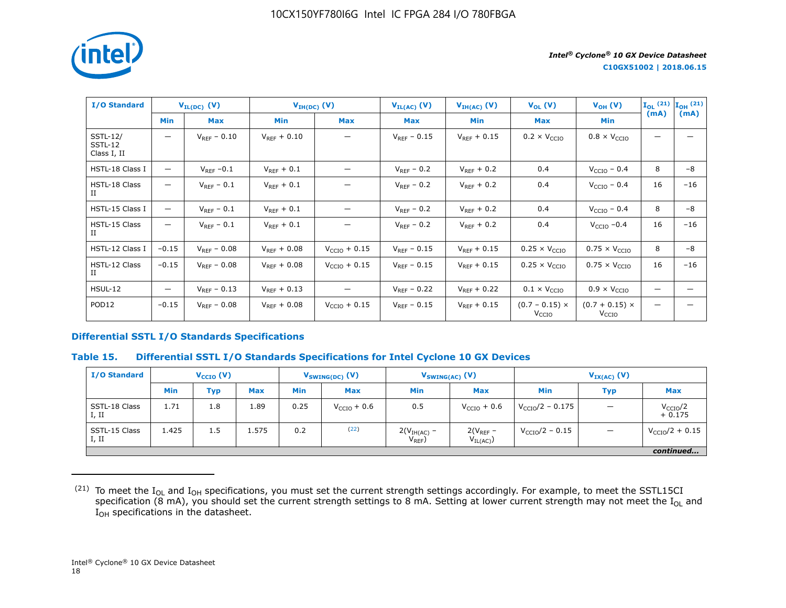

| <b>I/O Standard</b>                       |         | $V_{IL(DC)}$ (V) |                  | $V_{IH(DC)}(V)$          | $V_{IL(AC)}(V)$  | $V_{IH(AC)}(V)$  | $V_{OL} (V)$                               | $V_{OH} (V)$                          |      | $\mathbf{I}_{OL}$ (21) $\mathbf{I}_{OH}$ (21) |
|-------------------------------------------|---------|------------------|------------------|--------------------------|------------------|------------------|--------------------------------------------|---------------------------------------|------|-----------------------------------------------|
|                                           | Min     | <b>Max</b>       | <b>Min</b>       | <b>Max</b>               | <b>Max</b>       | Min              | <b>Max</b>                                 | <b>Min</b>                            | (mA) | (mA)                                          |
| <b>SSTL-12/</b><br>SSTL-12<br>Class I, II | —       | $V_{RFF} - 0.10$ | $V_{RFF}$ + 0.10 |                          | $V_{RFF}$ – 0.15 | $V_{RFF}$ + 0.15 | $0.2 \times V_{\text{CCIO}}$               | $0.8 \times V_{\text{CCIO}}$          |      |                                               |
| HSTL-18 Class I                           | —       | $V_{REF}$ -0.1   | $V_{RFF}$ + 0.1  |                          | $V_{RFF}$ – 0.2  | $V_{RFF}$ + 0.2  | 0.4                                        | $V_{\text{CCIO}}$ – 0.4               | 8    | -8                                            |
| HSTL-18 Class<br>П                        | —       | $V_{REF}$ – 0.1  | $V_{REF}$ + 0.1  |                          | $V_{REF}$ – 0.2  | $V_{REF}$ + 0.2  | 0.4                                        | $VCCIO - 0.4$                         | 16   | $-16$                                         |
| HSTL-15 Class I                           | —       | $V_{REF}$ – 0.1  | $V_{REF} + 0.1$  |                          | $V_{REF}$ – 0.2  | $V_{REF}$ + 0.2  | 0.4                                        | $V_{CCIO}$ – 0.4                      | 8    | -8                                            |
| HSTL-15 Class<br>П                        | —       | $V_{RFF}$ – 0.1  | $V_{REF} + 0.1$  |                          | $V_{REF}$ – 0.2  | $V_{REF}$ + 0.2  | 0.4                                        | $VCCIO -0.4$                          | 16   | $-16$                                         |
| HSTL-12 Class I                           | $-0.15$ | $V_{REF} - 0.08$ | $V_{RFF} + 0.08$ | $VCCIO + 0.15$           | $V_{RFF} - 0.15$ | $V_{REF} + 0.15$ | $0.25 \times V_{CCIO}$                     | $0.75 \times V_{CCIO}$                | 8    | $-8$                                          |
| HSTL-12 Class<br>П                        | $-0.15$ | $V_{RFF} - 0.08$ | $V_{RFF}$ + 0.08 | $V_{\text{CCIO}} + 0.15$ | $V_{REF}$ – 0.15 | $V_{RFF}$ + 0.15 | $0.25 \times V_{\text{CCIO}}$              | $0.75 \times V_{\text{CCIO}}$         | 16   | $-16$                                         |
| <b>HSUL-12</b>                            | —       | $V_{RFF}$ – 0.13 | $V_{RFF}$ + 0.13 |                          | $V_{RFF}$ – 0.22 | $V_{RFF}$ + 0.22 | $0.1 \times V_{\text{CCIO}}$               | $0.9 \times V_{\text{CCIO}}$          |      |                                               |
| POD <sub>12</sub>                         | $-0.15$ | $V_{RFF} - 0.08$ | $V_{RFF}$ + 0.08 | $V_{\text{CCIO}} + 0.15$ | $V_{RFF}$ - 0.15 | $V_{RFF}$ + 0.15 | $(0.7 - 0.15) \times$<br>V <sub>CCIO</sub> | $(0.7 + 0.15)$ ×<br>V <sub>CCIO</sub> |      |                                               |

#### **Differential SSTL I/O Standards Specifications**

#### **Table 15. Differential SSTL I/O Standards Specifications for Intel Cyclone 10 GX Devices**

| <b>I/O Standard</b>    | $V_{\text{CCIO}}(V)$ |            |            | $V_{SWING(DC)}$ (V) |                         | $V_{SWING(AC)}$ (V)          |                               | $V_{IX(AC)}$ (V)            |            |                                  |
|------------------------|----------------------|------------|------------|---------------------|-------------------------|------------------------------|-------------------------------|-----------------------------|------------|----------------------------------|
|                        | Min                  | <b>Typ</b> | <b>Max</b> | <b>Min</b>          | <b>Max</b>              | <b>Min</b>                   | <b>Max</b>                    | <b>Min</b>                  | <b>Typ</b> | <b>Max</b>                       |
| SSTL-18 Class<br>I, II | 1.71                 | 1.8        | 1.89       | 0.25                | $V_{\text{CCIO}} + 0.6$ | 0.5                          | $V_{\text{CCIO}} + 0.6$       | $V_{\text{CCIO}}/2 - 0.175$ | —          | V <sub>CCIO</sub> /2<br>$+0.175$ |
| SSTL-15 Class<br>I, II | 1.425                | 1.5        | 1.575      | 0.2                 | (22)                    | $2(VIH(AC) -$<br>$V_{REF}$ ) | $2(V_{REF}$ –<br>$V_{IL(AC)}$ | $V_{\rm CCIO}/2 - 0.15$     |            | $V_{\rm CCIO}/2 + 0.15$          |
|                        |                      |            |            |                     |                         |                              |                               |                             |            | continued                        |

 $^{(21)}$  To meet the I<sub>OL</sub> and I<sub>OH</sub> specifications, you must set the current strength settings accordingly. For example, to meet the SSTL15CI specification (8 mA), you should set the current strength settings to 8 mA. Setting at lower current strength may not meet the I<sub>OL</sub> and  $I_{OH}$  specifications in the datasheet.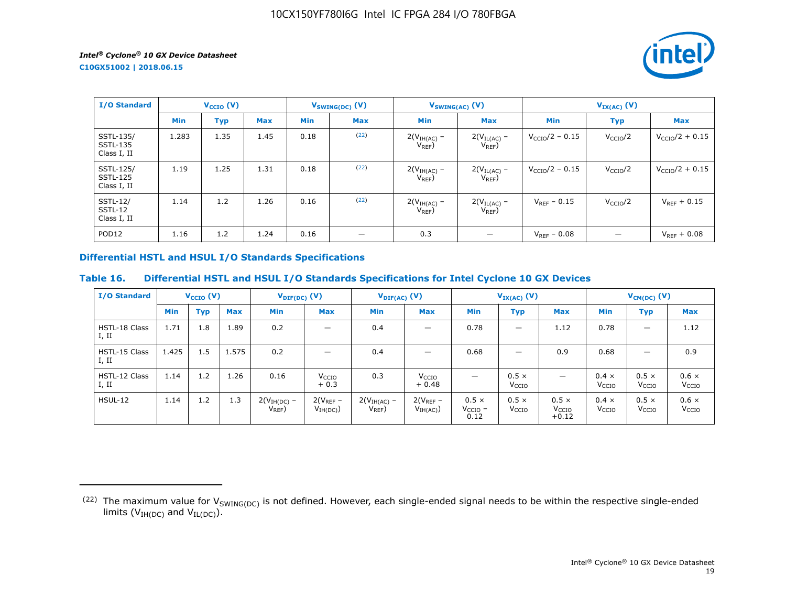*intel* 

**C10GX51002 | 2018.06.15**

| <b>I/O Standard</b>                         | $V_{\text{CCIO}}(V)$ |            |            | $V_{SWING(DC)}(V)$ | $V_{SWING(AC)}$ (V) |                              | $V_{IX(AC)}$ (V)                |                         |                      |                            |
|---------------------------------------------|----------------------|------------|------------|--------------------|---------------------|------------------------------|---------------------------------|-------------------------|----------------------|----------------------------|
|                                             | <b>Min</b>           | <b>Typ</b> | <b>Max</b> | <b>Min</b>         | <b>Max</b>          | <b>Min</b>                   | <b>Max</b>                      | <b>Min</b>              | <b>Typ</b>           | <b>Max</b>                 |
| SSTL-135/<br><b>SSTL-135</b><br>Class I, II | 1.283                | 1.35       | 1.45       | 0.18               | (22)                | $2(VIH(AC) -$<br>$V_{REF}$   | $2(V_{IL(AC)} -$<br>$V_{REF}$ ) | $V_{\rm CCIO}/2 - 0.15$ | V <sub>CCIO</sub> /2 | $V_{\text{CCIO}}/2 + 0.15$ |
| SSTL-125/<br><b>SSTL-125</b><br>Class I, II | 1.19                 | 1.25       | 1.31       | 0.18               | (22)                | $2(VIH(AC)$ –<br>$V_{REF}$ ) | $2(V_{IL(AC)} -$<br>$V_{REF}$   | $V_{\rm CCIO}/2 - 0.15$ | V <sub>CCIO</sub> /2 | $V_{\rm CCIO}/2 + 0.15$    |
| <b>SSTL-12/</b><br>SSTL-12<br>Class I, II   | 1.14                 | 1.2        | 1.26       | 0.16               | (22)                | $2(VIH(AC)$ –<br>$V_{REF}$ ) | $2(V_{IL(AC)}$ –<br>$V_{REF}$ ) | $V_{RFF}$ – 0.15        | V <sub>CCIO</sub> /2 | $V_{RFF}$ + 0.15           |
| POD <sub>12</sub>                           | 1.16                 | 1.2        | 1.24       | 0.16               |                     | 0.3                          |                                 | $V_{RFF} - 0.08$        |                      | $V_{REF} + 0.08$           |

### **Differential HSTL and HSUL I/O Standards Specifications**

# **Table 16. Differential HSTL and HSUL I/O Standards Specifications for Intel Cyclone 10 GX Devices**

| <b>I/O Standard</b>    |       | $V_{\text{CCIO}}(V)$ |            |                              | $V_{\text{DIF(DC)}}(V)$      |                            | $V_{\text{DIF(AC)}}$ (V)     |                                      | $V_{IX(AC)}$ (V)                  |                                              | $V_{CM(DC)}(V)$                   |                                   |                                   |
|------------------------|-------|----------------------|------------|------------------------------|------------------------------|----------------------------|------------------------------|--------------------------------------|-----------------------------------|----------------------------------------------|-----------------------------------|-----------------------------------|-----------------------------------|
|                        | Min   | <b>Typ</b>           | <b>Max</b> | <b>Min</b>                   | <b>Max</b>                   | <b>Min</b>                 | <b>Max</b>                   | <b>Min</b>                           | <b>Typ</b>                        | <b>Max</b>                                   | Min                               | <b>Typ</b>                        | Max                               |
| HSTL-18 Class<br>I, II | 1.71  | 1.8                  | 1.89       | 0.2                          | -                            | 0.4                        |                              | 0.78                                 |                                   | 1.12                                         | 0.78                              | $\overline{\phantom{m}}$          | 1.12                              |
| HSTL-15 Class<br>I, II | 1.425 | 1.5                  | 1.575      | 0.2                          |                              | 0.4                        |                              | 0.68                                 | –                                 | 0.9                                          | 0.68                              | -                                 | 0.9                               |
| HSTL-12 Class<br>I, II | 1.14  | 1.2                  | 1.26       | 0.16                         | V <sub>CCIO</sub><br>$+0.3$  | 0.3                        | V <sub>CCIO</sub><br>$+0.48$ |                                      | $0.5 \times$<br>V <sub>CCIO</sub> | $\qquad \qquad \longleftarrow$               | $0.4 \times$<br>V <sub>CCIO</sub> | $0.5 \times$<br>V <sub>CCIO</sub> | $0.6 \times$<br>V <sub>CCIO</sub> |
| <b>HSUL-12</b>         | 1.14  | 1.2                  | 1.3        | $2(VIH(DC)$ –<br>$V_{REF}$ ) | $2(V_{REF}-$<br>$V_{IH(DC)}$ | $2(VIH(AC)$ –<br>$V_{REF}$ | $2(V_{REF}-$<br>$V_{IH(AC)}$ | $0.5 \times$<br>$V_{CCIO}$ -<br>0.12 | $0.5 \times$<br>V <sub>CCIO</sub> | $0.5 \times$<br>V <sub>CCIO</sub><br>$+0.12$ | $0.4 \times$<br>V <sub>CCIO</sub> | $0.5 \times$<br>V <sub>CCIO</sub> | $0.6 \times$<br>V <sub>CCIO</sub> |

<sup>(22)</sup> The maximum value for  $V_{SWING(DC)}$  is not defined. However, each single-ended signal needs to be within the respective single-ended limits ( $V_{IH(DC)}$  and  $V_{IL(DC)}$ ).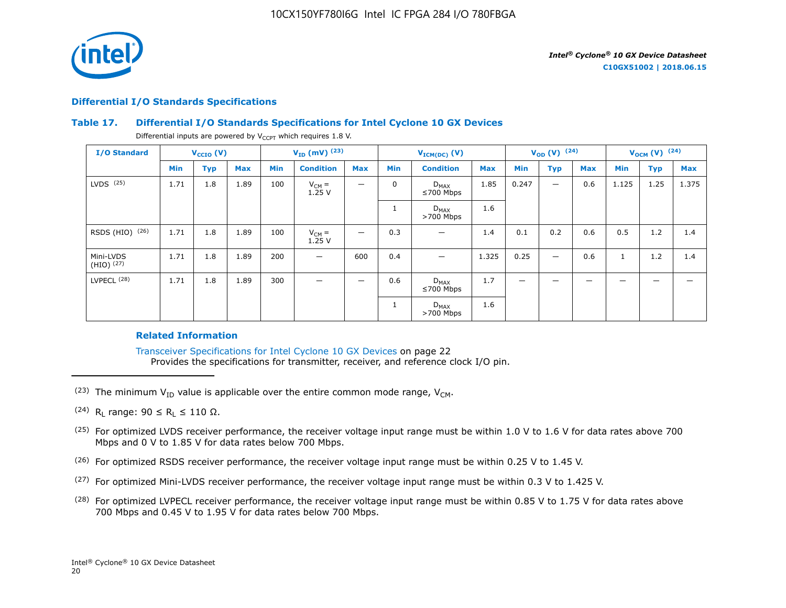

#### **Differential I/O Standards Specifications**

#### **Table 17. Differential I/O Standards Specifications for Intel Cyclone 10 GX Devices**

Differential inputs are powered by  $V_{CCPT}$  which requires 1.8 V.

| <b>I/O Standard</b>       |      | $V_{CCIO} (V)$ |            |            | $V_{ID}$ (mV) $^{(23)}$ |            |             | $V_{ICM(DC)}(V)$             |            | $V_{OD} (V)$ (24)        |            |            | $V_{OCM}$ (V) $(24)$ |            |            |
|---------------------------|------|----------------|------------|------------|-------------------------|------------|-------------|------------------------------|------------|--------------------------|------------|------------|----------------------|------------|------------|
|                           | Min  | <b>Typ</b>     | <b>Max</b> | <b>Min</b> | <b>Condition</b>        | <b>Max</b> | <b>Min</b>  | <b>Condition</b>             | <b>Max</b> | Min                      | <b>Typ</b> | <b>Max</b> | Min                  | <b>Typ</b> | <b>Max</b> |
| $LVDS$ $(25)$             | 1.71 | 1.8            | 1.89       | 100        | $V_{CM} =$<br>1.25V     | -          | $\mathbf 0$ | $D_{MAX}$<br>$≤700$ Mbps     | 1.85       | 0.247                    |            | 0.6        | 1.125                | 1.25       | 1.375      |
|                           |      |                |            |            |                         |            |             | $D_{MAX}$<br>$>700$ Mbps     | 1.6        |                          |            |            |                      |            |            |
| RSDS (HIO) (26)           | 1.71 | 1.8            | 1.89       | 100        | $V_{CM} =$<br>1.25V     | —          | 0.3         |                              | 1.4        | 0.1                      | 0.2        | 0.6        | 0.5                  | 1.2        | 1.4        |
| Mini-LVDS<br>$(HIO)$ (27) | 1.71 | 1.8            | 1.89       | 200        | —                       | 600        | 0.4         |                              | 1.325      | 0.25                     |            | 0.6        | $\mathbf{1}$         | 1.2        | 1.4        |
| LVPECL <sup>(28)</sup>    | 1.71 | 1.8            | 1.89       | 300        | _                       | —          | 0.6         | $D_{MAX}$<br>$\leq 700$ Mbps | 1.7        | $\overline{\phantom{m}}$ | -          | _          | -                    | -          |            |
|                           |      |                |            |            |                         |            |             | $D_{MAX}$<br>$>700$ Mbps     | 1.6        |                          |            |            |                      |            |            |

#### **Related Information**

Transceiver Specifications for Intel Cyclone 10 GX Devices on page 22 Provides the specifications for transmitter, receiver, and reference clock I/O pin.

- (23) The minimum  $V_{ID}$  value is applicable over the entire common mode range,  $V_{CM}$ .
- $(24)$  R<sub>L</sub> range: 90 ≤ R<sub>L</sub> ≤ 110 Ω.
- <sup>(25)</sup> For optimized LVDS receiver performance, the receiver voltage input range must be within 1.0 V to 1.6 V for data rates above 700 Mbps and 0 V to 1.85 V for data rates below 700 Mbps.
- $(26)$  For optimized RSDS receiver performance, the receiver voltage input range must be within 0.25 V to 1.45 V.
- (27) For optimized Mini-LVDS receiver performance, the receiver voltage input range must be within 0.3 V to 1.425 V.
- <sup>(28)</sup> For optimized LVPECL receiver performance, the receiver voltage input range must be within 0.85 V to 1.75 V for data rates above 700 Mbps and 0.45 V to 1.95 V for data rates below 700 Mbps.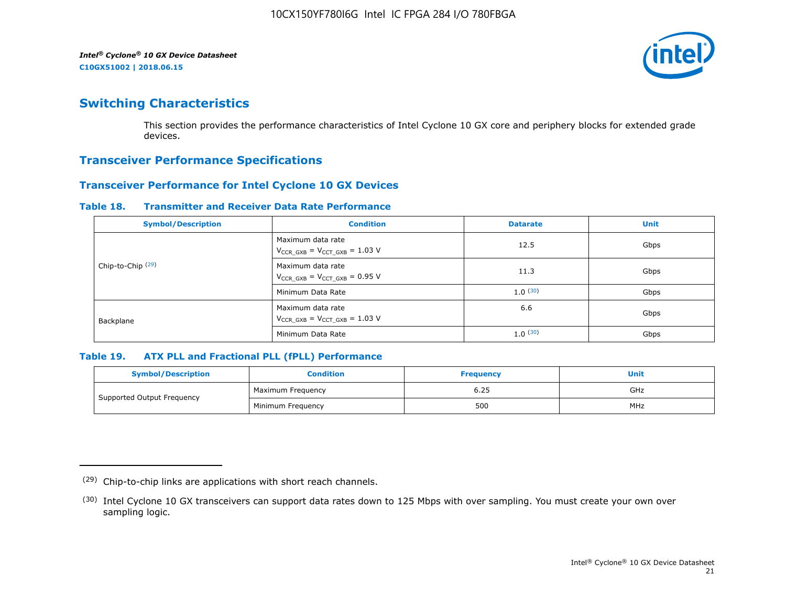

# **Switching Characteristics**

This section provides the performance characteristics of Intel Cyclone 10 GX core and periphery blocks for extended grade devices.

# **Transceiver Performance Specifications**

# **Transceiver Performance for Intel Cyclone 10 GX Devices**

#### **Table 18. Transmitter and Receiver Data Rate Performance**

| <b>Symbol/Description</b>    | <b>Condition</b>                                            | <b>Datarate</b> | <b>Unit</b> |
|------------------------------|-------------------------------------------------------------|-----------------|-------------|
|                              | Maximum data rate<br>$V_{CCR_GXB} = V_{CCT_GXB} = 1.03 V$   | 12.5            | Gbps        |
| Chip-to-Chip <sup>(29)</sup> | Maximum data rate<br>$V_{CCR_GXB} = V_{CCT_GXB} = 0.95 V$   | 11.3            | Gbps        |
|                              | Minimum Data Rate                                           | 1.0(30)         | Gbps        |
| Backplane                    | Maximum data rate<br>$V_{CCR\ GXB} = V_{CCT\ GXB} = 1.03$ V | 6.6             | Gbps        |
|                              | Minimum Data Rate                                           | 1.0(30)         | Gbps        |

#### **Table 19. ATX PLL and Fractional PLL (fPLL) Performance**

| <b>Symbol/Description</b>  | Condition         | <b>Frequency</b> | <b>Unit</b> |
|----------------------------|-------------------|------------------|-------------|
|                            | Maximum Frequency | 6.25             | GHz         |
| Supported Output Frequency | Minimum Freguency | 500              | MHz         |

<sup>(29)</sup> Chip-to-chip links are applications with short reach channels.

<sup>(30)</sup> Intel Cyclone 10 GX transceivers can support data rates down to 125 Mbps with over sampling. You must create your own over sampling logic.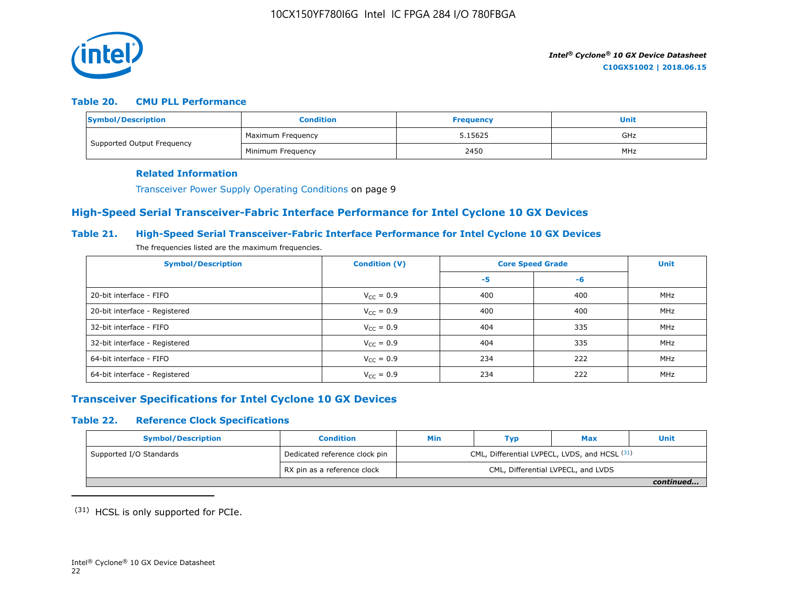

#### **Table 20. CMU PLL Performance**

| Symbol/Description         | <b>Condition</b>  | <b>Frequency</b> | Unit |
|----------------------------|-------------------|------------------|------|
| Supported Output Frequency | Maximum Frequency | 5.15625          | GHz  |
|                            | Minimum Freguency | 2450             | MHz  |

#### **Related Information**

Transceiver Power Supply Operating Conditions on page 9

# **High-Speed Serial Transceiver-Fabric Interface Performance for Intel Cyclone 10 GX Devices**

#### **Table 21. High-Speed Serial Transceiver-Fabric Interface Performance for Intel Cyclone 10 GX Devices**

The frequencies listed are the maximum frequencies.

| <b>Symbol/Description</b>     | <b>Condition (V)</b>  | <b>Core Speed Grade</b> | <b>Unit</b> |            |
|-------------------------------|-----------------------|-------------------------|-------------|------------|
|                               |                       | -5                      | -6          |            |
| 20-bit interface - FIFO       | $V_{CC} = 0.9$        | 400                     | 400         | MHz        |
| 20-bit interface - Registered | $V_{CC} = 0.9$        | 400                     | 400         | <b>MHz</b> |
| 32-bit interface - FIFO       | $V_{CC} = 0.9$        | 404                     | 335         | MHz        |
| 32-bit interface - Registered | $V_{\text{CC}} = 0.9$ | 404                     | 335         | MHz        |
| 64-bit interface - FIFO       | $V_{CC} = 0.9$        | 234                     | 222         | MHz        |
| 64-bit interface - Registered | $V_{\text{CC}} = 0.9$ | 234                     | 222         | MHz        |

# **Transceiver Specifications for Intel Cyclone 10 GX Devices**

### **Table 22. Reference Clock Specifications**

| <b>Symbol/Description</b>            | <b>Condition</b>              | Min                                           | Typ | <b>Max</b>                         | Unit      |  |  |
|--------------------------------------|-------------------------------|-----------------------------------------------|-----|------------------------------------|-----------|--|--|
| <sup>1</sup> Supported I/O Standards | Dedicated reference clock pin | CML, Differential LVPECL, LVDS, and HCSL (31) |     |                                    |           |  |  |
|                                      | RX pin as a reference clock   |                                               |     | CML, Differential LVPECL, and LVDS |           |  |  |
|                                      |                               |                                               |     |                                    | continued |  |  |

(31) HCSL is only supported for PCIe.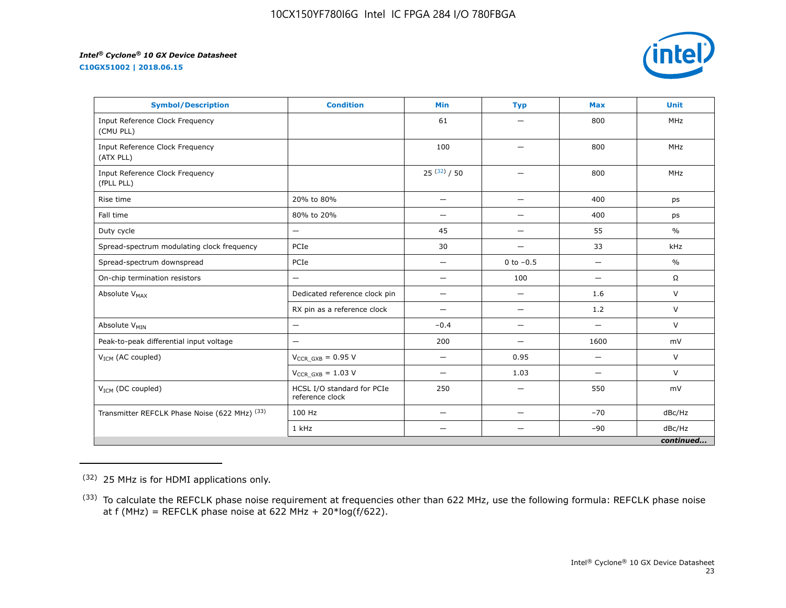**C10GX51002 | 2018.06.15**



| <b>Symbol/Description</b>                     | <b>Condition</b>                              | <b>Min</b>               | <b>Typ</b>               | <b>Max</b>                      | <b>Unit</b>   |
|-----------------------------------------------|-----------------------------------------------|--------------------------|--------------------------|---------------------------------|---------------|
| Input Reference Clock Frequency<br>(CMU PLL)  |                                               | 61                       | —                        | 800                             | MHz           |
| Input Reference Clock Frequency<br>(ATX PLL)  |                                               | 100                      | $\overline{\phantom{0}}$ | 800                             | <b>MHz</b>    |
| Input Reference Clock Frequency<br>(fPLL PLL) |                                               | $25^{(32)}/50$           | $\overline{\phantom{0}}$ | 800                             | <b>MHz</b>    |
| Rise time                                     | 20% to 80%                                    | $\overline{\phantom{0}}$ | $\overline{\phantom{0}}$ | 400                             | ps            |
| Fall time                                     | 80% to 20%                                    | $\overline{\phantom{0}}$ | $\overline{\phantom{0}}$ | 400                             | ps            |
| Duty cycle                                    | —                                             | 45                       | $\overline{\phantom{0}}$ | 55                              | $\frac{0}{0}$ |
| Spread-spectrum modulating clock frequency    | PCIe                                          | 30                       | —                        | 33                              | kHz           |
| Spread-spectrum downspread                    | PCIe                                          | $\qquad \qquad -$        | 0 to $-0.5$              | $\overbrace{\phantom{1232211}}$ | $\frac{0}{0}$ |
| On-chip termination resistors                 | —                                             | $\qquad \qquad -$        | 100                      | $\overbrace{\phantom{1232211}}$ | $\Omega$      |
| Absolute V <sub>MAX</sub>                     | Dedicated reference clock pin                 | -                        | $\overline{\phantom{0}}$ | 1.6                             | $\vee$        |
|                                               | RX pin as a reference clock                   | $\qquad \qquad -$        | —                        | 1.2                             | V             |
| Absolute V <sub>MIN</sub>                     | —                                             | $-0.4$                   | —                        | $\overbrace{\phantom{1232211}}$ | $\vee$        |
| Peak-to-peak differential input voltage       | —                                             | 200                      | $\overline{\phantom{0}}$ | 1600                            | mV            |
| V <sub>ICM</sub> (AC coupled)                 | $V_{CCR_GXB} = 0.95 V$                        |                          | 0.95                     | $\overline{\phantom{0}}$        | V             |
|                                               | $V_{CCR\ GXB} = 1.03 V$                       | —                        | 1.03                     | -                               | V             |
| V <sub>ICM</sub> (DC coupled)                 | HCSL I/O standard for PCIe<br>reference clock | 250                      | $\overline{\phantom{0}}$ | 550                             | mV            |
| Transmitter REFCLK Phase Noise (622 MHz) (33) | 100 Hz                                        | —                        | —                        | $-70$                           | dBc/Hz        |
|                                               | 1 kHz                                         |                          |                          | $-90$                           | dBc/Hz        |
|                                               |                                               |                          |                          |                                 | continued     |

<sup>(32)</sup> 25 MHz is for HDMI applications only.

<sup>&</sup>lt;sup>(33)</sup> To calculate the REFCLK phase noise requirement at frequencies other than 622 MHz, use the following formula: REFCLK phase noise at f (MHz) = REFCLK phase noise at 622 MHz +  $20*log(f/622)$ .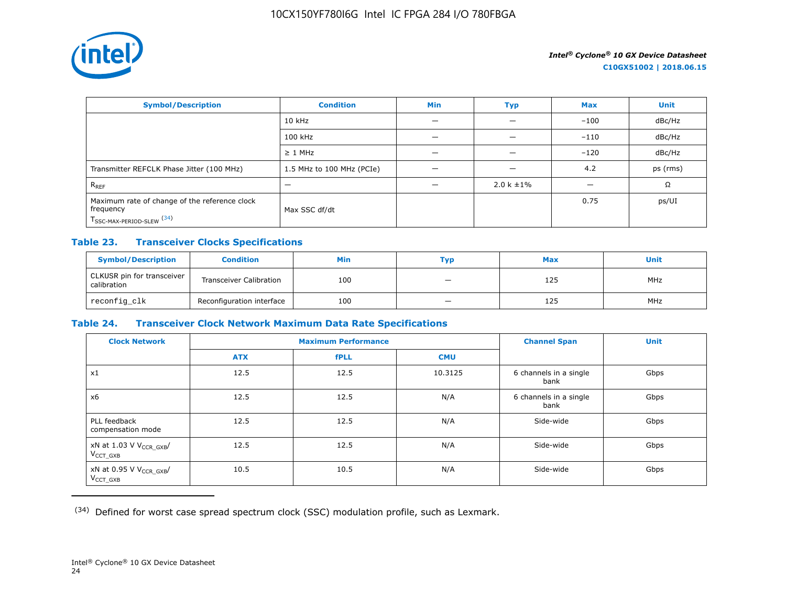

| <b>Symbol/Description</b>                                                                           | <b>Condition</b>          | <b>Min</b> | Typ             | <b>Max</b> | <b>Unit</b> |
|-----------------------------------------------------------------------------------------------------|---------------------------|------------|-----------------|------------|-------------|
|                                                                                                     | $10$ kHz                  |            |                 | $-100$     | dBc/Hz      |
|                                                                                                     | 100 kHz                   |            |                 | $-110$     | dBc/Hz      |
|                                                                                                     | $\geq$ 1 MHz              |            |                 | $-120$     | dBc/Hz      |
| Transmitter REFCLK Phase Jitter (100 MHz)                                                           | 1.5 MHz to 100 MHz (PCIe) | -          | -               | 4.2        | ps (rms)    |
| $R_{REF}$                                                                                           |                           |            | $2.0 k \pm 1\%$ |            | Ω           |
| Maximum rate of change of the reference clock<br>frequency<br>T <sub>SSC-MAX-PERIOD-SLEW</sub> (34) | Max SSC df/dt             |            |                 | 0.75       | ps/UI       |

# **Table 23. Transceiver Clocks Specifications**

| <b>Symbol/Description</b>                 | <b>Condition</b>               | Min | Тур                      | <b>Max</b> | <b>Unit</b> |
|-------------------------------------------|--------------------------------|-----|--------------------------|------------|-------------|
| CLKUSR pin for transceiver<br>calibration | <b>Transceiver Calibration</b> | 100 | $\overline{\phantom{0}}$ | 125        | <b>MHz</b>  |
| reconfig_clk                              | Reconfiguration interface      | 100 |                          | 125        | <b>MHz</b>  |

# **Table 24. Transceiver Clock Network Maximum Data Rate Specifications**

| <b>Clock Network</b>                                   | <b>Maximum Performance</b> |             |            | <b>Channel Span</b>            | <b>Unit</b> |
|--------------------------------------------------------|----------------------------|-------------|------------|--------------------------------|-------------|
|                                                        | <b>ATX</b>                 | <b>fPLL</b> | <b>CMU</b> |                                |             |
| x1                                                     | 12.5                       | 12.5        | 10.3125    | 6 channels in a single<br>bank | Gbps        |
| x6                                                     | 12.5                       | 12.5        | N/A        | 6 channels in a single<br>bank | Gbps        |
| PLL feedback<br>compensation mode                      | 12.5                       | 12.5        | N/A        | Side-wide                      | Gbps        |
| xN at 1.03 V V <sub>CCR_GXB</sub> /<br>$V_{CCT}$ $GXB$ | 12.5                       | 12.5        | N/A        | Side-wide                      | Gbps        |
| xN at 0.95 V V <sub>CCR_GXB</sub> /<br>$V_{CCT_GXB}$   | 10.5                       | 10.5        | N/A        | Side-wide                      | Gbps        |

(34) Defined for worst case spread spectrum clock (SSC) modulation profile, such as Lexmark.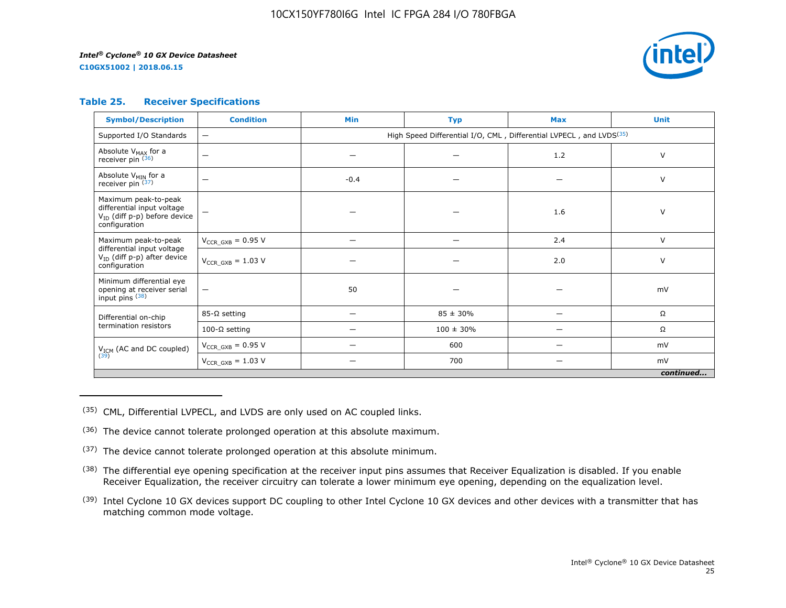**C10GX51002 | 2018.06.15**



#### **Table 25. Receiver Specifications**

| <b>Symbol/Description</b>                                                                                | <b>Condition</b>                | <b>Min</b>                                                                      | <b>Typ</b>     | <b>Max</b> | <b>Unit</b> |  |  |
|----------------------------------------------------------------------------------------------------------|---------------------------------|---------------------------------------------------------------------------------|----------------|------------|-------------|--|--|
| Supported I/O Standards                                                                                  | $\overline{\phantom{0}}$        | High Speed Differential I/O, CML, Differential LVPECL, and LVDS <sup>(35)</sup> |                |            |             |  |  |
| Absolute V <sub>MAX</sub> for a<br>receiver pin (36)                                                     | $\overbrace{\phantom{1232211}}$ |                                                                                 |                | 1.2        | V           |  |  |
| Absolute $V_{MIN}$ for a<br>receiver pin $(37)$                                                          | $\overline{\phantom{0}}$        | $-0.4$                                                                          |                |            | $\vee$      |  |  |
| Maximum peak-to-peak<br>differential input voltage<br>$V_{ID}$ (diff p-p) before device<br>configuration |                                 |                                                                                 |                | 1.6        | V           |  |  |
| Maximum peak-to-peak                                                                                     | $V_{CCR\ GXB} = 0.95 V$         |                                                                                 |                | 2.4        | $\vee$      |  |  |
| differential input voltage<br>$V_{ID}$ (diff p-p) after device<br>configuration                          | $V_{CCR\ GXB} = 1.03 V$         |                                                                                 |                | 2.0        | V           |  |  |
| Minimum differential eye<br>opening at receiver serial<br>input pins (38)                                | $\qquad \qquad -$               | 50                                                                              |                |            | mV          |  |  |
| Differential on-chip                                                                                     | $85-\Omega$ setting             |                                                                                 | $85 \pm 30\%$  | -          | Ω           |  |  |
| termination resistors                                                                                    | 100-Ω setting                   |                                                                                 | $100 \pm 30\%$ |            | Ω           |  |  |
| V <sub>ICM</sub> (AC and DC coupled)                                                                     | $V_{CCR_GXB} = 0.95 V$          |                                                                                 | 600            |            | mV          |  |  |
| (39)                                                                                                     | $V_{CCR_GXB} = 1.03 V$          |                                                                                 | 700            |            | mV          |  |  |
| continued                                                                                                |                                 |                                                                                 |                |            |             |  |  |

(35) CML, Differential LVPECL, and LVDS are only used on AC coupled links.

- (36) The device cannot tolerate prolonged operation at this absolute maximum.
- $(37)$  The device cannot tolerate prolonged operation at this absolute minimum.
- <sup>(38)</sup> The differential eye opening specification at the receiver input pins assumes that Receiver Equalization is disabled. If you enable Receiver Equalization, the receiver circuitry can tolerate a lower minimum eye opening, depending on the equalization level.
- <sup>(39)</sup> Intel Cyclone 10 GX devices support DC coupling to other Intel Cyclone 10 GX devices and other devices with a transmitter that has matching common mode voltage.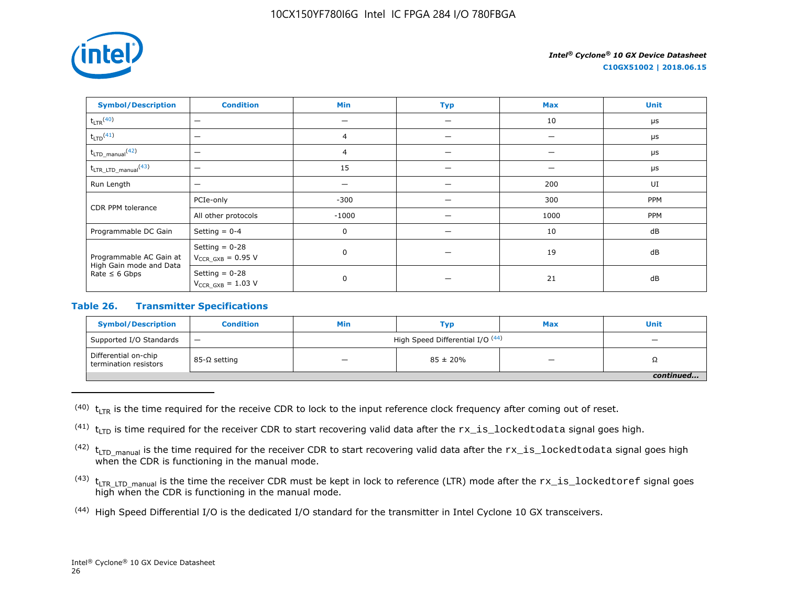

**C10GX51002 | 2018.06.15**

| <b>Symbol/Description</b>                     | <b>Condition</b>                           | <b>Min</b>     | <b>Typ</b> | <b>Max</b> | <b>Unit</b> |
|-----------------------------------------------|--------------------------------------------|----------------|------------|------------|-------------|
| $t_{LTR}$ <sup>(40)</sup>                     | $\overline{\phantom{m}}$                   |                |            | 10         | $\mu$ s     |
| $t_{LTD}$ <sup>(41)</sup>                     | $\overline{\phantom{m}}$                   | $\overline{4}$ |            |            | $\mu$ s     |
| $t_{\text{LTD\_manual}}$ (42)                 | -                                          | 4              |            |            | $\mu$ s     |
| $t_{\text{LTR\_LTD\_manual}}$ <sup>(43)</sup> | $\overline{\phantom{m}}$                   | 15             |            |            | $\mu$ s     |
| Run Length                                    | $\overline{\phantom{0}}$                   |                |            | 200        | UI          |
| CDR PPM tolerance                             | PCIe-only                                  | $-300$         |            | 300        | PPM         |
|                                               | All other protocols                        | $-1000$        |            | 1000       | PPM         |
| Programmable DC Gain                          | Setting $= 0-4$                            | 0              |            | 10         | dB          |
| Programmable AC Gain at                       | Setting $= 0-28$<br>$V_{CCR_GXB} = 0.95 V$ | $\mathbf 0$    |            | 19         | dB          |
| High Gain mode and Data<br>Rate $\leq 6$ Gbps | Setting $= 0-28$<br>$V_{CCR_GXB} = 1.03 V$ | 0              |            | 21         | dB          |

### **Table 26. Transmitter Specifications**

| <b>Symbol/Description</b>                     | <b>Condition</b> | Min                              | Тур                      | <b>Max</b> | <b>Unit</b> |  |
|-----------------------------------------------|------------------|----------------------------------|--------------------------|------------|-------------|--|
| Supported I/O Standards                       | $\qquad \qquad$  | High Speed Differential I/O (44) | $\overline{\phantom{0}}$ |            |             |  |
| Differential on-chip<br>termination resistors | 85-Ω setting     | _                                | $85 \pm 20\%$            | -          | 75          |  |
|                                               |                  |                                  |                          |            |             |  |

 $(40)$  t<sub>LTR</sub> is the time required for the receive CDR to lock to the input reference clock frequency after coming out of reset.

<sup>(41)</sup>  $t_{\text{LTD}}$  is time required for the receiver CDR to start recovering valid data after the  $rx\_is\_locked$ todata signal goes high.

 $(42)$  t<sub>LTD</sub> manual is the time required for the receiver CDR to start recovering valid data after the  $rx\_is\_locked$ todata signal goes high when the CDR is functioning in the manual mode.

- $(43)$  t<sub>LTR LTD</sub> manual is the time the receiver CDR must be kept in lock to reference (LTR) mode after the  $rx\_is\_lockedtoref$  signal goes high when the CDR is functioning in the manual mode.
- (44) High Speed Differential I/O is the dedicated I/O standard for the transmitter in Intel Cyclone 10 GX transceivers.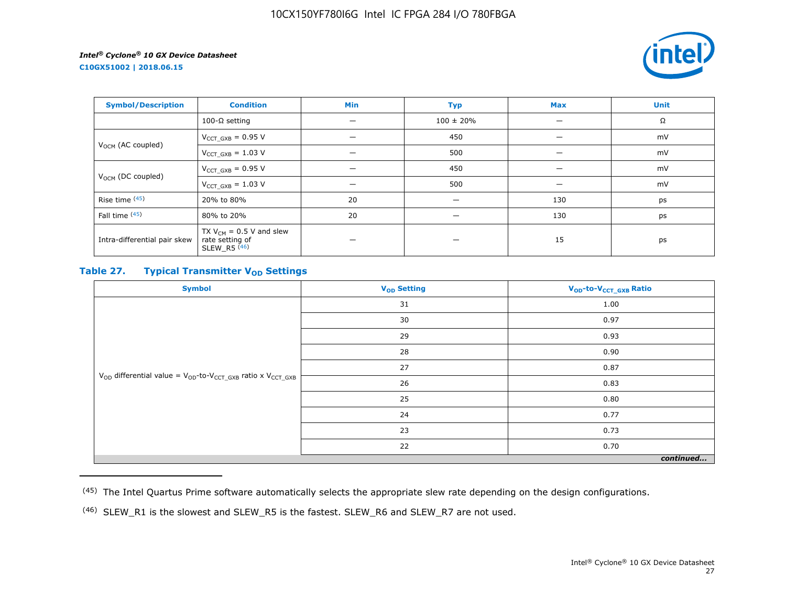**C10GX51002 | 2018.06.15**



| <b>Symbol/Description</b>     | <b>Condition</b>                                                             | Min | <b>Typ</b>     | <b>Max</b> | <b>Unit</b> |
|-------------------------------|------------------------------------------------------------------------------|-----|----------------|------------|-------------|
|                               | 100-Ω setting                                                                | —   | $100 \pm 20\%$ |            | Ω           |
| V <sub>OCM</sub> (AC coupled) | $V_{CCT_GXB} = 0.95 V$                                                       |     | 450            |            | mV          |
|                               | $V_{CCT_GXB} = 1.03 V$                                                       | -   | 500            |            | mV          |
| $V_{OCM}$ (DC coupled)        | $V_{CCT GXB} = 0.95 V$                                                       |     | 450            |            | mV          |
|                               | $V_{CCT_GXB} = 1.03 V$                                                       |     | 500            |            | mV          |
| Rise time (45)                | 20% to 80%                                                                   | 20  | –              | 130        | ps          |
| Fall time (45)                | 80% to 20%                                                                   | 20  | -              | 130        | ps          |
| Intra-differential pair skew  | TX $V_{CM}$ = 0.5 V and slew<br>rate setting of<br>$SLEW_R5$ <sup>(46)</sup> |     |                | 15         | ps          |

# **Table 27. Typical Transmitter V<sub>OD</sub>** Settings

| <b>Symbol</b>                                                                     | V <sub>OD</sub> Setting | V <sub>OD</sub> -to-V <sub>CCT_GXB</sub> Ratio |  |  |  |
|-----------------------------------------------------------------------------------|-------------------------|------------------------------------------------|--|--|--|
|                                                                                   | 31                      | 1.00                                           |  |  |  |
|                                                                                   | 30                      | 0.97                                           |  |  |  |
|                                                                                   | 29                      | 0.93                                           |  |  |  |
|                                                                                   | 28                      | 0.90                                           |  |  |  |
|                                                                                   | 27                      | 0.87                                           |  |  |  |
| $V_{OD}$ differential value = $V_{OD}$ -to- $V_{CCT\_GXB}$ ratio x $V_{CCT\_GXB}$ | 26                      | 0.83                                           |  |  |  |
|                                                                                   | 25                      | 0.80                                           |  |  |  |
|                                                                                   | 24                      | 0.77                                           |  |  |  |
|                                                                                   | 23                      | 0.73                                           |  |  |  |
|                                                                                   | 22                      | 0.70                                           |  |  |  |
| continued                                                                         |                         |                                                |  |  |  |

<sup>(45)</sup> The Intel Quartus Prime software automatically selects the appropriate slew rate depending on the design configurations.

<sup>(46)</sup> SLEW\_R1 is the slowest and SLEW\_R5 is the fastest. SLEW\_R6 and SLEW\_R7 are not used.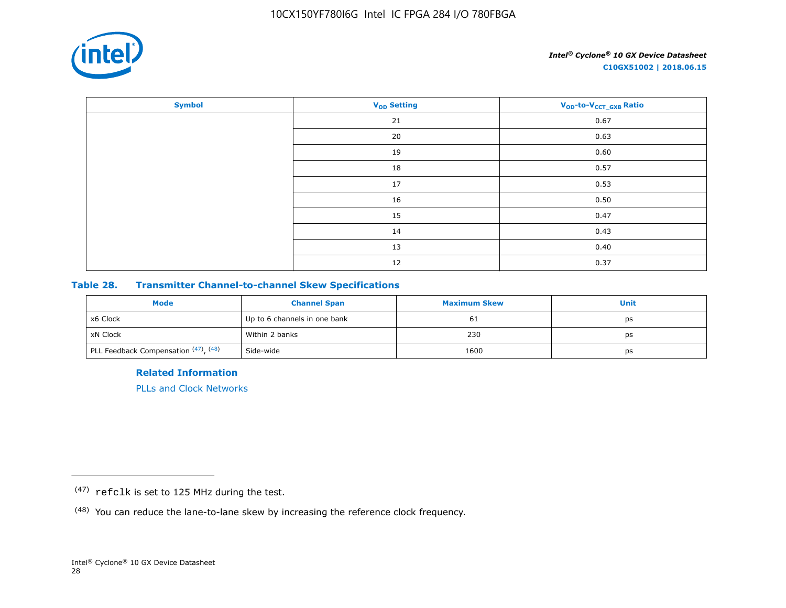

| <b>Symbol</b> | <b>V<sub>OD</sub></b> Setting | V <sub>OD</sub> -to-V <sub>CCT_GXB</sub> Ratio |
|---------------|-------------------------------|------------------------------------------------|
|               | 21                            | 0.67                                           |
|               | 20                            | 0.63                                           |
|               | 19                            | 0.60                                           |
|               | 18                            | 0.57                                           |
|               | 17                            | 0.53                                           |
|               | 16                            | 0.50                                           |
|               | 15                            | 0.47                                           |
|               | 14                            | 0.43                                           |
|               | 13                            | 0.40                                           |
|               | 12                            | 0.37                                           |

### **Table 28. Transmitter Channel-to-channel Skew Specifications**

| Mode                                 | <b>Channel Span</b>          | <b>Maximum Skew</b> | Unit |
|--------------------------------------|------------------------------|---------------------|------|
| x6 Clock                             | Up to 6 channels in one bank | 61                  | ps   |
| xN Clock                             | Within 2 banks               | 230                 | ps   |
| PLL Feedback Compensation (47), (48) | Side-wide                    | 1600                | ps   |

**Related Information**

[PLLs and Clock Networks](https://documentation.altera.com/#/link/hki1486507600636/mbh1486506924952)

<sup>(47)</sup> refclk is set to 125 MHz during the test.

<sup>(48)</sup> You can reduce the lane-to-lane skew by increasing the reference clock frequency.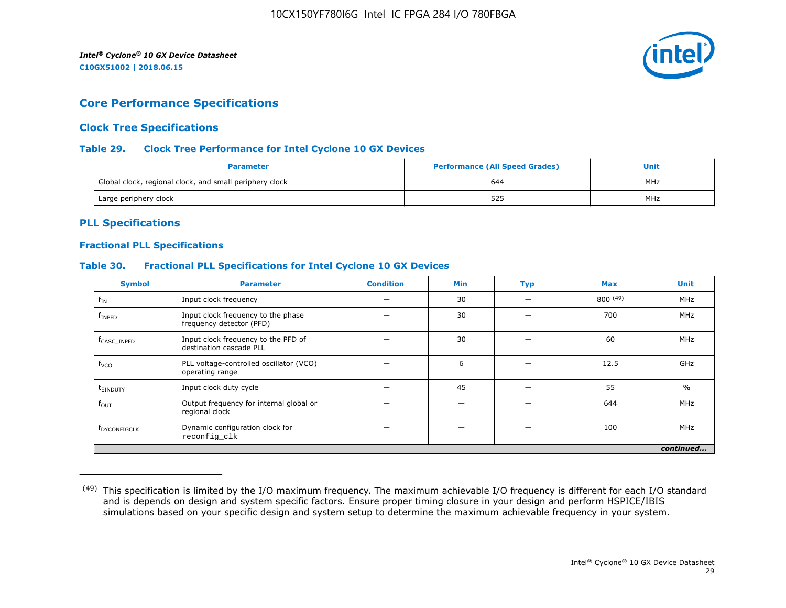

# **Core Performance Specifications**

# **Clock Tree Specifications**

#### **Table 29. Clock Tree Performance for Intel Cyclone 10 GX Devices**

| <b>Parameter</b>                                        | <b>Performance (All Speed Grades)</b> | Unit |
|---------------------------------------------------------|---------------------------------------|------|
| Global clock, regional clock, and small periphery clock | 644                                   | MHz  |
| Large periphery clock                                   | 525                                   | MHz  |

# **PLL Specifications**

#### **Fractional PLL Specifications**

#### **Table 30. Fractional PLL Specifications for Intel Cyclone 10 GX Devices**

| <b>Symbol</b>           | <b>Parameter</b>                                               | <b>Condition</b> | <b>Min</b> | <b>Typ</b> | <b>Max</b> | <b>Unit</b>   |
|-------------------------|----------------------------------------------------------------|------------------|------------|------------|------------|---------------|
| $f_{IN}$                | Input clock frequency                                          |                  | 30         |            | 800(49)    | MHz           |
| $f_{\rm INPFD}$         | Input clock frequency to the phase<br>frequency detector (PFD) |                  | 30         |            | 700        | MHz           |
| f <sub>CASC</sub> INPFD | Input clock frequency to the PFD of<br>destination cascade PLL |                  | 30         |            | 60         | MHz           |
| f <sub>VCO</sub>        | PLL voltage-controlled oscillator (VCO)<br>operating range     |                  | 6          |            | 12.5       | GHz           |
| t <sub>einduty</sub>    | Input clock duty cycle                                         |                  | 45         |            | 55         | $\frac{0}{0}$ |
| $f_{\text{OUT}}$        | Output frequency for internal global or<br>regional clock      |                  |            |            | 644        | MHz           |
| <b>FDYCONFIGCLK</b>     | Dynamic configuration clock for<br>reconfig_clk                |                  |            |            | 100        | MHz           |
|                         |                                                                |                  |            |            |            | continued     |

<sup>&</sup>lt;sup>(49)</sup> This specification is limited by the I/O maximum frequency. The maximum achievable I/O frequency is different for each I/O standard and is depends on design and system specific factors. Ensure proper timing closure in your design and perform HSPICE/IBIS simulations based on your specific design and system setup to determine the maximum achievable frequency in your system.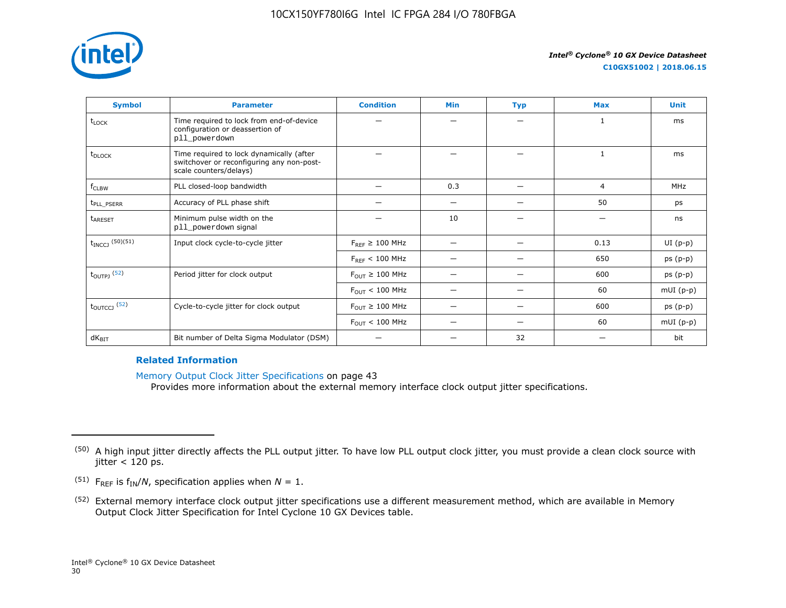

| <b>Symbol</b>              | <b>Parameter</b>                                                                                                | <b>Condition</b>                      | <b>Min</b> | <b>Typ</b> | <b>Max</b> | <b>Unit</b> |
|----------------------------|-----------------------------------------------------------------------------------------------------------------|---------------------------------------|------------|------------|------------|-------------|
| t <sub>LOCK</sub>          | Time required to lock from end-of-device<br>configuration or deassertion of<br>pll_powerdown                    |                                       |            |            | 1          | ms          |
| t <sub>DLOCK</sub>         | Time required to lock dynamically (after<br>switchover or reconfiguring any non-post-<br>scale counters/delays) |                                       |            |            |            | ms          |
| f <sub>CLBW</sub>          | PLL closed-loop bandwidth                                                                                       |                                       | 0.3        |            | 4          | MHz         |
| t <sub>PLL</sub> PSERR     | Accuracy of PLL phase shift                                                                                     |                                       | -          |            | 50         | ps          |
| t <sub>ARESET</sub>        | Minimum pulse width on the<br>pll_powerdown signal                                                              |                                       | 10         |            |            | ns          |
| $t_{INCCJ}$ (50)(51)       | Input clock cycle-to-cycle jitter                                                                               | $F_{RFF} \geq 100$ MHz                |            |            | 0.13       | $UI(p-p)$   |
|                            |                                                                                                                 | $F_{RFF}$ < 100 MHz                   |            |            | 650        | $ps(p-p)$   |
| $t_{\text{OUTPJ}}$ (52)    | Period jitter for clock output                                                                                  | $F_{\text{OUT}} \geq 100 \text{ MHz}$ |            |            | 600        | $ps(p-p)$   |
|                            |                                                                                                                 | $F_{\text{OUT}}$ < 100 MHz            |            |            | 60         | $mUI(p-p)$  |
| $t_{\text{OUTCCJ}}$ $(52)$ | Cycle-to-cycle jitter for clock output                                                                          | $F_{\text{OUT}} \geq 100 \text{ MHz}$ |            |            | 600        | $ps(p-p)$   |
|                            |                                                                                                                 | $F_{\text{OUT}}$ < 100 MHz            |            |            | 60         | $mUI(p-p)$  |
| $dK_{\text{BIT}}$          | Bit number of Delta Sigma Modulator (DSM)                                                                       |                                       |            | 32         |            | bit         |

#### **Related Information**

Memory Output Clock Jitter Specifications on page 43

Provides more information about the external memory interface clock output jitter specifications.

- <sup>(51)</sup> F<sub>REF</sub> is  $f_{IN}/N$ , specification applies when  $N = 1$ .
- (52) External memory interface clock output jitter specifications use a different measurement method, which are available in Memory Output Clock Jitter Specification for Intel Cyclone 10 GX Devices table.

<sup>&</sup>lt;sup>(50)</sup> A high input jitter directly affects the PLL output jitter. To have low PLL output clock jitter, you must provide a clean clock source with jitter  $<$  120 ps.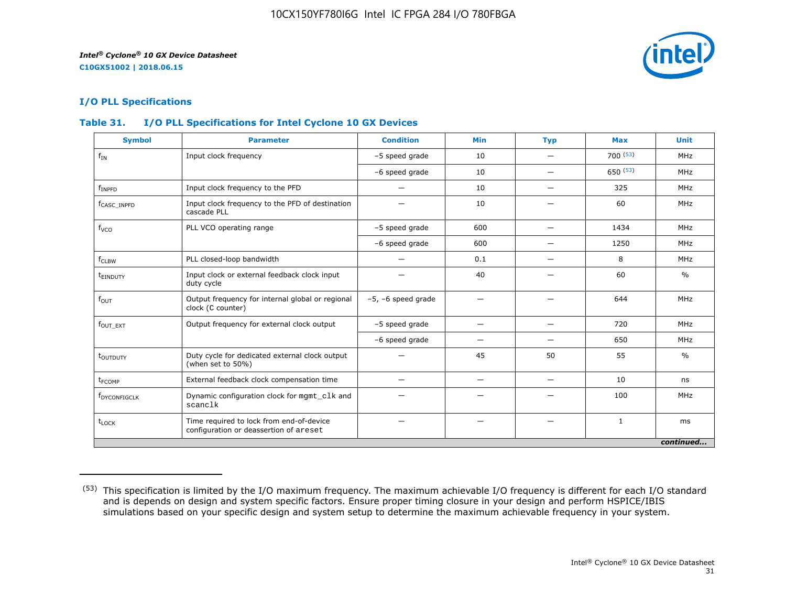

# **I/O PLL Specifications**

# **Table 31. I/O PLL Specifications for Intel Cyclone 10 GX Devices**

| <b>Symbol</b>            | <b>Parameter</b>                                                                   | <b>Condition</b>        | <b>Min</b>               | <b>Typ</b>               | <b>Max</b>   | <b>Unit</b>   |
|--------------------------|------------------------------------------------------------------------------------|-------------------------|--------------------------|--------------------------|--------------|---------------|
| $f_{IN}$                 | Input clock frequency                                                              | -5 speed grade          | 10                       |                          | 700(53)      | MHz           |
|                          |                                                                                    | -6 speed grade          | 10                       | —                        | 650(53)      | MHz           |
| $f_{INPFD}$              | Input clock frequency to the PFD                                                   |                         | 10                       |                          | 325          | MHz           |
| f <sub>CASC</sub> INPFD  | Input clock frequency to the PFD of destination<br>cascade PLL                     |                         | 10                       |                          | 60           | MHz           |
| f <sub>vco</sub>         | PLL VCO operating range                                                            | -5 speed grade          | 600                      | $\qquad \qquad$          | 1434         | MHz           |
|                          |                                                                                    | -6 speed grade          | 600                      | $\overline{\phantom{0}}$ | 1250         | MHz           |
| $f_{CLBW}$               | PLL closed-loop bandwidth                                                          | —                       | 0.1                      | $\overline{\phantom{0}}$ | 8            | MHz           |
| t <sub>einduty</sub>     | Input clock or external feedback clock input<br>duty cycle                         |                         | 40                       |                          | 60           | $\frac{0}{0}$ |
| $f_{\text{OUT}}$         | Output frequency for internal global or regional<br>clock (C counter)              | $-5$ , $-6$ speed grade | -                        |                          | 644          | MHz           |
| $fOUT$ $_{EXT}$          | Output frequency for external clock output                                         | -5 speed grade          | -                        |                          | 720          | MHz           |
|                          |                                                                                    | -6 speed grade          | -                        |                          | 650          | MHz           |
| t <sub>outputy</sub>     | Duty cycle for dedicated external clock output<br>(when set to 50%)                |                         | 45                       | 50                       | 55           | $\frac{0}{0}$ |
| t <sub>FCOMP</sub>       | External feedback clock compensation time                                          |                         | $\overline{\phantom{m}}$ | $\qquad \qquad$          | 10           | ns            |
| f <sub>DYCONFIGCLK</sub> | Dynamic configuration clock for mgmt_clk and<br>scanclk                            |                         |                          |                          | 100          | MHz           |
| $t_{\text{LOCK}}$        | Time required to lock from end-of-device<br>configuration or deassertion of areset |                         |                          |                          | $\mathbf{1}$ | ms            |
|                          |                                                                                    |                         |                          |                          |              | continued     |

<sup>(53)</sup> This specification is limited by the I/O maximum frequency. The maximum achievable I/O frequency is different for each I/O standard and is depends on design and system specific factors. Ensure proper timing closure in your design and perform HSPICE/IBIS simulations based on your specific design and system setup to determine the maximum achievable frequency in your system.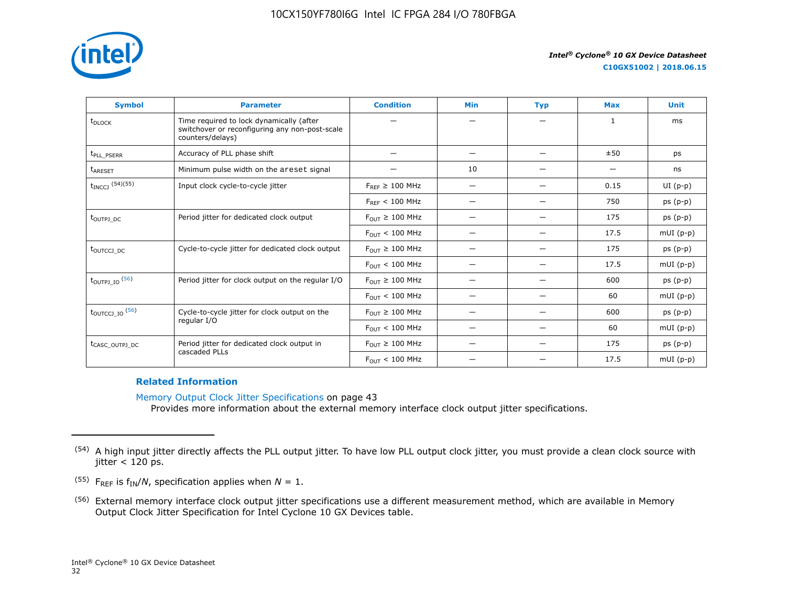

**C10GX51002 | 2018.06.15**

| <b>Symbol</b>                     | <b>Parameter</b>                                                                                               | <b>Condition</b>                      | <b>Min</b>               | <b>Typ</b> | <b>Max</b>   | <b>Unit</b> |
|-----------------------------------|----------------------------------------------------------------------------------------------------------------|---------------------------------------|--------------------------|------------|--------------|-------------|
| t <sub>DLOCK</sub>                | Time required to lock dynamically (after<br>switchover or reconfiguring any non-post-scale<br>counters/delays) |                                       |                          |            | $\mathbf{1}$ | ms          |
| t <sub>PLL_PSERR</sub>            | Accuracy of PLL phase shift                                                                                    |                                       | —                        |            | ±50          | ps          |
| <b>LARESET</b>                    | Minimum pulse width on the areset signal                                                                       |                                       | 10                       |            |              | ns          |
| $t_{INCCJ}$ (54)(55)              | Input clock cycle-to-cycle jitter                                                                              | $F_{REF} \geq 100$ MHz                | $\overline{\phantom{0}}$ |            | 0.15         | $UI(p-p)$   |
|                                   |                                                                                                                | $F_{RFF}$ < 100 MHz                   |                          |            | 750          | $ps(p-p)$   |
| toutpj DC                         | Period jitter for dedicated clock output                                                                       | $F_{OUT} \geq 100$ MHz                |                          |            | 175          | $ps(p-p)$   |
|                                   |                                                                                                                | $F_{OIII}$ < 100 MHz                  | $\overline{\phantom{0}}$ |            | 17.5         | $mUI(p-p)$  |
| t <sub>outccj</sub> <sub>pc</sub> | Cycle-to-cycle jitter for dedicated clock output                                                               | $F_{OIII} \geq 100$ MHz               | –                        |            | 175          | $ps(p-p)$   |
|                                   |                                                                                                                | $F_{OUT}$ < 100 MHz                   | —                        |            | 17.5         | $mUI(p-p)$  |
| $t_{\text{OUTPI\_IO}}$ (56)       | Period jitter for clock output on the regular I/O                                                              | $F_{\text{OUT}} \geq 100 \text{ MHz}$ | —                        |            | 600          | $ps(p-p)$   |
|                                   |                                                                                                                | $F_{\text{OUT}} < 100 \text{ MHz}$    |                          |            | 60           | $mUI(p-p)$  |
| $t_{\text{OUTCCJ\_IO}}$ (56)      | Cycle-to-cycle jitter for clock output on the                                                                  | $F_{OUT} \geq 100$ MHz                | $\overline{\phantom{0}}$ |            | 600          | $ps(p-p)$   |
|                                   | regular I/O                                                                                                    | $F_{OUT}$ < 100 MHz                   | $\overline{\phantom{0}}$ |            | 60           | $mUI(p-p)$  |
| t <sub>CASC_OUTPJ_DC</sub>        | Period jitter for dedicated clock output in<br>cascaded PLLs                                                   | $F_{\text{OUT}} \geq 100 \text{ MHz}$ |                          |            | 175          | $ps(p-p)$   |
|                                   |                                                                                                                | $F_{OUT}$ < 100 MHz                   |                          |            | 17.5         | $mUI(p-p)$  |

#### **Related Information**

Memory Output Clock Jitter Specifications on page 43 Provides more information about the external memory interface clock output jitter specifications.

<sup>&</sup>lt;sup>(54)</sup> A high input jitter directly affects the PLL output jitter. To have low PLL output clock jitter, you must provide a clean clock source with jitter  $<$  120 ps.

<sup>&</sup>lt;sup>(55)</sup> F<sub>REF</sub> is  $f_{IN}/N$ , specification applies when  $N = 1$ .

<sup>(56)</sup> External memory interface clock output jitter specifications use a different measurement method, which are available in Memory Output Clock Jitter Specification for Intel Cyclone 10 GX Devices table.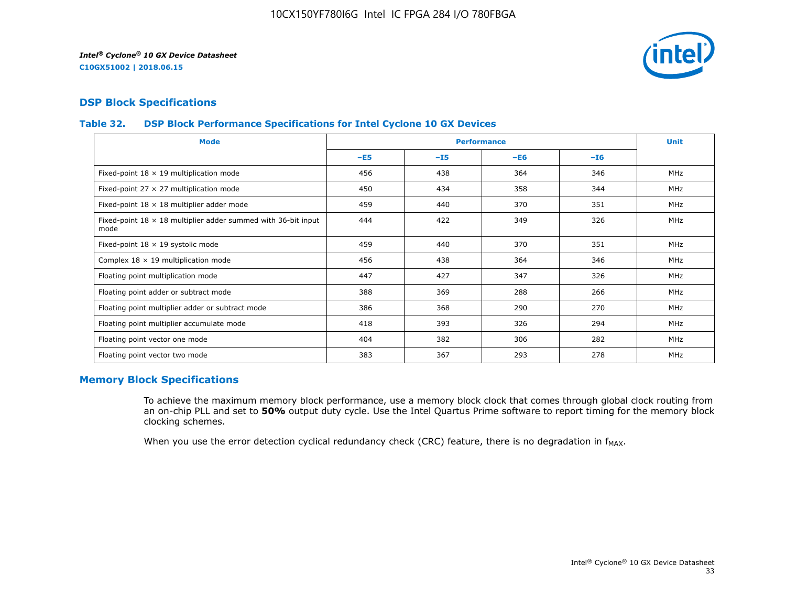

# **DSP Block Specifications**

#### **Table 32. DSP Block Performance Specifications for Intel Cyclone 10 GX Devices**

| <b>Mode</b>                                                                  |       |       | <b>Performance</b> |       | <b>Unit</b> |
|------------------------------------------------------------------------------|-------|-------|--------------------|-------|-------------|
|                                                                              | $-E5$ | $-15$ | $-E6$              | $-16$ |             |
| Fixed-point $18 \times 19$ multiplication mode                               | 456   | 438   | 364                | 346   | <b>MHz</b>  |
| Fixed-point 27 $\times$ 27 multiplication mode                               | 450   | 434   | 358                | 344   | <b>MHz</b>  |
| Fixed-point $18 \times 18$ multiplier adder mode                             | 459   | 440   | 370                | 351   | <b>MHz</b>  |
| Fixed-point $18 \times 18$ multiplier adder summed with 36-bit input<br>mode | 444   | 422   | 349                | 326   | <b>MHz</b>  |
| Fixed-point $18 \times 19$ systolic mode                                     | 459   | 440   | 370                | 351   | <b>MHz</b>  |
| Complex $18 \times 19$ multiplication mode                                   | 456   | 438   | 364                | 346   | MHz         |
| Floating point multiplication mode                                           | 447   | 427   | 347                | 326   | <b>MHz</b>  |
| Floating point adder or subtract mode                                        | 388   | 369   | 288                | 266   | MHz         |
| Floating point multiplier adder or subtract mode                             | 386   | 368   | 290                | 270   | <b>MHz</b>  |
| Floating point multiplier accumulate mode                                    | 418   | 393   | 326                | 294   | <b>MHz</b>  |
| Floating point vector one mode                                               | 404   | 382   | 306                | 282   | <b>MHz</b>  |
| Floating point vector two mode                                               | 383   | 367   | 293                | 278   | <b>MHz</b>  |

# **Memory Block Specifications**

To achieve the maximum memory block performance, use a memory block clock that comes through global clock routing from an on-chip PLL and set to **50%** output duty cycle. Use the Intel Quartus Prime software to report timing for the memory block clocking schemes.

When you use the error detection cyclical redundancy check (CRC) feature, there is no degradation in  $f_{MAX}$ .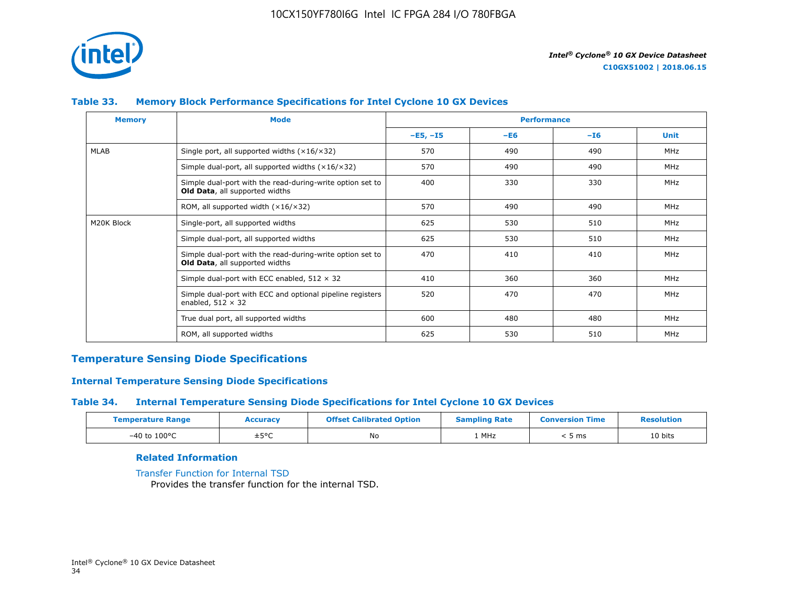

# **Table 33. Memory Block Performance Specifications for Intel Cyclone 10 GX Devices**

| <b>Memory</b> | <b>Mode</b>                                                                                 |            | <b>Performance</b> |       |             |
|---------------|---------------------------------------------------------------------------------------------|------------|--------------------|-------|-------------|
|               |                                                                                             | $-E5, -15$ | $-E6$              | $-I6$ | <b>Unit</b> |
| <b>MLAB</b>   | Single port, all supported widths $(x16/x32)$                                               | 570        | 490                | 490   | MHz         |
|               | Simple dual-port, all supported widths $(x16/x32)$                                          | 570        | 490                | 490   | MHz         |
|               | Simple dual-port with the read-during-write option set to<br>Old Data, all supported widths | 400        | 330                | 330   | MHz         |
|               | ROM, all supported width $(x16/x32)$                                                        | 570        | 490                | 490   | MHz         |
| M20K Block    | Single-port, all supported widths                                                           | 625        | 530                | 510   | MHz         |
|               | Simple dual-port, all supported widths                                                      | 625        | 530                | 510   | MHz         |
|               | Simple dual-port with the read-during-write option set to<br>Old Data, all supported widths | 470        | 410                | 410   | MHz         |
|               | Simple dual-port with ECC enabled, $512 \times 32$                                          | 410        | 360                | 360   | MHz         |
|               | Simple dual-port with ECC and optional pipeline registers<br>enabled, $512 \times 32$       | 520        | 470                | 470   | MHz         |
|               | True dual port, all supported widths                                                        | 600        | 480                | 480   | MHz         |
|               | ROM, all supported widths                                                                   | 625        | 530                | 510   | MHz         |

### **Temperature Sensing Diode Specifications**

### **Internal Temperature Sensing Diode Specifications**

#### **Table 34. Internal Temperature Sensing Diode Specifications for Intel Cyclone 10 GX Devices**

| <b>Temperature Range</b> | Accuracy | <b>Offset Calibrated Option</b> | <b>Sampling Rate</b> | <b>Conversion Time</b> | <b>Resolution</b> |
|--------------------------|----------|---------------------------------|----------------------|------------------------|-------------------|
| $-40$ to $100^{\circ}$ C | ±5°C     | No                              | 1 MHz                | , ms                   | 10 bits           |

### **Related Information**

[Transfer Function for Internal TSD](https://www.altera.com/documentation/vua1487061384661.html#utv1490341047242) Provides the transfer function for the internal TSD.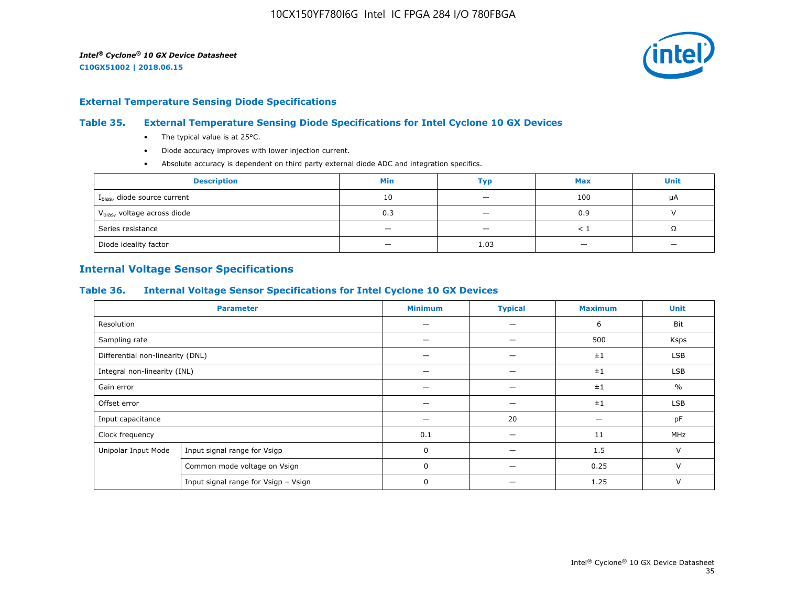

#### **External Temperature Sensing Diode Specifications**

#### **Table 35. External Temperature Sensing Diode Specifications for Intel Cyclone 10 GX Devices**

- The typical value is at 25°C.
- Diode accuracy improves with lower injection current.
- Absolute accuracy is dependent on third party external diode ADC and integration specifics.

| <b>Description</b>                       | <b>Min</b> | Тур                      | <b>Max</b> | <b>Unit</b> |
|------------------------------------------|------------|--------------------------|------------|-------------|
| I <sub>bias</sub> , diode source current | 10         | $\overline{\phantom{0}}$ | 100        | μA          |
| V <sub>bias</sub> , voltage across diode | 0.3        |                          | 0.9        |             |
| Series resistance                        |            | $\overline{\phantom{a}}$ |            | 75          |
| Diode ideality factor                    | -          | 1.03                     |            |             |

# **Internal Voltage Sensor Specifications**

#### **Table 36. Internal Voltage Sensor Specifications for Intel Cyclone 10 GX Devices**

|                                  | <b>Parameter</b>                     | <b>Minimum</b> | <b>Typical</b> | <b>Maximum</b> | <b>Unit</b>   |
|----------------------------------|--------------------------------------|----------------|----------------|----------------|---------------|
| Resolution                       |                                      |                |                | 6              | Bit           |
| Sampling rate                    |                                      |                |                | 500            | Ksps          |
| Differential non-linearity (DNL) |                                      |                |                | ±1             | <b>LSB</b>    |
| Integral non-linearity (INL)     |                                      |                |                | ±1             | <b>LSB</b>    |
| Gain error                       |                                      |                |                | ±1             | $\frac{0}{0}$ |
| Offset error                     |                                      |                |                | ±1             | <b>LSB</b>    |
| Input capacitance                |                                      |                | 20             |                | pF            |
| Clock frequency                  |                                      | 0.1            |                | 11             | MHz           |
| Unipolar Input Mode              | Input signal range for Vsigp         | 0              |                | 1.5            | $\vee$        |
|                                  | Common mode voltage on Vsign         | 0              |                | 0.25           | $\vee$        |
|                                  | Input signal range for Vsigp - Vsign | 0              |                | 1.25           | $\vee$        |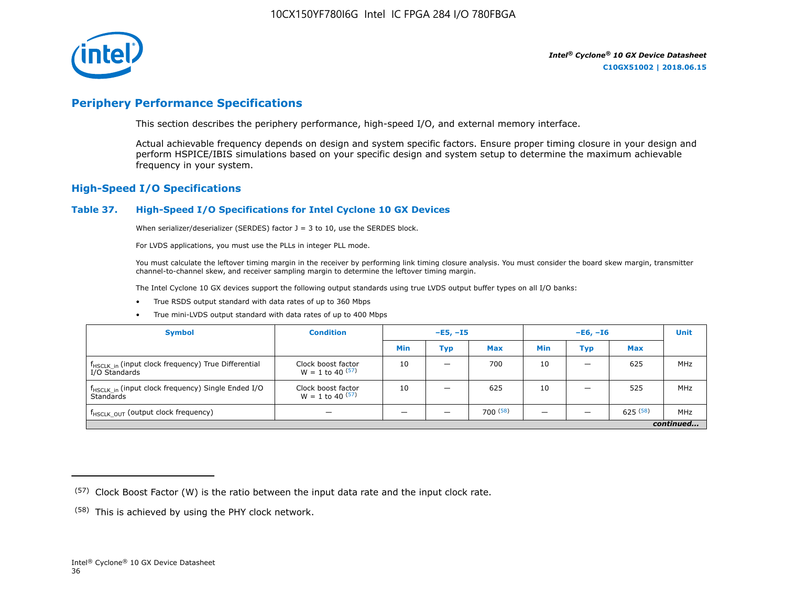

# **Periphery Performance Specifications**

This section describes the periphery performance, high-speed I/O, and external memory interface.

Actual achievable frequency depends on design and system specific factors. Ensure proper timing closure in your design and perform HSPICE/IBIS simulations based on your specific design and system setup to determine the maximum achievable frequency in your system.

### **High-Speed I/O Specifications**

#### **Table 37. High-Speed I/O Specifications for Intel Cyclone 10 GX Devices**

When serializer/deserializer (SERDES) factor  $J = 3$  to 10, use the SERDES block.

For LVDS applications, you must use the PLLs in integer PLL mode.

You must calculate the leftover timing margin in the receiver by performing link timing closure analysis. You must consider the board skew margin, transmitter channel-to-channel skew, and receiver sampling margin to determine the leftover timing margin.

The Intel Cyclone 10 GX devices support the following output standards using true LVDS output buffer types on all I/O banks:

- True RSDS output standard with data rates of up to 360 Mbps
- True mini-LVDS output standard with data rates of up to 400 Mbps

| <b>Symbol</b>                                                                    | <b>Condition</b>                           | $-E5, -15$ |                          | $-E6, -I6$ |            |     | <b>Unit</b> |     |
|----------------------------------------------------------------------------------|--------------------------------------------|------------|--------------------------|------------|------------|-----|-------------|-----|
|                                                                                  |                                            | Min        | Тур                      | <b>Max</b> | <b>Min</b> | Тур | <b>Max</b>  |     |
| f <sub>HSCLK_in</sub> (input clock frequency) True Differential<br>I/O Standards | Clock boost factor<br>$W = 1$ to 40 $(57)$ | 10         | $\overline{\phantom{0}}$ | 700        | 10         | -   | 625         | MHz |
| f <sub>HSCLK_in</sub> (input clock frequency) Single Ended I/O<br>Standards      | Clock boost factor<br>$W = 1$ to 40 $(57)$ | 10         | –                        | 625        | 10         |     | 525         | MHz |
| f <sub>HSCLK_OUT</sub> (output clock frequency)                                  |                                            |            |                          | 700(58)    |            |     | 625(58)     | MHz |
| continued                                                                        |                                            |            |                          |            |            |     |             |     |

 $(57)$  Clock Boost Factor (W) is the ratio between the input data rate and the input clock rate.

 $(58)$  This is achieved by using the PHY clock network.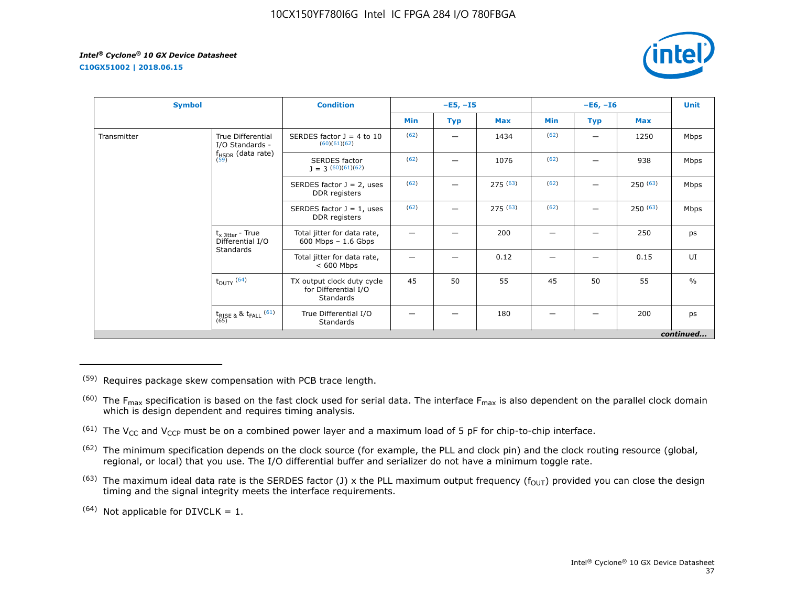**C10GX51002 | 2018.06.15**



| <b>Symbol</b> |                                                   | <b>Condition</b>                                                |      | $-E5, -I5$ |            |      | $-E6, -I6$        |         | <b>Unit</b>   |
|---------------|---------------------------------------------------|-----------------------------------------------------------------|------|------------|------------|------|-------------------|---------|---------------|
|               |                                                   |                                                                 | Min  | <b>Typ</b> | <b>Max</b> | Min  | <b>Max</b><br>Typ |         |               |
| Transmitter   | True Differential<br>I/O Standards -              | SERDES factor $J = 4$ to 10<br>(60)(61)(62)                     | (62) |            | 1434       | (62) | —                 | 1250    | Mbps          |
|               | $f_{HSDR}$ (data rate)<br>$(59)$                  | <b>SERDES</b> factor<br>$J = 3(60)(61)(62)$                     | (62) |            | 1076       | (62) |                   | 938     | Mbps          |
|               |                                                   | SERDES factor $J = 2$ , uses<br>DDR registers                   | (62) |            | 275(63)    | (62) |                   | 250(63) | Mbps          |
|               |                                                   | SERDES factor $J = 1$ , uses<br>DDR registers                   | (62) |            | 275(63)    | (62) |                   | 250(63) | Mbps          |
|               | $t_{x \text{ Jitter}}$ - True<br>Differential I/O | Total jitter for data rate,<br>$600$ Mbps $-1.6$ Gbps           |      |            | 200        | -    |                   | 250     | ps            |
|               | Standards                                         | Total jitter for data rate,<br>$< 600$ Mbps                     |      |            | 0.12       |      |                   | 0.15    | UI            |
|               | $t_{DUTY}$ (64)                                   | TX output clock duty cycle<br>for Differential I/O<br>Standards | 45   | 50         | 55         | 45   | 50                | 55      | $\frac{0}{0}$ |
|               | $t_{\text{RISE 8}}$ & $t_{\text{FALL}}$ (61)      | True Differential I/O<br>Standards                              |      |            | 180        |      |                   | 200     | ps            |
|               |                                                   |                                                                 |      |            |            |      |                   |         | continued     |

(59) Requires package skew compensation with PCB trace length.

 $^{(60)}$  The F<sub>max</sub> specification is based on the fast clock used for serial data. The interface F<sub>max</sub> is also dependent on the parallel clock domain which is design dependent and requires timing analysis.

<sup>(61)</sup> The V<sub>CC</sub> and V<sub>CCP</sub> must be on a combined power layer and a maximum load of 5 pF for chip-to-chip interface.

<sup>(62)</sup> The minimum specification depends on the clock source (for example, the PLL and clock pin) and the clock routing resource (global, regional, or local) that you use. The I/O differential buffer and serializer do not have a minimum toggle rate.

<sup>(63)</sup> The maximum ideal data rate is the SERDES factor (J) x the PLL maximum output frequency ( $f_{OUT}$ ) provided you can close the design timing and the signal integrity meets the interface requirements.

 $(64)$  Not applicable for DIVCLK = 1.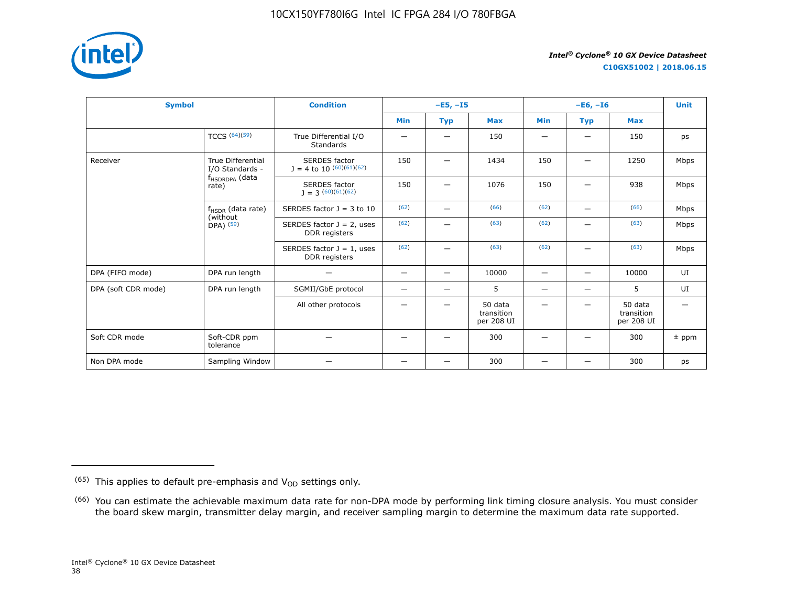

**C10GX51002 | 2018.06.15**

| <b>Symbol</b>       |                                                      | <b>Condition</b>                                     |                          | $-E5, -15$               |                                     |                                | <b>Unit</b>              |                                     |         |
|---------------------|------------------------------------------------------|------------------------------------------------------|--------------------------|--------------------------|-------------------------------------|--------------------------------|--------------------------|-------------------------------------|---------|
|                     |                                                      |                                                      | <b>Min</b>               | <b>Typ</b>               | <b>Max</b>                          | <b>Min</b>                     | <b>Typ</b>               | <b>Max</b>                          |         |
|                     | TCCS $(64)(59)$                                      | True Differential I/O<br><b>Standards</b>            |                          | $\overline{\phantom{0}}$ | 150                                 | -                              |                          | 150                                 | ps      |
| Receiver            | <b>True Differential</b><br>I/O Standards -          | <b>SERDES</b> factor<br>$J = 4$ to 10 $(60)(61)(62)$ | 150                      | -                        | 1434                                | 150                            |                          | 1250                                | Mbps    |
|                     | f <sub>HSDRDPA</sub> (data<br>rate)                  | <b>SERDES</b> factor<br>$1 = 3(60)(61)(62)$          | 150                      |                          | 1076                                | 150                            |                          | 938                                 | Mbps    |
|                     | $f_{HSDR}$ (data rate)<br>(without)<br>$DPA)$ $(59)$ | SERDES factor $J = 3$ to 10                          | (62)                     | $\overline{\phantom{0}}$ | (66)                                | (62)                           | $\overline{\phantom{0}}$ | (66)                                | Mbps    |
|                     |                                                      | SERDES factor $J = 2$ , uses<br>DDR registers        | (62)                     |                          | (63)                                | (62)                           |                          | (63)                                | Mbps    |
|                     |                                                      | SERDES factor $J = 1$ , uses<br>DDR registers        | (62)                     | —                        | (63)                                | (62)                           | $\overline{\phantom{0}}$ | (63)                                | Mbps    |
| DPA (FIFO mode)     | DPA run length                                       | $\overline{\phantom{0}}$                             | -                        | $\qquad \qquad -$        | 10000                               |                                | $\overline{\phantom{0}}$ | 10000                               | UI      |
| DPA (soft CDR mode) | DPA run length                                       | SGMII/GbE protocol                                   | $\overline{\phantom{0}}$ | $\overline{\phantom{0}}$ | 5                                   | $\qquad \qquad \longleftarrow$ | -                        | 5                                   | UI      |
|                     |                                                      | All other protocols                                  |                          | -                        | 50 data<br>transition<br>per 208 UI |                                |                          | 50 data<br>transition<br>per 208 UI |         |
| Soft CDR mode       | Soft-CDR ppm<br>tolerance                            |                                                      |                          |                          | 300                                 |                                |                          | 300                                 | $±$ ppm |
| Non DPA mode        | Sampling Window                                      |                                                      | –                        | $\overline{\phantom{0}}$ | 300                                 |                                |                          | 300                                 | ps      |

 $(65)$  This applies to default pre-emphasis and  $V_{OD}$  settings only.

<sup>&</sup>lt;sup>(66)</sup> You can estimate the achievable maximum data rate for non-DPA mode by performing link timing closure analysis. You must consider the board skew margin, transmitter delay margin, and receiver sampling margin to determine the maximum data rate supported.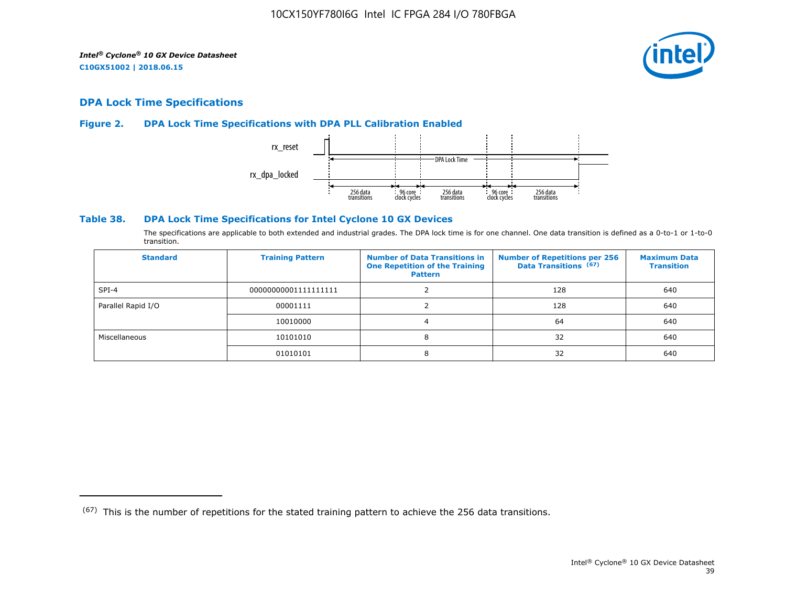

# **DPA Lock Time Specifications**

#### **Figure 2. DPA Lock Time Specifications with DPA PLL Calibration Enabled**



#### **Table 38. DPA Lock Time Specifications for Intel Cyclone 10 GX Devices**

The specifications are applicable to both extended and industrial grades. The DPA lock time is for one channel. One data transition is defined as a 0-to-1 or 1-to-0 transition.

| <b>Standard</b>    | <b>Training Pattern</b> | <b>Number of Data Transitions in</b><br><b>One Repetition of the Training</b><br><b>Pattern</b> | <b>Number of Repetitions per 256</b><br>Data Transitions (67) | <b>Maximum Data</b><br><b>Transition</b> |
|--------------------|-------------------------|-------------------------------------------------------------------------------------------------|---------------------------------------------------------------|------------------------------------------|
| $SPI-4$            | 00000000001111111111    |                                                                                                 | 128                                                           | 640                                      |
| Parallel Rapid I/O | 00001111                |                                                                                                 | 128                                                           | 640                                      |
|                    | 10010000                |                                                                                                 | 64                                                            | 640                                      |
| Miscellaneous      | 10101010                | 8                                                                                               | 32                                                            | 640                                      |
|                    | 01010101                | 8                                                                                               | 32                                                            | 640                                      |

 $(67)$  This is the number of repetitions for the stated training pattern to achieve the 256 data transitions.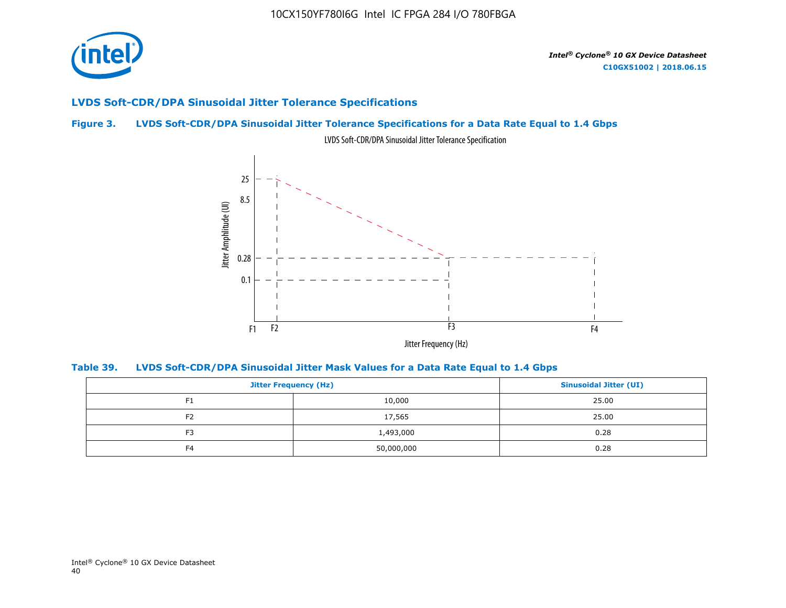

# **LVDS Soft-CDR/DPA Sinusoidal Jitter Tolerance Specifications**

# **Figure 3. LVDS Soft-CDR/DPA Sinusoidal Jitter Tolerance Specifications for a Data Rate Equal to 1.4 Gbps**



LVDS Soft-CDR/DPA Sinusoidal Jitter Tolerance Specification

**Table 39. LVDS Soft-CDR/DPA Sinusoidal Jitter Mask Values for a Data Rate Equal to 1.4 Gbps**

|                | <b>Jitter Frequency (Hz)</b> |       |  |  |
|----------------|------------------------------|-------|--|--|
| F <sub>1</sub> | 10,000                       | 25.00 |  |  |
| F <sub>2</sub> | 17,565                       | 25.00 |  |  |
| F3             | 1,493,000                    | 0.28  |  |  |
| F <sub>4</sub> | 50,000,000                   | 0.28  |  |  |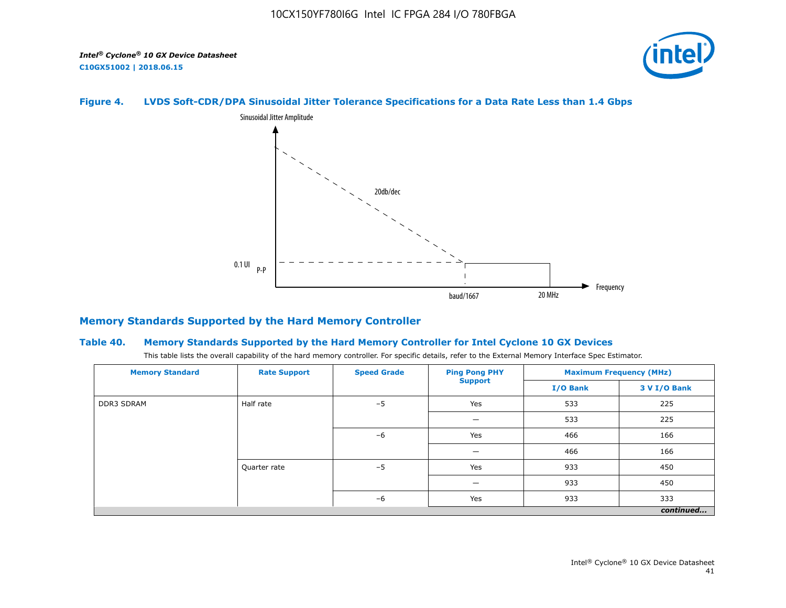

# **Figure 4. LVDS Soft-CDR/DPA Sinusoidal Jitter Tolerance Specifications for a Data Rate Less than 1.4 Gbps**



#### **Memory Standards Supported by the Hard Memory Controller**

#### **Table 40. Memory Standards Supported by the Hard Memory Controller for Intel Cyclone 10 GX Devices**

This table lists the overall capability of the hard memory controller. For specific details, refer to the External Memory Interface Spec Estimator.

| <b>Memory Standard</b> | <b>Rate Support</b> | <b>Speed Grade</b> | <b>Ping Pong PHY</b> | <b>Maximum Frequency (MHz)</b> |              |  |
|------------------------|---------------------|--------------------|----------------------|--------------------------------|--------------|--|
|                        |                     |                    | <b>Support</b>       | I/O Bank                       | 3 V I/O Bank |  |
| <b>DDR3 SDRAM</b>      | Half rate           | $-5$               | Yes                  | 533                            | 225          |  |
|                        |                     |                    |                      | 533                            | 225          |  |
|                        |                     | $-6$               | Yes                  | 466                            | 166          |  |
|                        |                     |                    |                      | 466                            | 166          |  |
|                        | Quarter rate        | $-5$               | Yes                  | 933                            | 450          |  |
|                        |                     |                    |                      | 933                            | 450          |  |
|                        |                     | $-6$               | Yes                  | 933                            | 333          |  |
|                        |                     |                    |                      |                                | continued    |  |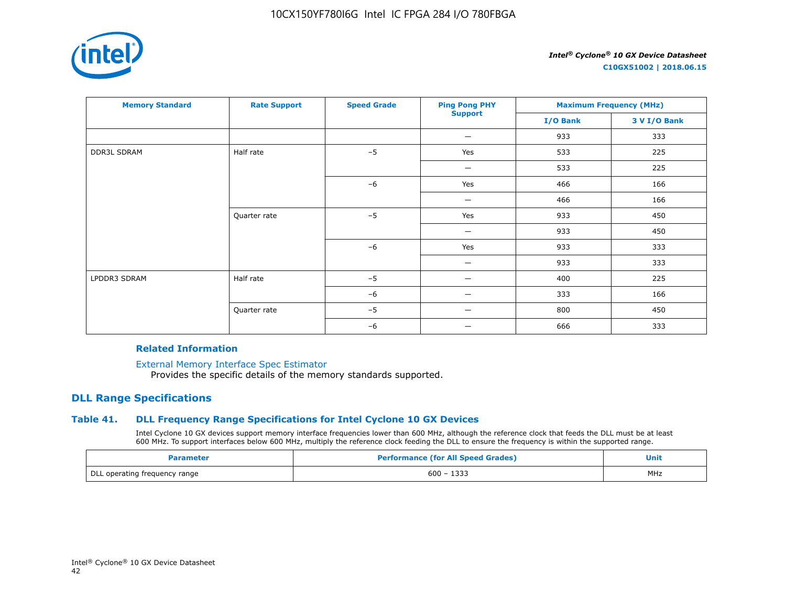

**C10GX51002 | 2018.06.15**

| <b>Memory Standard</b> | <b>Rate Support</b> | <b>Speed Grade</b> | <b>Ping Pong PHY</b>           | <b>Maximum Frequency (MHz)</b> |              |
|------------------------|---------------------|--------------------|--------------------------------|--------------------------------|--------------|
|                        |                     |                    | <b>Support</b>                 | I/O Bank                       | 3 V I/O Bank |
|                        |                     |                    | $\qquad \qquad \longleftarrow$ | 933                            | 333          |
| <b>DDR3L SDRAM</b>     | Half rate           | $-5$               | Yes                            | 533                            | 225          |
|                        |                     |                    | $\qquad \qquad \longleftarrow$ | 533                            | 225          |
|                        |                     | $-6$               | Yes                            | 466                            | 166          |
|                        |                     |                    | $\overline{\phantom{m}}$       | 466                            | 166          |
|                        | Quarter rate        | $-5$               | Yes                            | 933                            | 450          |
|                        |                     |                    | -                              | 933                            | 450          |
|                        |                     | $-6$               | Yes                            | 933                            | 333          |
|                        |                     |                    |                                | 933                            | 333          |
| LPDDR3 SDRAM           | Half rate           | $-5$               |                                | 400                            | 225          |
|                        |                     | $-6$               | -                              | 333                            | 166          |
|                        | Quarter rate        | $-5$               |                                | 800                            | 450          |
|                        |                     | $-6$               | --                             | 666                            | 333          |

#### **Related Information**

[External Memory Interface Spec Estimator](https://www.altera.com/products/intellectual-property/best-in-class-ip/external-memory/support-selector.html)

Provides the specific details of the memory standards supported.

# **DLL Range Specifications**

#### **Table 41. DLL Frequency Range Specifications for Intel Cyclone 10 GX Devices**

Intel Cyclone 10 GX devices support memory interface frequencies lower than 600 MHz, although the reference clock that feeds the DLL must be at least 600 MHz. To support interfaces below 600 MHz, multiply the reference clock feeding the DLL to ensure the frequency is within the supported range.

| Parameter                     | <b>Performance (for All Speed Grades)</b> | Unit |
|-------------------------------|-------------------------------------------|------|
| DLL operating frequency range | $600 - 1333$                              | MHz  |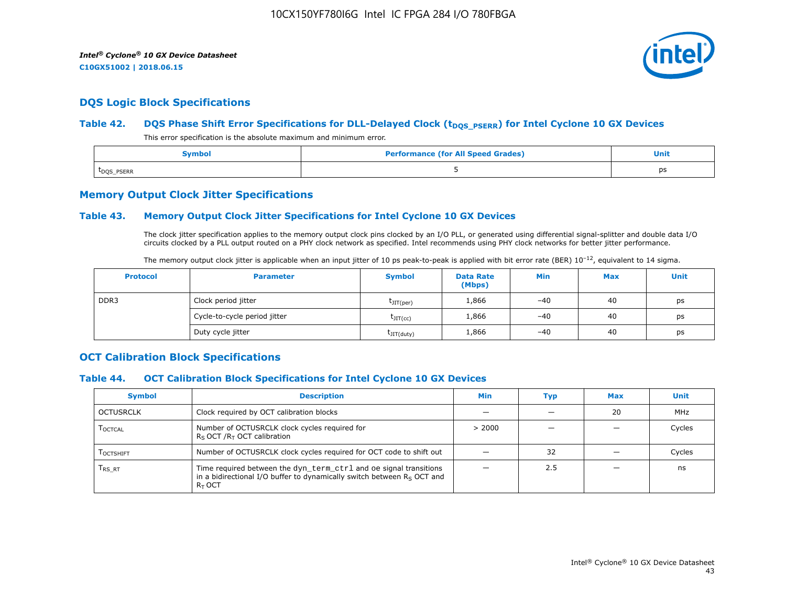

# **DQS Logic Block Specifications**

#### Table 42. **DQS Phase Shift Error Specifications for DLL-Delayed Clock (t<sub>DQS\_PSERR</sub>) for Intel Cyclone 10 GX Devices**

This error specification is the absolute maximum and minimum error.

| Symbol                  | <b>Performance (for All Speed Grades)</b> | <b>Unit</b> |
|-------------------------|-------------------------------------------|-------------|
| t <sub>DQS</sub> _PSERR |                                           | ps          |

### **Memory Output Clock Jitter Specifications**

#### **Table 43. Memory Output Clock Jitter Specifications for Intel Cyclone 10 GX Devices**

The clock jitter specification applies to the memory output clock pins clocked by an I/O PLL, or generated using differential signal-splitter and double data I/O circuits clocked by a PLL output routed on a PHY clock network as specified. Intel recommends using PHY clock networks for better jitter performance.

| The memory output clock jitter is applicable when an input jitter of 10 ps peak-to-peak is applied with bit error rate (BER) $10^{-12}$ , equivalent to 14 sigma. |  |
|-------------------------------------------------------------------------------------------------------------------------------------------------------------------|--|
|-------------------------------------------------------------------------------------------------------------------------------------------------------------------|--|

| <b>Protocol</b> | <b>Parameter</b>             | <b>Symbol</b>           | <b>Data Rate</b><br>(Mbps) | Min   | <b>Max</b> | <b>Unit</b> |
|-----------------|------------------------------|-------------------------|----------------------------|-------|------------|-------------|
| DDR3            | Clock period jitter          | $t$ JIT(per)            | 1,866                      | $-40$ | 40         | ps          |
|                 | Cycle-to-cycle period jitter | $\tau_{\text{JIT(cc)}}$ | 1,866                      | $-40$ | 40         | ps          |
|                 | Duty cycle jitter            | $t$ JIT $(duty)$        | 1,866                      | $-40$ | 40         | ps          |

# **OCT Calibration Block Specifications**

#### **Table 44. OCT Calibration Block Specifications for Intel Cyclone 10 GX Devices**

| <b>Symbol</b>                 | <b>Description</b>                                                                                                                                         | Min    | Typ | <b>Max</b> | Unit   |
|-------------------------------|------------------------------------------------------------------------------------------------------------------------------------------------------------|--------|-----|------------|--------|
| OCTUSRCLK                     | Clock required by OCT calibration blocks                                                                                                                   |        |     | 20         | MHz    |
| <b>LOCTCAL</b>                | Number of OCTUSRCLK clock cycles required for<br>$R_S$ OCT / $R_T$ OCT calibration                                                                         | > 2000 |     |            | Cycles |
| <b>LOCTSHIFT</b>              | Number of OCTUSRCLK clock cycles required for OCT code to shift out                                                                                        |        | 32  |            | Cycles |
| $\mathsf{T}_{\mathsf{RS-RT}}$ | Time required between the dyn_term_ctrl and oe signal transitions<br>in a bidirectional I/O buffer to dynamically switch between $Rs$ OCT and<br>$R_T$ OCT |        | 2.5 |            | ns     |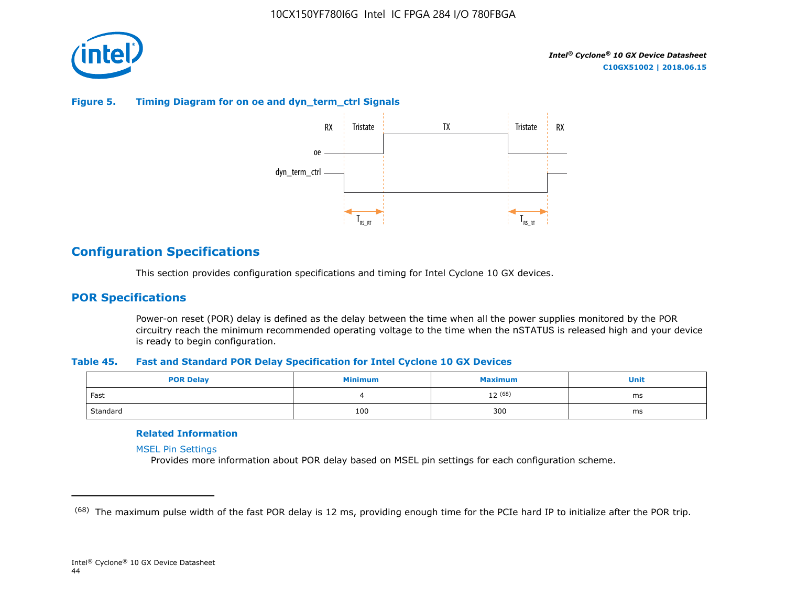

#### **Figure 5. Timing Diagram for on oe and dyn\_term\_ctrl Signals**



# **Configuration Specifications**

This section provides configuration specifications and timing for Intel Cyclone 10 GX devices.

# **POR Specifications**

Power-on reset (POR) delay is defined as the delay between the time when all the power supplies monitored by the POR circuitry reach the minimum recommended operating voltage to the time when the nSTATUS is released high and your device is ready to begin configuration.

#### **Table 45. Fast and Standard POR Delay Specification for Intel Cyclone 10 GX Devices**

| <b>POR Delay</b> | Minimum | Maximum | Unit |
|------------------|---------|---------|------|
| Fast             |         | 12 (68) | ms   |
| Standard         | 100     | 300     | ms   |

#### **Related Information**

[MSEL Pin Settings](https://www.altera.com/documentation/vua1487061384661.html#qui1490602367330)

Provides more information about POR delay based on MSEL pin settings for each configuration scheme.

<sup>&</sup>lt;sup>(68)</sup> The maximum pulse width of the fast POR delay is 12 ms, providing enough time for the PCIe hard IP to initialize after the POR trip.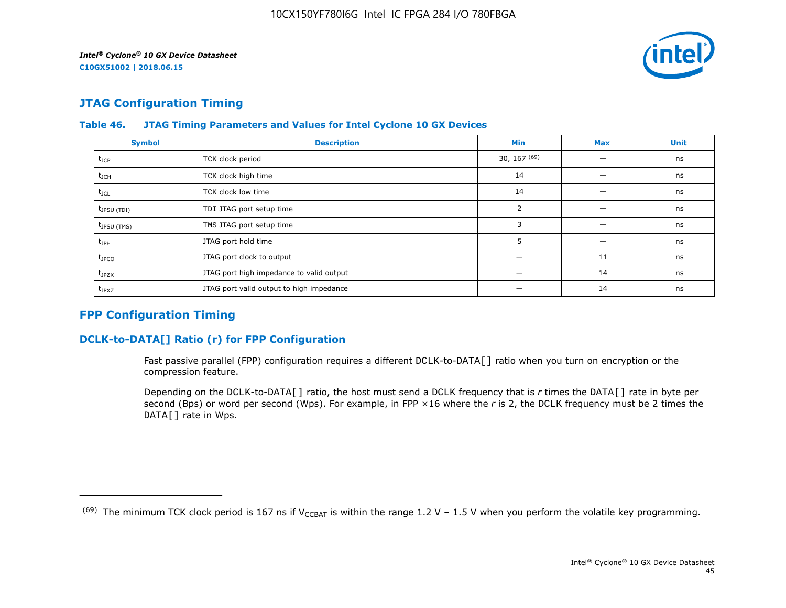

# **JTAG Configuration Timing**

| <b>Symbol</b>     | <b>Description</b>                       | <b>Min</b>     | <b>Max</b> | <b>Unit</b> |
|-------------------|------------------------------------------|----------------|------------|-------------|
| $t_{\text{JCP}}$  | TCK clock period                         | 30, 167 $(69)$ |            | ns          |
| $t_{\text{JCH}}$  | TCK clock high time                      | 14             |            | ns          |
| $t_{\text{JCL}}$  | TCK clock low time                       | 14             |            | ns          |
| $t_{JPSU(TDI)}$   | TDI JTAG port setup time                 | 2              |            | ns          |
| $t_{JPSU(TMS)}$   | TMS JTAG port setup time                 | 3              |            | ns          |
| $t_{\rm JPH}$     | JTAG port hold time                      | 5              |            | ns          |
| $t_{\text{JPCO}}$ | JTAG port clock to output                |                | 11         | ns          |
| $t_{JPZX}$        | JTAG port high impedance to valid output |                | 14         | ns          |
| $t_{JPXZ}$        | JTAG port valid output to high impedance |                | 14         | ns          |

#### **Table 46. JTAG Timing Parameters and Values for Intel Cyclone 10 GX Devices**

# **FPP Configuration Timing**

# **DCLK-to-DATA[] Ratio (r) for FPP Configuration**

Fast passive parallel (FPP) configuration requires a different DCLK-to-DATA[] ratio when you turn on encryption or the compression feature.

Depending on the DCLK-to-DATA[] ratio, the host must send a DCLK frequency that is *r* times the DATA[] rate in byte per second (Bps) or word per second (Wps). For example, in FPP ×16 where the *r* is 2, the DCLK frequency must be 2 times the DATA[] rate in Wps.

<sup>&</sup>lt;sup>(69)</sup> The minimum TCK clock period is 167 ns if V<sub>CCBAT</sub> is within the range 1.2 V – 1.5 V when you perform the volatile key programming.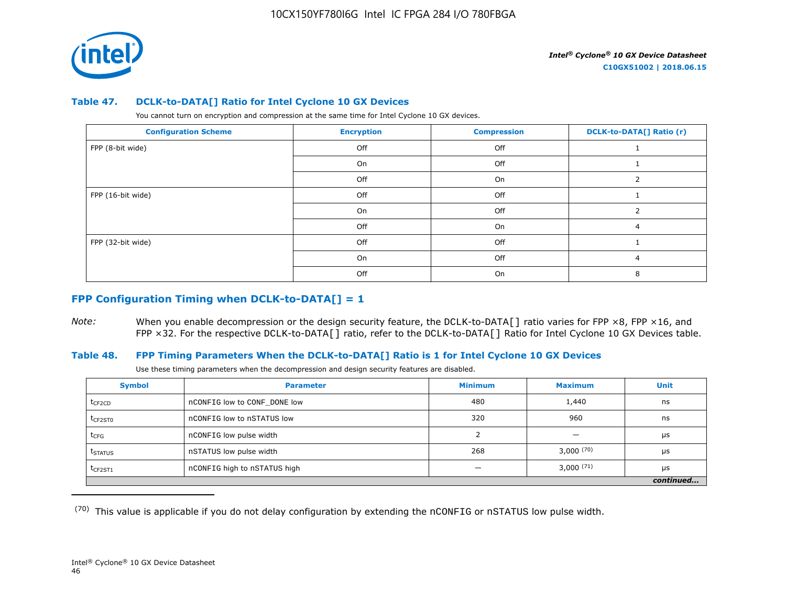

#### **Table 47. DCLK-to-DATA[] Ratio for Intel Cyclone 10 GX Devices**

You cannot turn on encryption and compression at the same time for Intel Cyclone 10 GX devices.

| <b>Configuration Scheme</b> | <b>Encryption</b> | <b>Compression</b> | <b>DCLK-to-DATA[] Ratio (r)</b> |
|-----------------------------|-------------------|--------------------|---------------------------------|
| FPP (8-bit wide)            | Off               | Off                |                                 |
|                             | On                | Off                |                                 |
|                             | Off               | On                 |                                 |
| FPP (16-bit wide)           | Off               | Off                |                                 |
|                             | On                | Off                |                                 |
|                             | Off               | On                 | 4                               |
| FPP (32-bit wide)           | Off               | Off                |                                 |
|                             | On                | Off                | 4                               |
|                             | Off               | On                 |                                 |

# **FPP Configuration Timing when DCLK-to-DATA[] = 1**

*Note:* When you enable decompression or the design security feature, the DCLK-to-DATA[] ratio varies for FPP ×8, FPP ×16, and FPP ×32. For the respective DCLK-to-DATA[] ratio, refer to the DCLK-to-DATA[] Ratio for Intel Cyclone 10 GX Devices table.

#### **Table 48. FPP Timing Parameters When the DCLK-to-DATA[] Ratio is 1 for Intel Cyclone 10 GX Devices**

Use these timing parameters when the decompression and design security features are disabled.

| <b>Symbol</b>       | <b>Parameter</b>             | <b>Minimum</b> | <b>Maximum</b> | <b>Unit</b> |
|---------------------|------------------------------|----------------|----------------|-------------|
| t <sub>CF2CD</sub>  | nCONFIG low to CONF DONE low | 480            | 1,440          | ns          |
| $t_{CF2ST0}$        | nCONFIG low to nSTATUS low   | 320            | 960            | ns          |
| $t_{CFG}$           | nCONFIG low pulse width      |                |                | μs          |
| t <sub>STATUS</sub> | nSTATUS low pulse width      | 268            | 3,000(70)      | μs          |
| $t$ CF2ST1          | nCONFIG high to nSTATUS high |                | $3,000^{(71)}$ | μs          |
|                     |                              |                |                | continued   |

 $(70)$  This value is applicable if you do not delay configuration by extending the nCONFIG or nSTATUS low pulse width.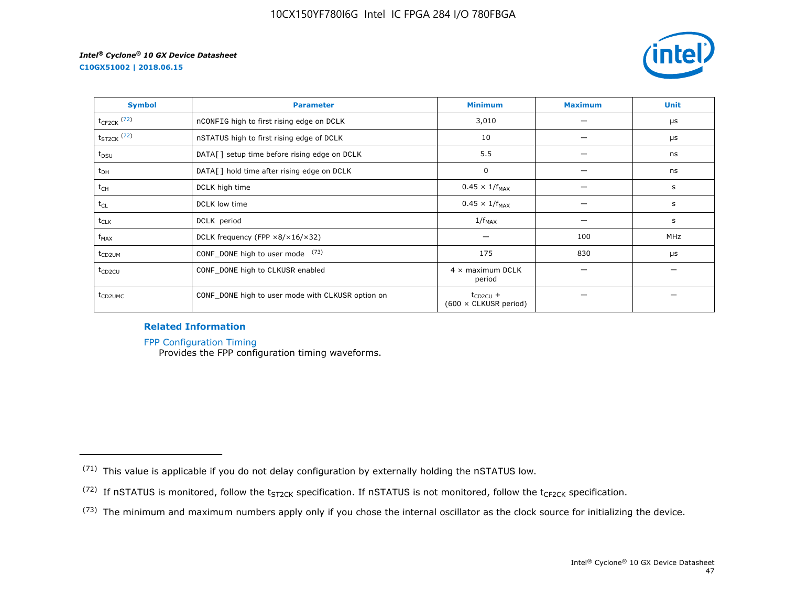



| <b>Symbol</b>       | <b>Parameter</b>                                     | <b>Minimum</b>                                | <b>Maximum</b> | <b>Unit</b> |
|---------------------|------------------------------------------------------|-----------------------------------------------|----------------|-------------|
| $t_{CF2CK}$ (72)    | nCONFIG high to first rising edge on DCLK            | 3,010                                         |                | μs          |
| $t_{ST2CK}$ (72)    | nSTATUS high to first rising edge of DCLK            | 10                                            |                | μs          |
| t <sub>DSU</sub>    | DATA[] setup time before rising edge on DCLK         | 5.5                                           |                | ns          |
| $t_{DH}$            | DATA[] hold time after rising edge on DCLK           | 0                                             |                | ns          |
| t <sub>CH</sub>     | DCLK high time                                       | $0.45 \times 1/f_{MAX}$                       |                | s           |
| $t_{CL}$            | DCLK low time                                        | $0.45 \times 1/f_{MAX}$                       |                | s           |
| $t_{CLK}$           | DCLK period                                          | $1/f_{MAX}$                                   |                | s           |
| $f_{MAX}$           | DCLK frequency (FPP $\times 8/\times 16/\times 32$ ) |                                               | 100            | <b>MHz</b>  |
| t <sub>CD2UM</sub>  | CONF_DONE high to user mode (73)                     | 175                                           | 830            | μs          |
| $t_{CD2CU}$         | CONF_DONE high to CLKUSR enabled                     | $4 \times$ maximum DCLK<br>period             |                |             |
| t <sub>CD2UMC</sub> | CONF_DONE high to user mode with CLKUSR option on    | $t_{CD2CU}$ +<br>$(600 \times$ CLKUSR period) |                |             |

#### **Related Information**

[FPP Configuration Timing](https://www.altera.com/documentation/vua1487061384661.html#sss1425901817612)

Provides the FPP configuration timing waveforms.

<sup>(71)</sup> This value is applicable if you do not delay configuration by externally holding the nSTATUS low.

<sup>(72)</sup> If nSTATUS is monitored, follow the  $t_{ST2CK}$  specification. If nSTATUS is not monitored, follow the  $t_{CF2CK}$  specification.

<sup>(73)</sup> The minimum and maximum numbers apply only if you chose the internal oscillator as the clock source for initializing the device.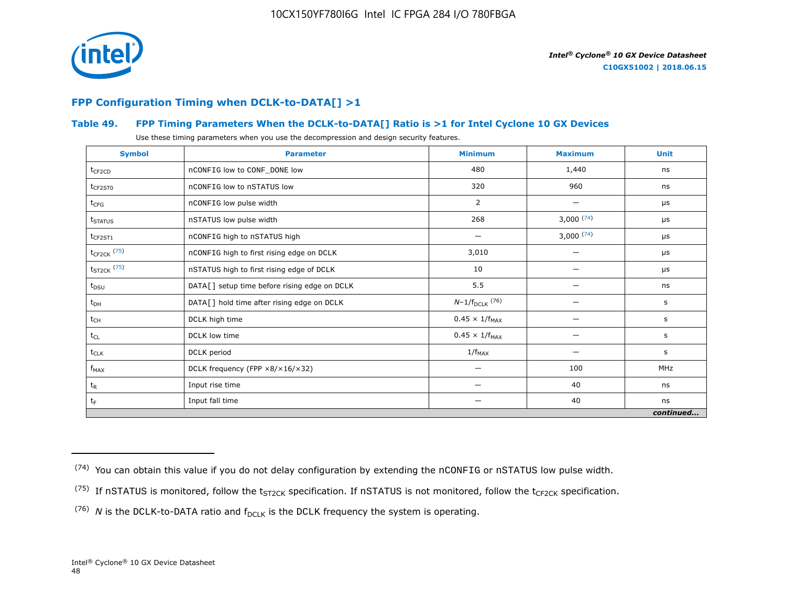

# **FPP Configuration Timing when DCLK-to-DATA[] >1**

# **Table 49. FPP Timing Parameters When the DCLK-to-DATA[] Ratio is >1 for Intel Cyclone 10 GX Devices**

Use these timing parameters when you use the decompression and design security features.

| <b>Symbol</b>           | <b>Parameter</b>                             | <b>Minimum</b>          | <b>Maximum</b> | <b>Unit</b> |
|-------------------------|----------------------------------------------|-------------------------|----------------|-------------|
| $t_{CF2CD}$             | nCONFIG low to CONF_DONE low                 | 480                     | 1,440          | ns          |
| $t_{CF2ST0}$            | nCONFIG low to nSTATUS low                   | 320                     | 960            | ns          |
| $t_{CFG}$               | nCONFIG low pulse width                      | 2                       |                | μs          |
| t <sub>STATUS</sub>     | nSTATUS low pulse width                      | 268                     | 3,000(74)      | μs          |
| $t_{CF2ST1}$            | nCONFIG high to nSTATUS high                 |                         | 3,000(74)      | μs          |
| $t_{\text{CF2CK}}$ (75) | nCONFIG high to first rising edge on DCLK    | 3,010                   |                | μs          |
| $t_{ST2CK}$ (75)        | nSTATUS high to first rising edge of DCLK    | 10                      |                | μs          |
| $t_{DSU}$               | DATA[] setup time before rising edge on DCLK | 5.5                     |                | ns          |
| $t_{DH}$                | DATA[] hold time after rising edge on DCLK   | $N-1/f_{DCLK}$ (76)     |                | s           |
| $t_{CH}$                | DCLK high time                               | $0.45 \times 1/f_{MAX}$ |                | s           |
| $t_{CL}$                | DCLK low time                                | $0.45 \times 1/f_{MAX}$ |                | s           |
| $t_{CLK}$               | DCLK period                                  | $1/f_{MAX}$             |                | s           |
| $f_{MAX}$               | DCLK frequency (FPP ×8/×16/×32)              | —                       | 100            | MHz         |
| $t_{R}$                 | Input rise time                              | —                       | 40             | ns          |
| $t_F$                   | Input fall time                              | —                       | 40             | ns          |
|                         |                                              |                         |                | continued   |

 $(74)$  You can obtain this value if you do not delay configuration by extending the nCONFIG or nSTATUS low pulse width.

<sup>&</sup>lt;sup>(75)</sup> If nSTATUS is monitored, follow the  $t_{ST2CK}$  specification. If nSTATUS is not monitored, follow the  $t_{CF2CK}$  specification.

<sup>(76)</sup> *N* is the DCLK-to-DATA ratio and  $f_{DCLK}$  is the DCLK frequency the system is operating.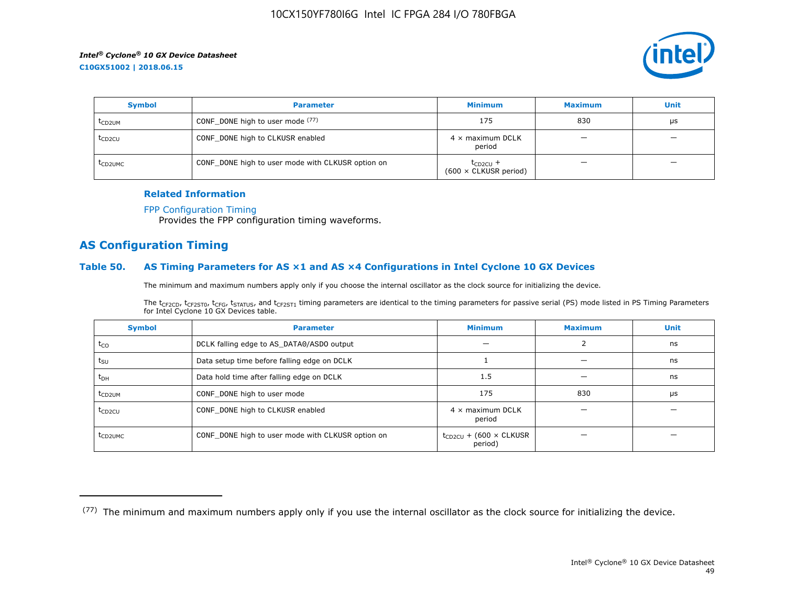

| <b>Symbol</b>       | <b>Parameter</b>                                  | <b>Minimum</b>                                | <b>Maximum</b> | <b>Unit</b> |
|---------------------|---------------------------------------------------|-----------------------------------------------|----------------|-------------|
| t <sub>CD2UM</sub>  | CONF_DONE high to user mode (77)                  | 175                                           | 830            | μs          |
| t <sub>CD2CU</sub>  | CONF_DONE high to CLKUSR enabled                  | $4 \times$ maximum DCLK<br>period             | –              | -           |
| t <sub>CD2UMC</sub> | CONF_DONE high to user mode with CLKUSR option on | $t_{CD2CU}$ +<br>$(600 \times$ CLKUSR period) |                | -           |

#### **Related Information**

#### [FPP Configuration Timing](https://www.altera.com/documentation/vua1487061384661.html#sss1425901817612)

Provides the FPP configuration timing waveforms.

# **AS Configuration Timing**

#### **Table 50. AS Timing Parameters for AS ×1 and AS ×4 Configurations in Intel Cyclone 10 GX Devices**

The minimum and maximum numbers apply only if you choose the internal oscillator as the clock source for initializing the device.

The t<sub>CF2CD</sub>, t<sub>CF2ST0</sub>, t<sub>CFG</sub>, t<sub>STATUS</sub>, and t<sub>CF2ST1</sub> timing parameters are identical to the timing parameters for passive serial (PS) mode listed in PS Timing Parameters for Intel Cyclone 10 GX Devices table.

| <b>Symbol</b>       | <b>Parameter</b>                                  | <b>Minimum</b>                                | <b>Maximum</b> | <b>Unit</b> |
|---------------------|---------------------------------------------------|-----------------------------------------------|----------------|-------------|
| $t_{CO}$            | DCLK falling edge to AS_DATA0/ASDO output         |                                               |                | ns          |
| $t_{\text{SU}}$     | Data setup time before falling edge on DCLK       |                                               |                | ns          |
| $t_{DH}$            | Data hold time after falling edge on DCLK         | 1.5                                           |                | ns          |
| t <sub>CD2UM</sub>  | CONF_DONE high to user mode                       | 175                                           | 830            | μs          |
| $t_{CD2CU}$         | CONF_DONE high to CLKUSR enabled                  | $4 \times$ maximum DCLK<br>period             |                |             |
| t <sub>CD2UMC</sub> | CONF_DONE high to user mode with CLKUSR option on | $t_{CD2CU}$ + (600 $\times$ CLKUSR<br>period) |                |             |

<sup>(77)</sup> The minimum and maximum numbers apply only if you use the internal oscillator as the clock source for initializing the device.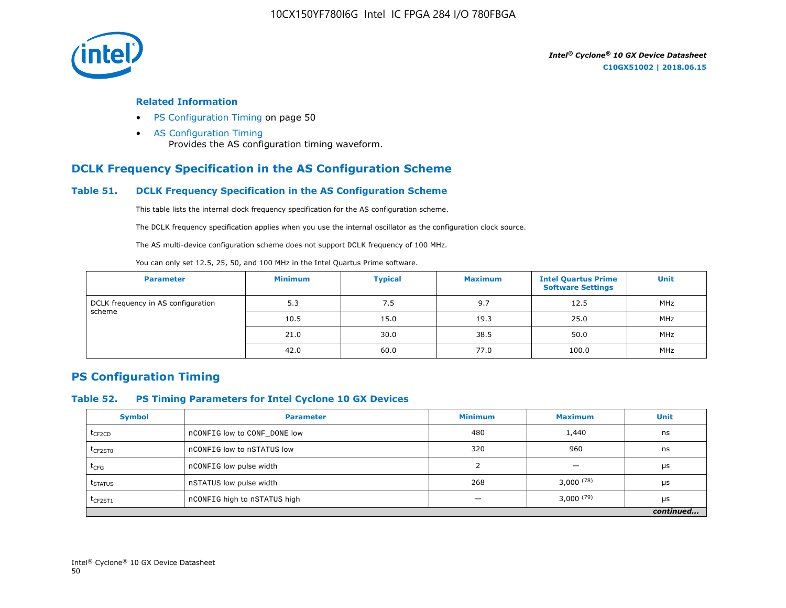

#### **Related Information**

- PS Configuration Timing on page 50
- [AS Configuration Timing](https://www.altera.com/documentation/vua1487061384661.html#sss1425901879133) Provides the AS configuration timing waveform.

# **DCLK Frequency Specification in the AS Configuration Scheme**

#### **Table 51. DCLK Frequency Specification in the AS Configuration Scheme**

This table lists the internal clock frequency specification for the AS configuration scheme.

The DCLK frequency specification applies when you use the internal oscillator as the configuration clock source.

The AS multi-device configuration scheme does not support DCLK frequency of 100 MHz.

You can only set 12.5, 25, 50, and 100 MHz in the Intel Quartus Prime software.

| <b>Parameter</b>                   | <b>Minimum</b> | <b>Typical</b> | <b>Maximum</b> | <b>Intel Quartus Prime</b><br><b>Software Settings</b> | <b>Unit</b> |
|------------------------------------|----------------|----------------|----------------|--------------------------------------------------------|-------------|
| DCLK frequency in AS configuration | 5.3            | 7.5            | 9.7            | 12.5                                                   | MHz         |
| scheme                             | 10.5           | 15.0           | 19.3           | 25.0                                                   | MHz         |
|                                    | 21.0           | 30.0           | 38.5           | 50.0                                                   | MHz         |
|                                    | 42.0           | 60.0           | 77.0           | 100.0                                                  | MHz         |

# **PS Configuration Timing**

#### **Table 52. PS Timing Parameters for Intel Cyclone 10 GX Devices**

| <b>Symbol</b>       | <b>Parameter</b>             | <b>Minimum</b> | <b>Maximum</b> | <b>Unit</b> |
|---------------------|------------------------------|----------------|----------------|-------------|
| $t_{CF2CD}$         | nCONFIG low to CONF DONE low | 480            | 1,440          | ns          |
| t <sub>CF2ST0</sub> | nCONFIG low to nSTATUS low   | 320            | 960            | ns          |
| $t_{CFG}$           | nCONFIG low pulse width      |                |                | μs          |
| t <sub>STATUS</sub> | nSTATUS low pulse width      | 268            | 3,000(78)      | μs          |
| $t_{CF2ST1}$        | nCONFIG high to nSTATUS high |                | $3,000^{(79)}$ | μs          |
|                     |                              |                |                | continued   |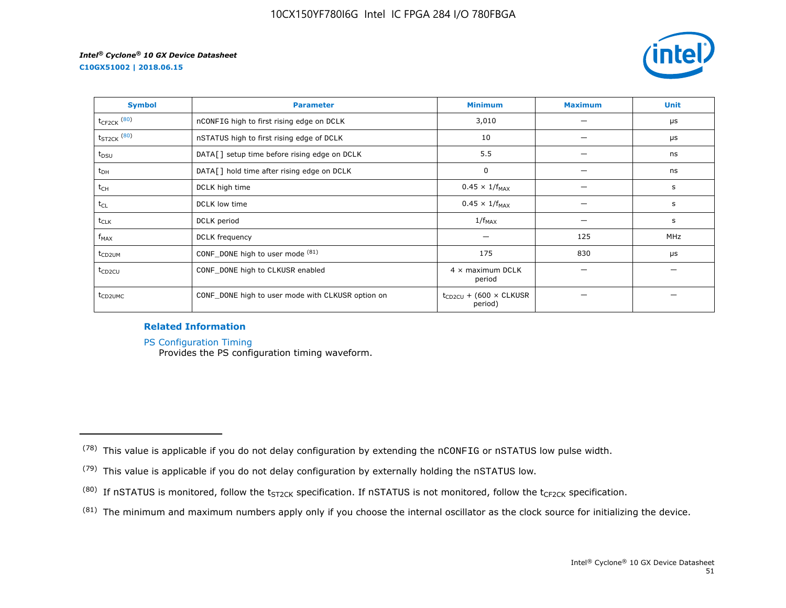**C10GX51002 | 2018.06.15**



| <b>Symbol</b>       | <b>Parameter</b>                                  | <b>Minimum</b>                                | <b>Maximum</b> | <b>Unit</b> |
|---------------------|---------------------------------------------------|-----------------------------------------------|----------------|-------------|
| $t_{CF2CK}$ $(80)$  | nCONFIG high to first rising edge on DCLK         | 3,010                                         |                | μs          |
| $t_{ST2CK}$ $(80)$  | nSTATUS high to first rising edge of DCLK         | 10                                            |                | μs          |
| $t_{DSU}$           | DATA[] setup time before rising edge on DCLK      | 5.5                                           |                | ns          |
| $t_{DH}$            | DATA[] hold time after rising edge on DCLK        | 0                                             |                | ns          |
| t <sub>CH</sub>     | DCLK high time                                    | $0.45 \times 1/f_{MAX}$                       |                | s           |
| $t_{CL}$            | DCLK low time                                     | $0.45 \times 1/f_{MAX}$                       |                | s           |
| $t_{CLK}$           | DCLK period                                       | $1/f_{MAX}$                                   |                | s           |
| $f_{MAX}$           | DCLK frequency                                    |                                               | 125            | MHz         |
| t <sub>CD2UM</sub>  | CONF_DONE high to user mode (81)                  | 175                                           | 830            | μs          |
| t <sub>CD2CU</sub>  | CONF_DONE high to CLKUSR enabled                  | $4 \times$ maximum DCLK<br>period             |                |             |
| t <sub>CD2UMC</sub> | CONF_DONE high to user mode with CLKUSR option on | $t_{CD2CU}$ + (600 $\times$ CLKUSR<br>period) |                |             |

#### **Related Information**

[PS Configuration Timing](https://www.altera.com/documentation/vua1487061384661.html#sss1425901911993)

Provides the PS configuration timing waveform.

 $(81)$  The minimum and maximum numbers apply only if you choose the internal oscillator as the clock source for initializing the device.

 $(78)$  This value is applicable if you do not delay configuration by extending the nCONFIG or nSTATUS low pulse width.

<sup>(79)</sup> This value is applicable if you do not delay configuration by externally holding the nSTATUS low.

<sup>(80)</sup> If nSTATUS is monitored, follow the  $t_{ST2CK}$  specification. If nSTATUS is not monitored, follow the  $t_{CF2CK}$  specification.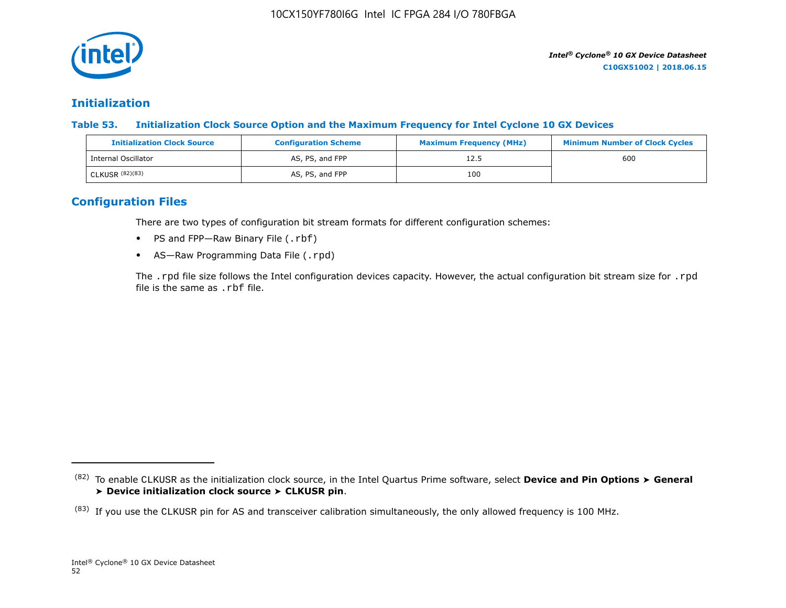

# **Initialization**

**Table 53. Initialization Clock Source Option and the Maximum Frequency for Intel Cyclone 10 GX Devices**

| <b>Initialization Clock Source</b> | <b>Configuration Scheme</b> | <b>Maximum Frequency (MHz)</b> | <b>Minimum Number of Clock Cycles</b> |
|------------------------------------|-----------------------------|--------------------------------|---------------------------------------|
| Internal Oscillator                | AS, PS, and FPP             | 12.5                           | 600                                   |
| CLKUSR (82)(83)                    | AS, PS, and FPP             | 100                            |                                       |

# **Configuration Files**

There are two types of configuration bit stream formats for different configuration schemes:

- PS and FPP-Raw Binary File (.rbf)
- AS-Raw Programming Data File (.rpd)

The .rpd file size follows the Intel configuration devices capacity. However, the actual configuration bit stream size for .rpd file is the same as .rbf file.

<sup>(82)</sup> To enable CLKUSR as the initialization clock source, in the Intel Quartus Prime software, select **Device and Pin Options** ➤ **General** ➤ **Device initialization clock source** ➤ **CLKUSR pin**.

 $(83)$  If you use the CLKUSR pin for AS and transceiver calibration simultaneously, the only allowed frequency is 100 MHz.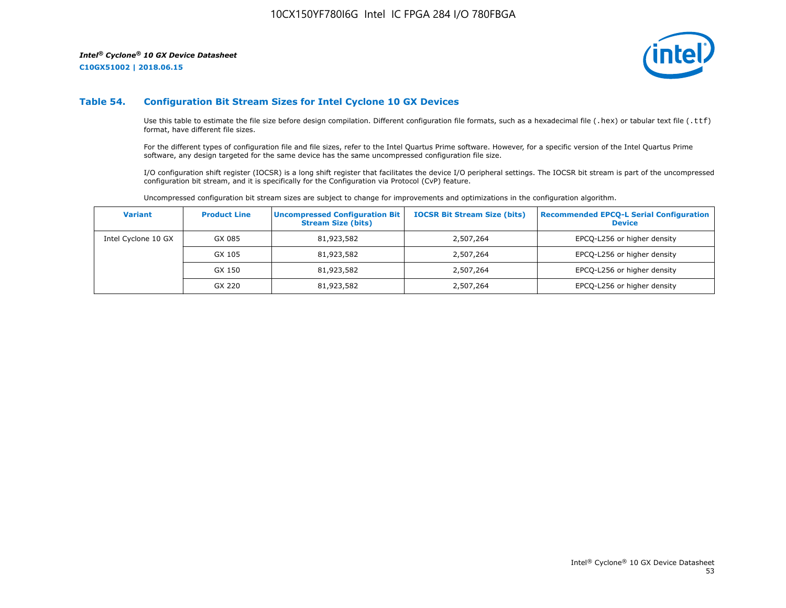**C10GX51002 | 2018.06.15**



#### **Table 54. Configuration Bit Stream Sizes for Intel Cyclone 10 GX Devices**

Use this table to estimate the file size before design compilation. Different configuration file formats, such as a hexadecimal file (.hex) or tabular text file (.ttf) format, have different file sizes.

For the different types of configuration file and file sizes, refer to the Intel Quartus Prime software. However, for a specific version of the Intel Quartus Prime software, any design targeted for the same device has the same uncompressed configuration file size.

I/O configuration shift register (IOCSR) is a long shift register that facilitates the device I/O peripheral settings. The IOCSR bit stream is part of the uncompressed configuration bit stream, and it is specifically for the Configuration via Protocol (CvP) feature.

Uncompressed configuration bit stream sizes are subject to change for improvements and optimizations in the configuration algorithm.

| <b>Variant</b>      | <b>Product Line</b> | <b>Uncompressed Configuration Bit</b><br><b>Stream Size (bits)</b> | <b>IOCSR Bit Stream Size (bits)</b> | <b>Recommended EPCO-L Serial Configuration</b><br><b>Device</b> |
|---------------------|---------------------|--------------------------------------------------------------------|-------------------------------------|-----------------------------------------------------------------|
| Intel Cyclone 10 GX | GX 085              | 81,923,582                                                         | 2,507,264                           | EPCQ-L256 or higher density                                     |
|                     | GX 105              | 81,923,582                                                         | 2,507,264                           | EPCQ-L256 or higher density                                     |
|                     | GX 150              | 81,923,582                                                         | 2,507,264                           | EPCQ-L256 or higher density                                     |
|                     | GX 220              | 81,923,582                                                         | 2,507,264                           | EPCQ-L256 or higher density                                     |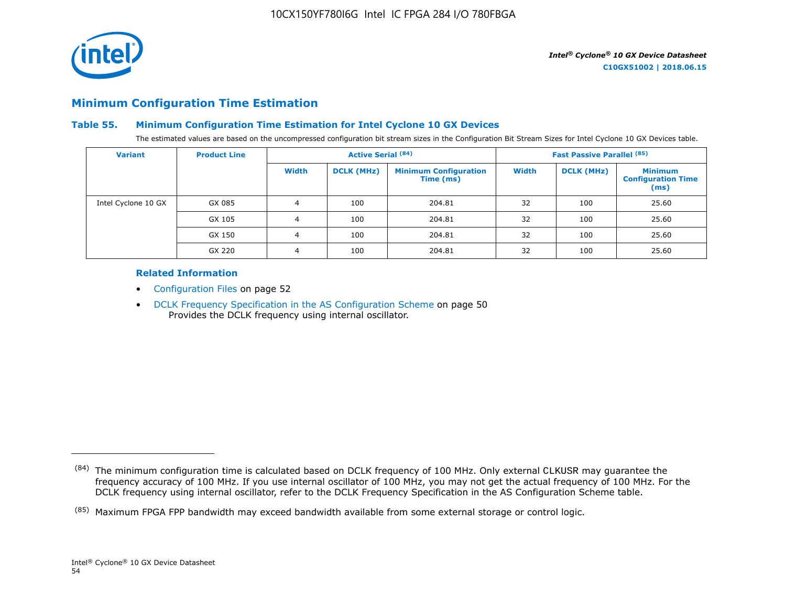

# **Minimum Configuration Time Estimation**

#### **Table 55. Minimum Configuration Time Estimation for Intel Cyclone 10 GX Devices**

The estimated values are based on the uncompressed configuration bit stream sizes in the Configuration Bit Stream Sizes for Intel Cyclone 10 GX Devices table.

| <b>Variant</b>      | <b>Product Line</b> |       | <b>Active Serial (84)</b> |                                           |              | <b>Fast Passive Parallel (85)</b> |                                                     |
|---------------------|---------------------|-------|---------------------------|-------------------------------------------|--------------|-----------------------------------|-----------------------------------------------------|
|                     |                     | Width | <b>DCLK (MHz)</b>         | <b>Minimum Configuration</b><br>Time (ms) | <b>Width</b> | <b>DCLK (MHz)</b>                 | <b>Minimum</b><br><b>Configuration Time</b><br>(ms) |
| Intel Cyclone 10 GX | GX 085              | 4     | 100                       | 204.81                                    | 32           | 100                               | 25.60                                               |
|                     | GX 105              | 4     | 100                       | 204.81                                    | 32           | 100                               | 25.60                                               |
|                     | GX 150              | 4     | 100                       | 204.81                                    | 32           | 100                               | 25.60                                               |
|                     | GX 220              | 4     | 100                       | 204.81                                    | 32           | 100                               | 25.60                                               |

#### **Related Information**

- Configuration Files on page 52
- DCLK Frequency Specification in the AS Configuration Scheme on page 50 Provides the DCLK frequency using internal oscillator.

<sup>(84)</sup> The minimum configuration time is calculated based on DCLK frequency of 100 MHz. Only external CLKUSR may guarantee the frequency accuracy of 100 MHz. If you use internal oscillator of 100 MHz, you may not get the actual frequency of 100 MHz. For the DCLK frequency using internal oscillator, refer to the DCLK Frequency Specification in the AS Configuration Scheme table.

<sup>(85)</sup> Maximum FPGA FPP bandwidth may exceed bandwidth available from some external storage or control logic.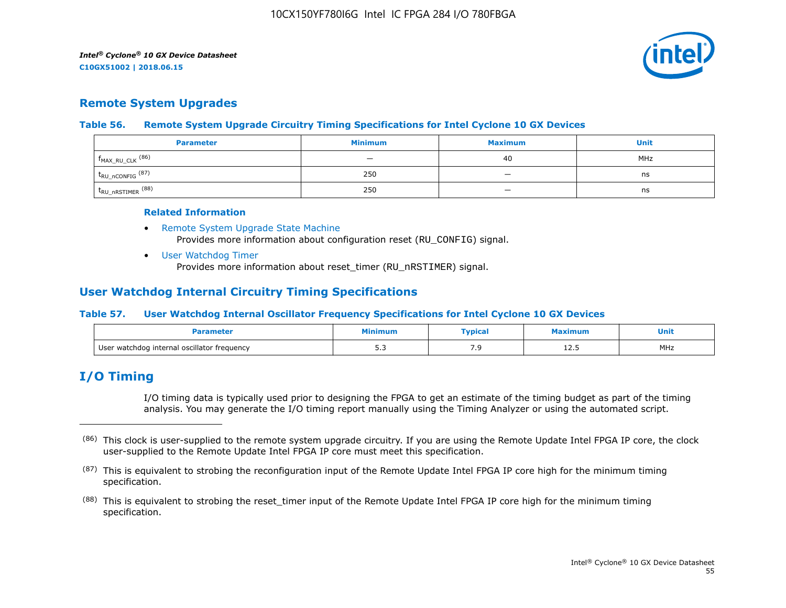

# **Remote System Upgrades**

#### **Table 56. Remote System Upgrade Circuitry Timing Specifications for Intel Cyclone 10 GX Devices**

| <b>Parameter</b>               | <b>Minimum</b>           | <b>Maximum</b>           | Unit |
|--------------------------------|--------------------------|--------------------------|------|
| $f_{MAX_RU_CLK}$ (86)          | $\overline{\phantom{0}}$ | 40                       | MHz  |
| $t_{RU\_nCONFIG}$ (87)         | 250                      | $\overline{\phantom{a}}$ | ns   |
| $t_{\text{RU\_nRSTIMER}}$ (88) | 250                      |                          | ns   |

#### **Related Information**

- [Remote System Upgrade State Machine](https://www.altera.com/documentation/vua1487061384661.html#sam1403483214821) Provides more information about configuration reset (RU\_CONFIG) signal.
- [User Watchdog Timer](https://www.altera.com/documentation/vua1487061384661.html#sam1403483217279) Provides more information about reset\_timer (RU\_nRSTIMER) signal.

# **User Watchdog Internal Circuitry Timing Specifications**

#### **Table 57. User Watchdog Internal Oscillator Frequency Specifications for Intel Cyclone 10 GX Devices**

|                                             | linimur      | <b>Typical</b> | ximum | Unit<br>__ |
|---------------------------------------------|--------------|----------------|-------|------------|
| User watchdog internal oscillator frequency | - -<br>ں ، ب | ر .            | ᆂᄼᅩ   | MHz        |

# **I/O Timing**

I/O timing data is typically used prior to designing the FPGA to get an estimate of the timing budget as part of the timing analysis. You may generate the I/O timing report manually using the Timing Analyzer or using the automated script.

<sup>(86)</sup> This clock is user-supplied to the remote system upgrade circuitry. If you are using the Remote Update Intel FPGA IP core, the clock user-supplied to the Remote Update Intel FPGA IP core must meet this specification.

 $(87)$  This is equivalent to strobing the reconfiguration input of the Remote Update Intel FPGA IP core high for the minimum timing specification.

<sup>&</sup>lt;sup>(88)</sup> This is equivalent to strobing the reset\_timer input of the Remote Update Intel FPGA IP core high for the minimum timing specification.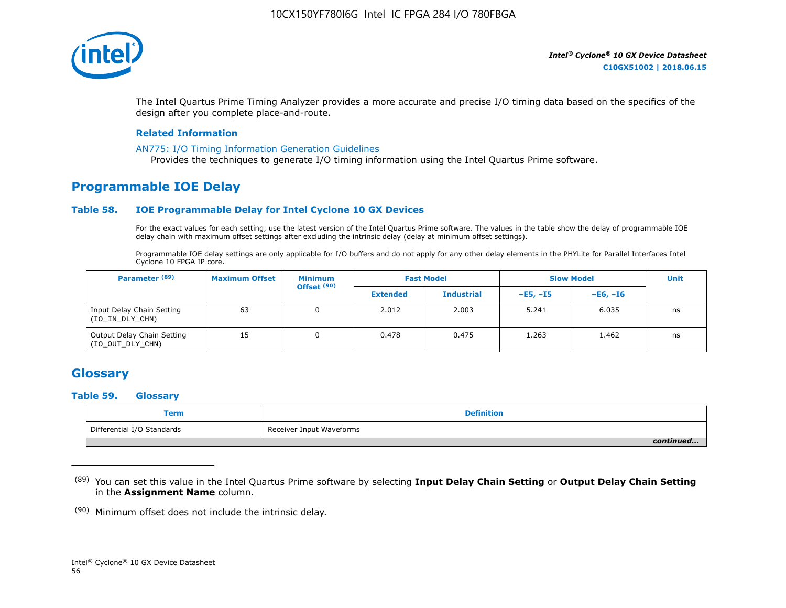

The Intel Quartus Prime Timing Analyzer provides a more accurate and precise I/O timing data based on the specifics of the design after you complete place-and-route.

#### **Related Information**

#### [AN775: I/O Timing Information Generation Guidelines](https://www.altera.com/documentation/brn1471986770305.html#obf1471988361539)

Provides the techniques to generate I/O timing information using the Intel Quartus Prime software.

# **Programmable IOE Delay**

#### **Table 58. IOE Programmable Delay for Intel Cyclone 10 GX Devices**

For the exact values for each setting, use the latest version of the Intel Quartus Prime software. The values in the table show the delay of programmable IOE delay chain with maximum offset settings after excluding the intrinsic delay (delay at minimum offset settings).

Programmable IOE delay settings are only applicable for I/O buffers and do not apply for any other delay elements in the PHYLite for Parallel Interfaces Intel Cyclone 10 FPGA IP core.

| Parameter <sup>(89)</sup>                      | <b>Maximum Offset</b> | <b>Minimum</b><br>Offset <sup>(90)</sup> |                 | <b>Fast Model</b> | <b>Slow Model</b> |            | <b>Unit</b> |
|------------------------------------------------|-----------------------|------------------------------------------|-----------------|-------------------|-------------------|------------|-------------|
|                                                |                       |                                          | <b>Extended</b> | <b>Industrial</b> | $-E5. -15$        | $-E6. -I6$ |             |
| Input Delay Chain Setting<br>(IO_IN_DLY_CHN)   | 63                    | 0                                        | 2.012           | 2.003             | 5.241             | 6.035      | ns          |
| Output Delay Chain Setting<br>(IO_OUT_DLY_CHN) | 15                    |                                          | 0.478           | 0.475             | 1.263             | 1.462      | ns          |

# **Glossary**

#### **Table 59. Glossary**

| Term                       | <b>Definition</b>        |
|----------------------------|--------------------------|
| Differential I/O Standards | Receiver Input Waveforms |
|                            | continued                |

<sup>(89)</sup> You can set this value in the Intel Quartus Prime software by selecting **Input Delay Chain Setting** or **Output Delay Chain Setting** in the **Assignment Name** column.

(90) Minimum offset does not include the intrinsic delay.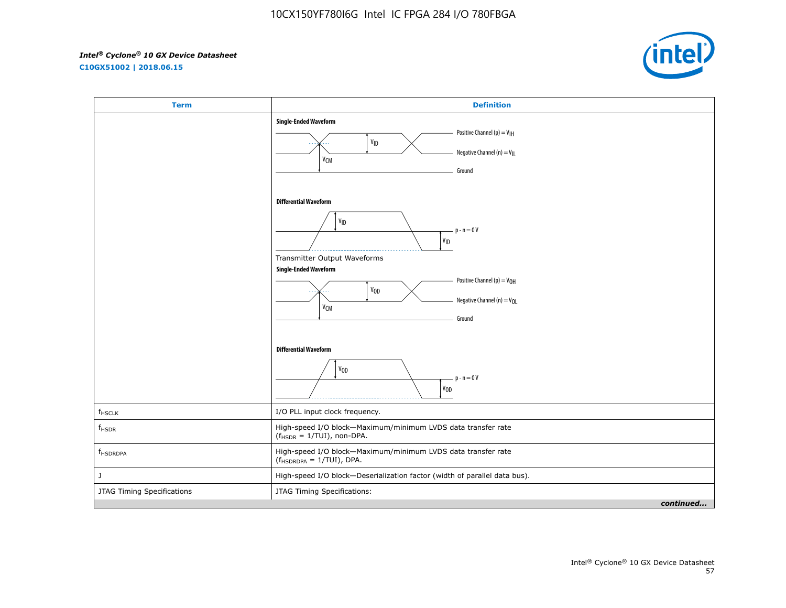**C10GX51002 | 2018.06.15**



| <b>Term</b>                | <b>Definition</b>                                                                                                                                                                                                                                                                                            |
|----------------------------|--------------------------------------------------------------------------------------------------------------------------------------------------------------------------------------------------------------------------------------------------------------------------------------------------------------|
|                            | <b>Single-Ended Waveform</b><br>Positive Channel (p) = $V_{\text{H}}$<br>VID<br>Negative Channel (n) = $V_{\parallel}$<br>V <sub>CM</sub><br>Ground                                                                                                                                                          |
|                            | <b>Differential Waveform</b><br>$\mathsf{V}_{\mathsf{ID}}$<br>$p - n = 0V$<br>$\mathsf{v}_{\mathsf{ID}}$<br>Transmitter Output Waveforms<br><b>Single-Ended Waveform</b><br>Positive Channel (p) = V <sub>OH</sub><br>V <sub>OD</sub><br>Negative Channel (n) = V <sub>OL</sub><br>V <sub>CM</sub><br>Ground |
|                            | <b>Differential Waveform</b><br>V <sub>OD</sub><br>$p - n = 0V$<br>$V_{0D}$                                                                                                                                                                                                                                  |
| $f_{HSCLK}$                | I/O PLL input clock frequency.                                                                                                                                                                                                                                                                               |
| $f_{HSDR}$                 | High-speed I/O block-Maximum/minimum LVDS data transfer rate<br>$(fHSDR = 1/TUI)$ , non-DPA.                                                                                                                                                                                                                 |
| f <sub>HSDRDPA</sub>       | High-speed I/O block-Maximum/minimum LVDS data transfer rate<br>$(f_{HSDRDPA} = 1/TUI)$ , DPA.                                                                                                                                                                                                               |
| J                          | High-speed I/O block-Deserialization factor (width of parallel data bus).                                                                                                                                                                                                                                    |
| JTAG Timing Specifications | JTAG Timing Specifications:                                                                                                                                                                                                                                                                                  |
|                            | continued                                                                                                                                                                                                                                                                                                    |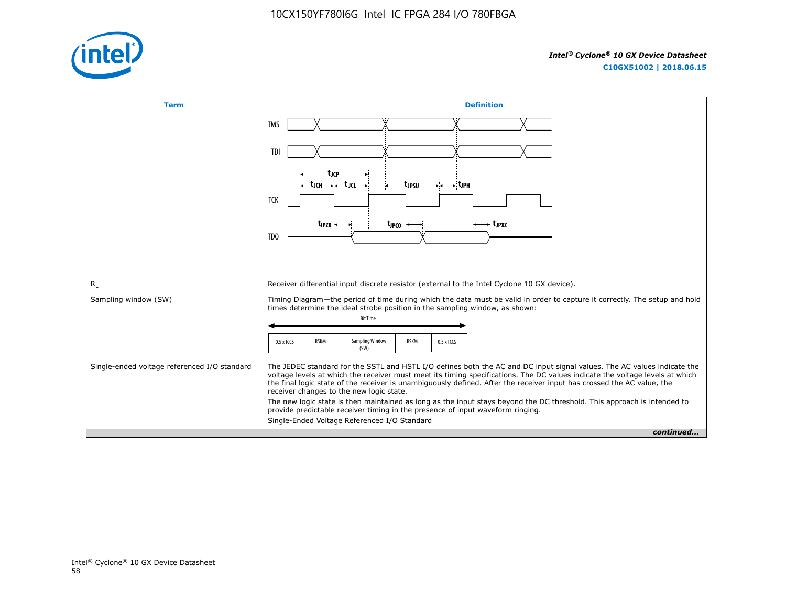

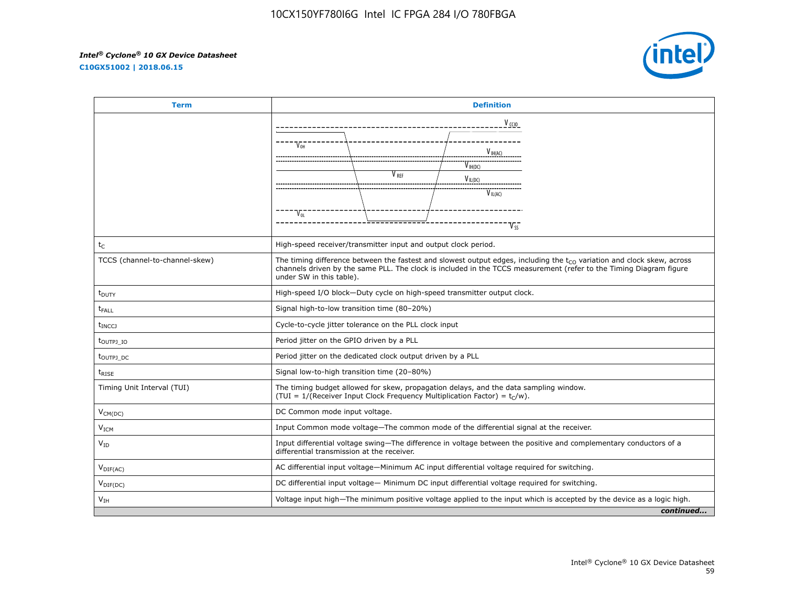**C10GX51002 | 2018.06.15**



| <b>Term</b>                      | <b>Definition</b>                                                                                                                                                                                                                                                             |                                                                                             |              |           |
|----------------------------------|-------------------------------------------------------------------------------------------------------------------------------------------------------------------------------------------------------------------------------------------------------------------------------|---------------------------------------------------------------------------------------------|--------------|-----------|
|                                  | V <sub>CCIO</sub>                                                                                                                                                                                                                                                             |                                                                                             |              |           |
|                                  |                                                                                                                                                                                                                                                                               |                                                                                             |              |           |
|                                  | V <sub>OH</sub>                                                                                                                                                                                                                                                               |                                                                                             | $V_{H(A)}$   |           |
|                                  |                                                                                                                                                                                                                                                                               |                                                                                             | $V_{H(DC)}$  |           |
|                                  |                                                                                                                                                                                                                                                                               | V <sub>REF</sub>                                                                            | $V_{IL(DC)}$ |           |
|                                  |                                                                                                                                                                                                                                                                               |                                                                                             | $V_{IL(AC)}$ |           |
|                                  | V <sub>ol</sub>                                                                                                                                                                                                                                                               |                                                                                             |              |           |
|                                  |                                                                                                                                                                                                                                                                               |                                                                                             |              |           |
| $t_C$                            | High-speed receiver/transmitter input and output clock period.                                                                                                                                                                                                                |                                                                                             |              |           |
| TCCS (channel-to-channel-skew)   | The timing difference between the fastest and slowest output edges, including the $t_{CO}$ variation and clock skew, across<br>channels driven by the same PLL. The clock is included in the TCCS measurement (refer to the Timing Diagram figure<br>under SW in this table). |                                                                                             |              |           |
| $t_{\text{DUTY}}$                | High-speed I/O block-Duty cycle on high-speed transmitter output clock.                                                                                                                                                                                                       |                                                                                             |              |           |
| <b>t</b> <sub>FALL</sub>         | Signal high-to-low transition time (80-20%)                                                                                                                                                                                                                                   |                                                                                             |              |           |
| <b>t</b> <sub>INCC</sub>         | Cycle-to-cycle jitter tolerance on the PLL clock input                                                                                                                                                                                                                        |                                                                                             |              |           |
| t <sub>outpj</sub> <sub>Io</sub> | Period jitter on the GPIO driven by a PLL                                                                                                                                                                                                                                     |                                                                                             |              |           |
| t <sub>outpj</sub> <sub>dc</sub> | Period jitter on the dedicated clock output driven by a PLL                                                                                                                                                                                                                   |                                                                                             |              |           |
| $t_{RISE}$                       | Signal low-to-high transition time (20-80%)                                                                                                                                                                                                                                   |                                                                                             |              |           |
| Timing Unit Interval (TUI)       | The timing budget allowed for skew, propagation delays, and the data sampling window.<br>(TUI = 1/(Receiver Input Clock Frequency Multiplication Factor) = $t_C/w$ ).                                                                                                         |                                                                                             |              |           |
| $V_{CM(DC)}$                     | DC Common mode input voltage.                                                                                                                                                                                                                                                 |                                                                                             |              |           |
| V <sub>ICM</sub>                 | Input Common mode voltage-The common mode of the differential signal at the receiver.                                                                                                                                                                                         |                                                                                             |              |           |
| $V_{ID}$                         | Input differential voltage swing-The difference in voltage between the positive and complementary conductors of a<br>differential transmission at the receiver.                                                                                                               |                                                                                             |              |           |
| $V_{DIF(AC)}$                    |                                                                                                                                                                                                                                                                               | AC differential input voltage-Minimum AC input differential voltage required for switching. |              |           |
| $V_{\text{DIF(DC)}}$             | DC differential input voltage- Minimum DC input differential voltage reguired for switching.                                                                                                                                                                                  |                                                                                             |              |           |
| V <sub>IH</sub>                  | Voltage input high—The minimum positive voltage applied to the input which is accepted by the device as a logic high.                                                                                                                                                         |                                                                                             |              |           |
|                                  |                                                                                                                                                                                                                                                                               |                                                                                             |              | continued |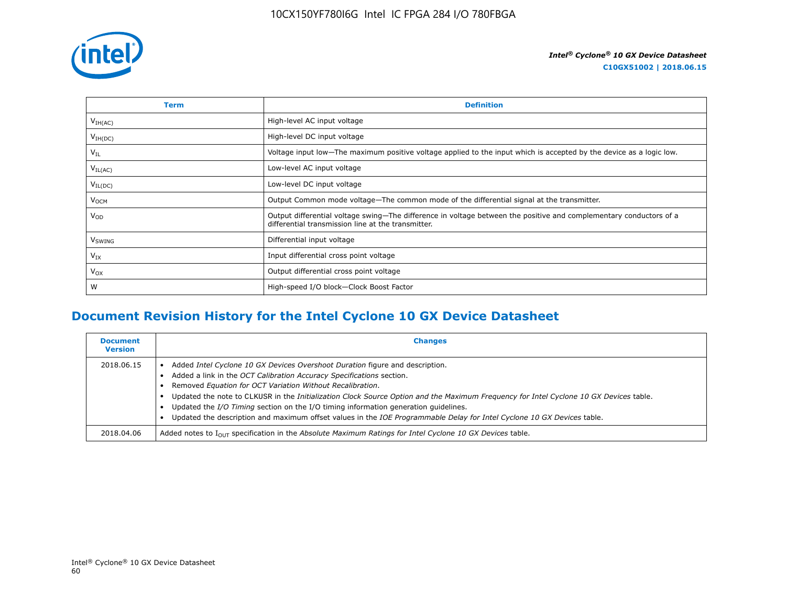

| Term                | <b>Definition</b>                                                                                                                                                        |
|---------------------|--------------------------------------------------------------------------------------------------------------------------------------------------------------------------|
| V <sub>IH(AC)</sub> | High-level AC input voltage                                                                                                                                              |
| $V_{IH(DC)}$        | High-level DC input voltage                                                                                                                                              |
| $V_{IL}$            | Voltage input low—The maximum positive voltage applied to the input which is accepted by the device as a logic low.                                                      |
| $V_{IL(AC)}$        | Low-level AC input voltage                                                                                                                                               |
| $V_{IL(DC)}$        | Low-level DC input voltage                                                                                                                                               |
| V <sub>OCM</sub>    | Output Common mode voltage—The common mode of the differential signal at the transmitter.                                                                                |
| $V_{OD}$            | Output differential voltage swing-The difference in voltage between the positive and complementary conductors of a<br>differential transmission line at the transmitter. |
| V <sub>SWING</sub>  | Differential input voltage                                                                                                                                               |
| $V_{IX}$            | Input differential cross point voltage                                                                                                                                   |
| $V_{OX}$            | Output differential cross point voltage                                                                                                                                  |
| W                   | High-speed I/O block-Clock Boost Factor                                                                                                                                  |

# **Document Revision History for the Intel Cyclone 10 GX Device Datasheet**

| <b>Document</b><br><b>Version</b> | <b>Changes</b>                                                                                                                                                                                                                                                                                                                                                                                                                                                                                                                                                              |
|-----------------------------------|-----------------------------------------------------------------------------------------------------------------------------------------------------------------------------------------------------------------------------------------------------------------------------------------------------------------------------------------------------------------------------------------------------------------------------------------------------------------------------------------------------------------------------------------------------------------------------|
| 2018.06.15                        | Added Intel Cyclone 10 GX Devices Overshoot Duration figure and description.<br>Added a link in the OCT Calibration Accuracy Specifications section.<br>Removed Equation for OCT Variation Without Recalibration.<br>Updated the note to CLKUSR in the Initialization Clock Source Option and the Maximum Frequency for Intel Cyclone 10 GX Devices table.<br>Updated the I/O Timing section on the I/O timing information generation quidelines.<br>Updated the description and maximum offset values in the IOE Programmable Delay for Intel Cyclone 10 GX Devices table. |
| 2018.04.06                        | Added notes to $I_{OUT}$ specification in the Absolute Maximum Ratings for Intel Cyclone 10 GX Devices table.                                                                                                                                                                                                                                                                                                                                                                                                                                                               |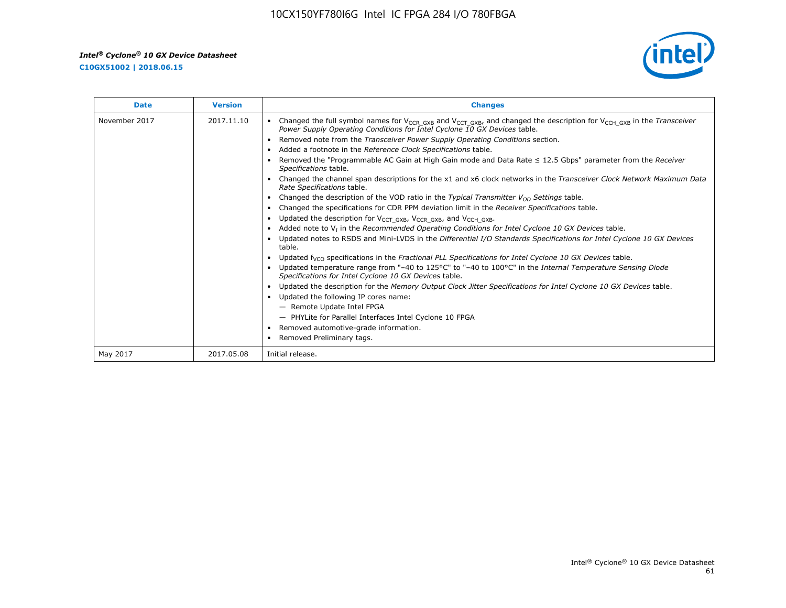**C10GX51002 | 2018.06.15**



| <b>Date</b>   | <b>Version</b> | <b>Changes</b>                                                                                                                                                                                                                        |
|---------------|----------------|---------------------------------------------------------------------------------------------------------------------------------------------------------------------------------------------------------------------------------------|
| November 2017 | 2017.11.10     | Changed the full symbol names for V <sub>CCR GXB</sub> and V <sub>CCT GXB</sub> , and changed the description for V <sub>CCH GXB</sub> in the Transceiver<br>Power Supply Operating Conditions for Intel Cyclone 10 GX Devices table. |
|               |                | Removed note from the Transceiver Power Supply Operating Conditions section.                                                                                                                                                          |
|               |                | Added a footnote in the Reference Clock Specifications table.                                                                                                                                                                         |
|               |                | Removed the "Programmable AC Gain at High Gain mode and Data Rate $\leq$ 12.5 Gbps" parameter from the Receiver<br>Specifications table.                                                                                              |
|               |                | Changed the channel span descriptions for the x1 and x6 clock networks in the Transceiver Clock Network Maximum Data<br>Rate Specifications table.                                                                                    |
|               |                | Changed the description of the VOD ratio in the Typical Transmitter $V_{OD}$ Settings table.                                                                                                                                          |
|               |                | Changed the specifications for CDR PPM deviation limit in the Receiver Specifications table.                                                                                                                                          |
|               |                | Updated the description for V <sub>CCT_GXB</sub> , V <sub>CCR_GXB</sub> , and V <sub>CCH_GXB</sub> .<br>$\bullet$                                                                                                                     |
|               |                | Added note to $V_I$ in the Recommended Operating Conditions for Intel Cyclone 10 GX Devices table.                                                                                                                                    |
|               |                | Updated notes to RSDS and Mini-LVDS in the Differential I/O Standards Specifications for Intel Cyclone 10 GX Devices<br>table.                                                                                                        |
|               |                | Updated $f_{VCO}$ specifications in the Fractional PLL Specifications for Intel Cyclone 10 GX Devices table.                                                                                                                          |
|               |                | Updated temperature range from "-40 to 125°C" to "-40 to 100°C" in the Internal Temperature Sensing Diode<br>Specifications for Intel Cyclone 10 GX Devices table.                                                                    |
|               |                | Updated the description for the Memory Output Clock Jitter Specifications for Intel Cyclone 10 GX Devices table.                                                                                                                      |
|               |                | Updated the following IP cores name:<br>$\bullet$                                                                                                                                                                                     |
|               |                | - Remote Update Intel FPGA                                                                                                                                                                                                            |
|               |                | - PHYLite for Parallel Interfaces Intel Cyclone 10 FPGA                                                                                                                                                                               |
|               |                | Removed automotive-grade information.                                                                                                                                                                                                 |
|               |                | Removed Preliminary tags.                                                                                                                                                                                                             |
| May 2017      | 2017.05.08     | Initial release.                                                                                                                                                                                                                      |